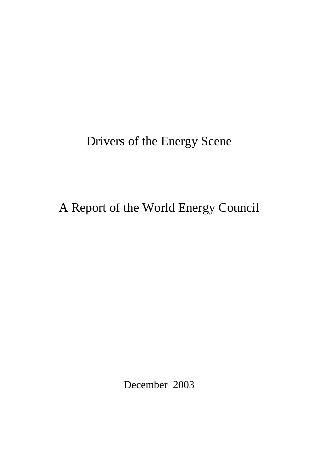# Drivers of the Energy Scene

# A Report of the World Energy Council

December 2003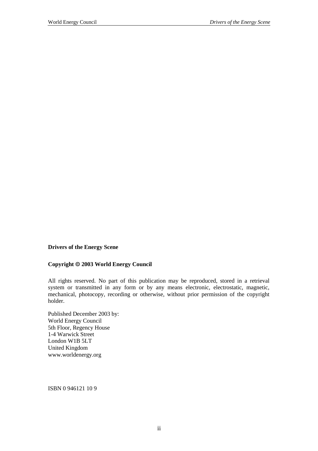**Drivers of the Energy Scene** 

#### **Copyright 2003 World Energy Council**

All rights reserved. No part of this publication may be reproduced, stored in a retrieval system or transmitted in any form or by any means electronic, electrostatic, magnetic, mechanical, photocopy, recording or otherwise, without prior permission of the copyright holder.

Published December 2003 by: World Energy Council 5th Floor, Regency House 1-4 Warwick Street London W1B 5LT United Kingdom www.worldenergy.org

ISBN 0 946121 10 9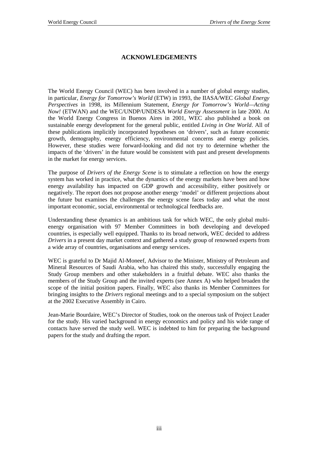# **ACKNOWLEDGEMENTS**

The World Energy Council (WEC) has been involved in a number of global energy studies, in particular, *Energy for Tomorrow's World* (ETW) in 1993, the IIASA/WEC *Global Energy Perspectives* in 1998, its Millennium Statement, *Energy for Tomorrow's World—Acting Now!* (ETWAN) and the WEC/UNDP/UNDESA *World Energy Assessment* in late 2000. At the World Energy Congress in Buenos Aires in 2001, WEC also published a book on sustainable energy development for the general public, entitled *Living in One World*. All of these publications implicitly incorporated hypotheses on 'drivers', such as future economic growth, demography, energy efficiency, environmental concerns and energy policies. However, these studies were forward-looking and did not try to determine whether the impacts of the 'drivers' in the future would be consistent with past and present developments in the market for energy services.

The purpose of *Drivers of the Energy Scene* is to stimulate a reflection on how the energy system has worked in practice, what the dynamics of the energy markets have been and how energy availability has impacted on GDP growth and accessibility, either positively or negatively. The report does not propose another energy 'model' or different projections about the future but examines the challenges the energy scene faces today and what the most important economic, social, environmental or technological feedbacks are.

Understanding these dynamics is an ambitious task for which WEC, the only global multienergy organisation with 97 Member Committees in both developing and developed countries, is especially well equipped. Thanks to its broad network, WEC decided to address *Drivers* in a present day market context and gathered a study group of renowned experts from a wide array of countries, organisations and energy services.

WEC is grateful to Dr Majid Al-Moneef, Advisor to the Minister, Ministry of Petroleum and Mineral Resources of Saudi Arabia, who has chaired this study, successfully engaging the Study Group members and other stakeholders in a fruitful debate. WEC also thanks the members of the Study Group and the invited experts (see Annex A) who helped broaden the scope of the initial position papers. Finally, WEC also thanks its Member Committees for bringing insights to the *Drivers* regional meetings and to a special symposium on the subject at the 2002 Executive Assembly in Cairo.

Jean-Marie Bourdaire, WEC's Director of Studies, took on the onerous task of Project Leader for the study. His varied background in energy economics and policy and his wide range of contacts have served the study well. WEC is indebted to him for preparing the background papers for the study and drafting the report.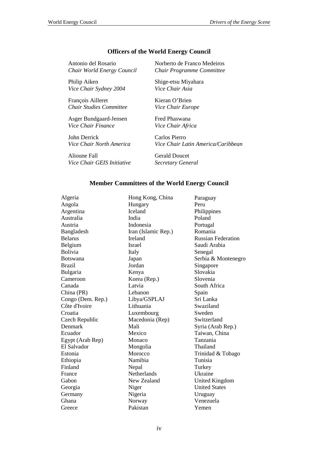## **Officers of the World Energy Council**

Antonio del Rosario *Chair World Energy Council* 

Philip Aiken *Vice Chair Sydney 2004*

François Ailleret *Chair Studies Committee*

Asger Bundgaard-Jensen *Vice Chair Finance* 

John Derrick *Vice Chair North America* 

Alioune Fall *Vice Chair GEIS Initiative*  Norberto de Franco Medeiros *Chair Programme Committee* 

Shige-etsu Miyahara *Vice Chair Asia* 

Kieran O'Brien *Vice Chair Europe* 

Fred Phaswana *Vice Chair Africa* 

Carlos Pierro *Vice Chair Latin America/Caribbean* 

Gerald Doucet *Secretary General* 

## **Member Committees of the World Energy Council**

Algeria Angola Argentina Australia Austria Bangladesh Belarus Belgium Bolivia Botswana Brazil Bulgaria Cameroon Canada China (PR) Congo (Dem. Rep.) Côte d'Ivoire Croatia Czech Republic Denmark Ecuador Egypt (Arab Rep) El Salvador Estonia Ethiopia Finland France Gabon Georgia Germany Ghana **Greece** 

Hong Kong, China Hungary Iceland India Indonesia Iran (Islamic Rep.) Ireland Israel Italy Japan Jordan Kenya Korea (Rep.) Latvia Lebanon Libya/GSPLAJ Lithuania Luxembourg Macedonia (Rep) Mali Mexico Monaco Mongolia Morocco Namibia **Nepal Netherlands** New Zealand Niger Nigeria Norway Pakistan

Paraguay Peru Philippines Poland Portugal Romania Russian Federation Saudi Arabia Senegal Serbia & Montenegro Singapore Slovakia Slovenia South Africa Spain Sri Lanka Swaziland Sweden Switzerland Syria (Arab Rep.) Taiwan, China Tanzania Thailand Trinidad & Tobago Tunisia **Turkey** Ukraine United Kingdom United States Uruguay Venezuela Yemen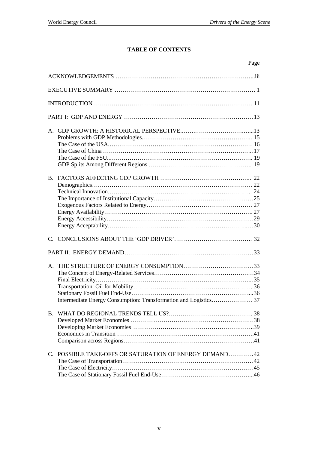# **TABLE OF CONTENTS**

|                                                        | Page |
|--------------------------------------------------------|------|
|                                                        |      |
|                                                        |      |
|                                                        |      |
|                                                        |      |
|                                                        |      |
|                                                        |      |
|                                                        |      |
|                                                        |      |
|                                                        |      |
| <b>B.</b>                                              |      |
| C. POSSIBLE TAKE-OFFS OR SATURATION OF ENERGY DEMAND42 |      |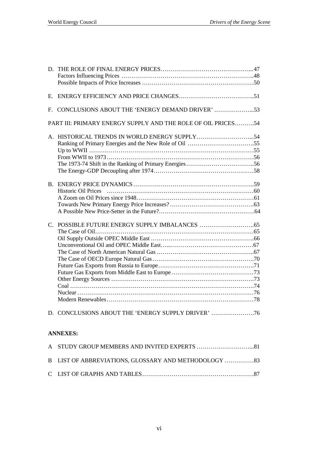| D.             |                                                              |
|----------------|--------------------------------------------------------------|
| Е.             |                                                              |
| $F_{\cdot}$    | CONCLUSIONS ABOUT THE 'ENERGY DEMAND DRIVER' 53              |
|                | PART III: PRIMARY ENERGY SUPPLY AND THE ROLE OF OIL PRICES54 |
|                |                                                              |
| $\mathbf{B}$ . | <b>Historic Oil Prices</b>                                   |
| $C_{\cdot}$    |                                                              |
|                | D. CONCLUSIONS ABOUT THE 'ENERGY SUPPLY DRIVER'              |

# **ANNEXES:**

| B LIST OF ABBREVIATIONS, GLOSSARY AND METHODOLOGY 33 |  |
|------------------------------------------------------|--|
|                                                      |  |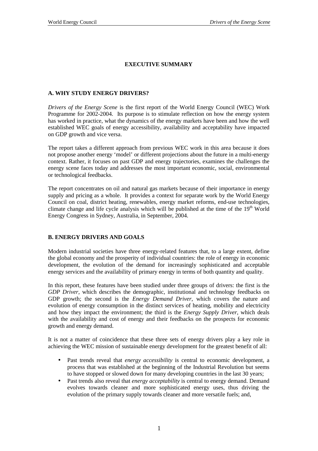# **EXECUTIVE SUMMARY**

## **A. WHY STUDY ENERGY DRIVERS?**

*Drivers of the Energy Scene* is the first report of the World Energy Council (WEC) Work Programme for 2002-2004. Its purpose is to stimulate reflection on how the energy system has worked in practice, what the dynamics of the energy markets have been and how the well established WEC goals of energy accessibility, availability and acceptability have impacted on GDP growth and vice versa.

The report takes a different approach from previous WEC work in this area because it does not propose another energy 'model' or different projections about the future in a multi-energy context. Rather, it focuses on past GDP and energy trajectories, examines the challenges the energy scene faces today and addresses the most important economic, social, environmental or technological feedbacks.

The report concentrates on oil and natural gas markets because of their importance in energy supply and pricing as a whole. It provides a context for separate work by the World Energy Council on coal, district heating, renewables, energy market reforms, end-use technologies, climate change and life cycle analysis which will be published at the time of the  $19<sup>th</sup>$  World Energy Congress in Sydney, Australia, in September, 2004.

#### **B. ENERGY DRIVERS AND GOALS**

Modern industrial societies have three energy-related features that, to a large extent, define the global economy and the prosperity of individual countries: the role of energy in economic development, the evolution of the demand for increasingly sophisticated and acceptable energy services and the availability of primary energy in terms of both quantity and quality.

In this report, these features have been studied under three groups of drivers: the first is the *GDP Driver,* which describes the demographic, institutional and technology feedbacks on GDP growth; the second is the *Energy Demand Driver*, which covers the nature and evolution of energy consumption in the distinct services of heating, mobility and electricity and how they impact the environment; the third is the *Energy Supply Driver*, which deals with the availability and cost of energy and their feedbacks on the prospects for economic growth and energy demand.

It is not a matter of coincidence that these three sets of energy drivers play a key role in achieving the WEC mission of sustainable energy development for the greatest benefit of all:

- Past trends reveal that *energy accessibility* is central to economic development, a process that was established at the beginning of the Industrial Revolution but seems to have stopped or slowed down for many developing countries in the last 30 years;
- Past trends also reveal that *energy acceptability* is central to energy demand. Demand evolves towards cleaner and more sophisticated energy uses, thus driving the evolution of the primary supply towards cleaner and more versatile fuels; and,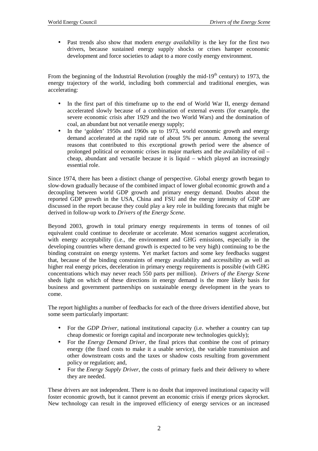• Past trends also show that modern *energy availability* is the key for the first two drivers, because sustained energy supply shocks or crises hamper economic development and force societies to adapt to a more costly energy environment.

From the beginning of the Industrial Revolution (roughly the mid- $19<sup>th</sup>$  century) to 1973, the energy trajectory of the world, including both commercial and traditional energies, was accelerating:

- In the first part of this timeframe up to the end of World War II, energy demand accelerated slowly because of a combination of external events (for example, the severe economic crisis after 1929 and the two World Wars) and the domination of coal, an abundant but not versatile energy supply;
- In the 'golden' 1950s and 1960s up to 1973, world economic growth and energy demand accelerated at the rapid rate of about 5% per annum. Among the several reasons that contributed to this exceptional growth period were the absence of prolonged political or economic crises in major markets and the availability of oil – cheap, abundant and versatile because it is liquid – which played an increasingly essential role.

Since 1974, there has been a distinct change of perspective. Global energy growth began to slow-down gradually because of the combined impact of lower global economic growth and a decoupling between world GDP growth and primary energy demand. Doubts about the reported GDP growth in the USA, China and FSU and the energy intensity of GDP are discussed in the report because they could play a key role in building forecasts that might be derived in follow-up work to *Drivers of the Energy Scene*.

Beyond 2003, growth in total primary energy requirements in terms of tonnes of oil equivalent could continue to decelerate or accelerate. Most scenarios suggest acceleration, with energy acceptability (i.e., the environment and GHG emissions, especially in the developing countries where demand growth is expected to be very high) continuing to be the binding constraint on energy systems. Yet market factors and some key feedbacks suggest that, because of the binding constraints of energy availability and accessibility as well as higher real energy prices, deceleration in primary energy requirements is possible (with GHG concentrations which may never reach 550 parts per million). *Drivers of the Energy Scene* sheds light on which of these directions in energy demand is the more likely basis for business and government partnerships on sustainable energy development in the years to come.

The report highlights a number of feedbacks for each of the three drivers identified above, but some seem particularly important:

- For the *GDP Driver*, national institutional capacity (i.e. whether a country can tap cheap domestic or foreign capital and incorporate new technologies quickly);
- For the *Energy Demand Driver*, the final prices that combine the cost of primary energy (the fixed costs to make it a usable service), the variable transmission and other downstream costs and the taxes or shadow costs resulting from government policy or regulation; and,
- For the *Energy Supply Driver*, the costs of primary fuels and their delivery to where they are needed.

These drivers are not independent. There is no doubt that improved institutional capacity will foster economic growth, but it cannot prevent an economic crisis if energy prices skyrocket. New technology can result in the improved efficiency of energy services or an increased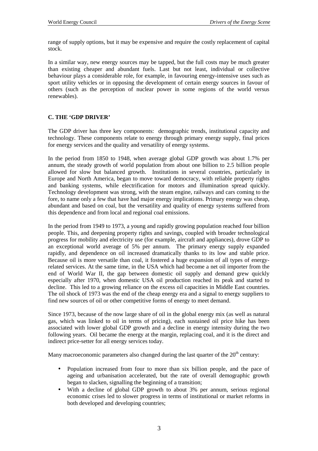range of supply options, but it may be expensive and require the costly replacement of capital stock.

In a similar way, new energy sources may be tapped, but the full costs may be much greater than existing cheaper and abundant fuels. Last but not least, individual or collective behaviour plays a considerable role, for example, in favouring energy-intensive uses such as sport utility vehicles or in opposing the development of certain energy sources in favour of others (such as the perception of nuclear power in some regions of the world versus renewables).

## **C. THE 'GDP DRIVER'**

The GDP driver has three key components: demographic trends, institutional capacity and technology. These components relate to energy through primary energy supply, final prices for energy services and the quality and versatility of energy systems.

In the period from 1850 to 1948, when average global GDP growth was about 1.7% per annum, the steady growth of world population from about one billion to 2.5 billion people allowed for slow but balanced growth. Institutions in several countries, particularly in Europe and North America, began to move toward democracy, with reliable property rights and banking systems, while electrification for motors and illumination spread quickly. Technology development was strong, with the steam engine, railways and cars coming to the fore, to name only a few that have had major energy implications. Primary energy was cheap, abundant and based on coal, but the versatility and quality of energy systems suffered from this dependence and from local and regional coal emissions.

In the period from 1949 to 1973, a young and rapidly growing population reached four billion people. This, and deepening property rights and savings, coupled with broader technological progress for mobility and electricity use (for example, aircraft and appliances), drove GDP to an exceptional world average of 5% per annum. The primary energy supply expanded rapidly, and dependence on oil increased dramatically thanks to its low and stable price. Because oil is more versatile than coal, it fostered a huge expansion of all types of energyrelated services. At the same time, in the USA which had become a net oil importer from the end of World War II, the gap between domestic oil supply and demand grew quickly especially after 1970, when domestic USA oil production reached its peak and started to decline. This led to a growing reliance on the excess oil capacities in Middle East countries. The oil shock of 1973 was the end of the cheap energy era and a signal to energy suppliers to find new sources of oil or other competitive forms of energy to meet demand.

Since 1973, because of the now large share of oil in the global energy mix (as well as natural gas, which was linked to oil in terms of pricing), each sustained oil price hike has been associated with lower global GDP growth and a decline in energy intensity during the two following years. Oil became the energy at the margin, replacing coal, and it is the direct and indirect price-setter for all energy services today.

Many macroeconomic parameters also changed during the last quarter of the  $20<sup>th</sup>$  century:

- Population increased from four to more than six billion people, and the pace of ageing and urbanisation accelerated, but the rate of overall demographic growth began to slacken, signalling the beginning of a transition;
- With a decline of global GDP growth to about 3% per annum, serious regional economic crises led to slower progress in terms of institutional or market reforms in both developed and developing countries;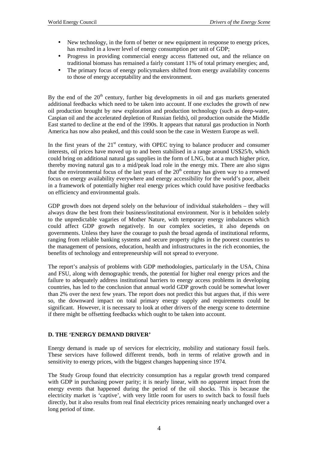- New technology, in the form of better or new equipment in response to energy prices, has resulted in a lower level of energy consumption per unit of GDP;
- Progress in providing commercial energy access flattened out, and the reliance on traditional biomass has remained a fairly constant 11% of total primary energies; and,
- The primary focus of energy policymakers shifted from energy availability concerns to those of energy acceptability and the environment.

By the end of the  $20<sup>th</sup>$  century, further big developments in oil and gas markets generated additional feedbacks which need to be taken into account. If one excludes the growth of new oil production brought by new exploration and production technology (such as deep-water, Caspian oil and the accelerated depletion of Russian fields), oil production outside the Middle East started to decline at the end of the 1990s. It appears that natural gas production in North America has now also peaked, and this could soon be the case in Western Europe as well.

In the first years of the  $21<sup>st</sup>$  century, with OPEC trying to balance producer and consumer interests, oil prices have moved up to and been stabilised in a range around US\$25/b, which could bring on additional natural gas supplies in the form of LNG, but at a much higher price, thereby moving natural gas to a mid/peak load role in the energy mix. There are also signs that the environmental focus of the last years of the  $20<sup>th</sup>$  century has given way to a renewed focus on energy availability everywhere and energy accessibility for the world's poor, albeit in a framework of potentially higher real energy prices which could have positive feedbacks on efficiency and environmental goals.

GDP growth does not depend solely on the behaviour of individual stakeholders – they will always draw the best from their business/institutional environment. Nor is it beholden solely to the unpredictable vagaries of Mother Nature, with temporary energy imbalances which could affect GDP growth negatively. In our complex societies, it also depends on governments. Unless they have the courage to push the broad agenda of institutional reforms, ranging from reliable banking systems and secure property rights in the poorest countries to the management of pensions, education, health and infrastructures in the rich economies, the benefits of technology and entrepreneurship will not spread to everyone.

The report's analysis of problems with GDP methodologies, particularly in the USA, China and FSU, along with demographic trends, the potential for higher real energy prices and the failure to adequately address institutional barriers to energy access problems in developing countries, has led to the conclusion that annual world GDP growth could be somewhat lower than 2% over the next few years. The report does not predict this but argues that, if this were so, the downward impact on total primary energy supply and requirements could be significant. However, it is necessary to look at other drivers of the energy scene to determine if there might be offsetting feedbacks which ought to be taken into account.

## **D. THE 'ENERGY DEMAND DRIVER'**

Energy demand is made up of services for electricity, mobility and stationary fossil fuels. These services have followed different trends, both in terms of relative growth and in sensitivity to energy prices, with the biggest changes happening since 1974.

The Study Group found that electricity consumption has a regular growth trend compared with GDP in purchasing power parity; it is nearly linear, with no apparent impact from the energy events that happened during the period of the oil shocks. This is because the electricity market is 'captive', with very little room for users to switch back to fossil fuels directly, but it also results from real final electricity prices remaining nearly unchanged over a long period of time.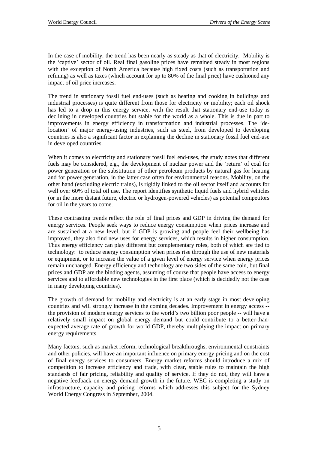In the case of mobility, the trend has been nearly as steady as that of electricity. Mobility is the 'captive' sector of oil. Real final gasoline prices have remained steady in most regions with the exception of North America because high fixed costs (such as transportation and refining) as well as taxes (which account for up to 80% of the final price) have cushioned any impact of oil price increases.

The trend in stationary fossil fuel end-uses (such as heating and cooking in buildings and industrial processes) is quite different from those for electricity or mobility; each oil shock has led to a drop in this energy service, with the result that stationary end-use today is declining in developed countries but stable for the world as a whole. This is due in part to improvements in energy efficiency in transformation and industrial processes. The 'delocation' of major energy-using industries, such as steel, from developed to developing countries is also a significant factor in explaining the decline in stationary fossil fuel end-use in developed countries.

When it comes to electricity and stationary fossil fuel end-uses, the study notes that different fuels may be considered, e.g., the development of nuclear power and the 'return' of coal for power generation or the substitution of other petroleum products by natural gas for heating and for power generation, in the latter case often for environmental reasons. Mobility, on the other hand (excluding electric trains), is rigidly linked to the oil sector itself and accounts for well over 60% of total oil use. The report identifies synthetic liquid fuels and hybrid vehicles (or in the more distant future, electric or hydrogen-powered vehicles) as potential competitors for oil in the years to come.

These contrasting trends reflect the role of final prices and GDP in driving the demand for energy services. People seek ways to reduce energy consumption when prices increase and are sustained at a new level, but if GDP is growing and people feel their wellbeing has improved, they also find new uses for energy services, which results in higher consumption. Thus energy efficiency can play different but complementary roles, both of which are tied to technology: to reduce energy consumption when prices rise through the use of new materials or equipment, or to increase the value of a given level of energy service when energy prices remain unchanged. Energy efficiency and technology are two sides of the same coin, but final prices and GDP are the binding agents, assuming of course that people have access to energy services and to affordable new technologies in the first place (which is decidedly not the case in many developing countries).

The growth of demand for mobility and electricity is at an early stage in most developing countries and will strongly increase in the coming decades. Improvement in energy access - the provision of modern energy services to the world's two billion poor people -- will have a relatively small impact on global energy demand but could contribute to a better-thanexpected average rate of growth for world GDP, thereby multiplying the impact on primary energy requirements.

Many factors, such as market reform, technological breakthroughs, environmental constraints and other policies, will have an important influence on primary energy pricing and on the cost of final energy services to consumers. Energy market reforms should introduce a mix of competition to increase efficiency and trade, with clear, stable rules to maintain the high standards of fair pricing, reliability and quality of service. If they do not, they will have a negative feedback on energy demand growth in the future. WEC is completing a study on infrastructure, capacity and pricing reforms which addresses this subject for the Sydney World Energy Congress in September, 2004.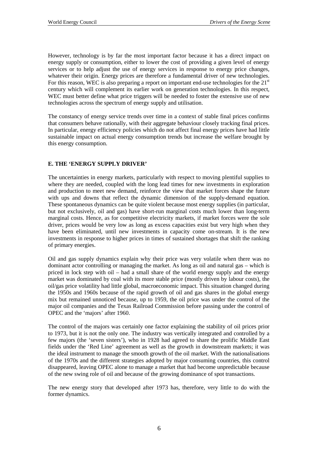However, technology is by far the most important factor because it has a direct impact on energy supply or consumption, either to lower the cost of providing a given level of energy services or to help adjust the use of energy services in response to energy price changes, whatever their origin. Energy prices are therefore a fundamental driver of new technologies. For this reason, WEC is also preparing a report on important end-use technologies for the  $21<sup>st</sup>$ century which will complement its earlier work on generation technologies. In this respect, WEC must better define what price triggers will be needed to foster the extensive use of new technologies across the spectrum of energy supply and utilisation.

The constancy of energy service trends over time in a context of stable final prices confirms that consumers behave rationally, with their aggregate behaviour closely tracking final prices. In particular, energy efficiency policies which do not affect final energy prices have had little sustainable impact on actual energy consumption trends but increase the welfare brought by this energy consumption.

## **E. THE 'ENERGY SUPPLY DRIVER'**

The uncertainties in energy markets, particularly with respect to moving plentiful supplies to where they are needed, coupled with the long lead times for new investments in exploration and production to meet new demand, reinforce the view that market forces shape the future with ups and downs that reflect the dynamic dimension of the supply-demand equation. These spontaneous dynamics can be quite violent because most energy supplies (in particular, but not exclusively, oil and gas) have short-run marginal costs much lower than long-term marginal costs. Hence, as for competitive electricity markets, if market forces were the sole driver, prices would be very low as long as excess capacities exist but very high when they have been eliminated, until new investments in capacity come on-stream. It is the new investments in response to higher prices in times of sustained shortages that shift the ranking of primary energies.

Oil and gas supply dynamics explain why their price was very volatile when there was no dominant actor controlling or managing the market. As long as oil and natural gas – which is priced in lock step with oil – had a small share of the world energy supply and the energy market was dominated by coal with its more stable price (mostly driven by labour costs), the oil/gas price volatility had little global, macroeconomic impact. This situation changed during the 1950s and 1960s because of the rapid growth of oil and gas shares in the global energy mix but remained unnoticed because, up to 1959, the oil price was under the control of the major oil companies and the Texas Railroad Commission before passing under the control of OPEC and the 'majors' after 1960.

The control of the majors was certainly one factor explaining the stability of oil prices prior to 1973, but it is not the only one. The industry was vertically integrated and controlled by a few majors (the 'seven sisters'), who in 1928 had agreed to share the prolific Middle East fields under the 'Red Line' agreement as well as the growth in downstream markets; it was the ideal instrument to manage the smooth growth of the oil market. With the nationalisations of the 1970s and the different strategies adopted by major consuming countries, this control disappeared, leaving OPEC alone to manage a market that had become unpredictable because of the new swing role of oil and because of the growing dominance of spot transactions.

The new energy story that developed after 1973 has, therefore, very little to do with the former dynamics.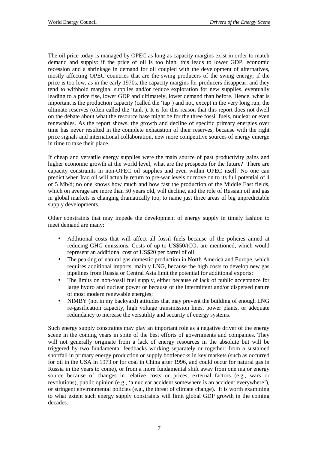The oil price today is managed by OPEC as long as capacity margins exist in order to match demand and supply: if the price of oil is too high, this leads to lower GDP, economic recession and a shrinkage in demand for oil coupled with the development of alternatives, mostly affecting OPEC countries that are the swing producers of the swing energy; if the price is too low, as in the early 1970s, the capacity margins for producers disappear, and they tend to withhold marginal supplies and/or reduce exploration for new supplies, eventually leading to a price rise, lower GDP and ultimately, lower demand than before. Hence, what is important is the production capacity (called the 'tap') and not, except in the very long run, the ultimate reserves (often called the 'tank'). It is for this reason that this report does not dwell on the debate about what the resource base might be for the three fossil fuels, nuclear or even renewables. As the report shows, the growth and decline of specific primary energies over time has never resulted in the complete exhaustion of their reserves, because with the right price signals and international collaboration, new more competitive sources of energy emerge in time to take their place.

If cheap and versatile energy supplies were the main source of past productivity gains and higher economic growth at the world level, what are the prospects for the future? There are capacity constraints in non-OPEC oil supplies and even within OPEC itself. No one can predict when Iraq oil will actually return to pre-war levels or move on to its full potential of 4 or 5 Mb/d; no one knows how much and how fast the production of the Middle East fields, which on average are more than 50 years old, will decline, and the role of Russian oil and gas in global markets is changing dramatically too, to name just three areas of big unpredictable supply developments.

Other constraints that may impede the development of energy supply in timely fashion to meet demand are many:

- Additional costs that will affect all fossil fuels because of the policies aimed at reducing GHG emissions. Costs of up to  $US$50/tCO<sub>2</sub>$  are mentioned, which would represent an additional cost of US\$20 per barrel of oil;
- The peaking of natural gas domestic production in North America and Europe, which requires additional imports, mainly LNG, because the high costs to develop new gas pipelines from Russia or Central Asia limit the potential for additional exports;
- The limits on non-fossil fuel supply, either because of lack of public acceptance for large hydro and nuclear power or because of the intermittent and/or dispersed nature of most modern renewable energies;
- NIMBY (not in my backyard) attitudes that may prevent the building of enough LNG re-gasification capacity, high voltage transmission lines, power plants, or adequate redundancy to increase the versatility and security of energy systems.

Such energy supply constraints may play an important role as a negative driver of the energy scene in the coming years in spite of the best efforts of governments and companies. They will not generally originate from a lack of energy resources in the absolute but will be triggered by two fundamental feedbacks working separately or together: from a sustained shortfall in primary energy production or supply bottlenecks in key markets (such as occurred for oil in the USA in 1973 or for coal in China after 1996, and could occur for natural gas in Russia in the years to come), or from a more fundamental shift away from one major energy source because of changes in relative costs or prices, external factors (e.g., wars or revolutions), public opinion (e.g., 'a nuclear accident somewhere is an accident everywhere'), or stringent environmental policies (e.g., the threat of climate change). It is worth examining to what extent such energy supply constraints will limit global GDP growth in the coming decades.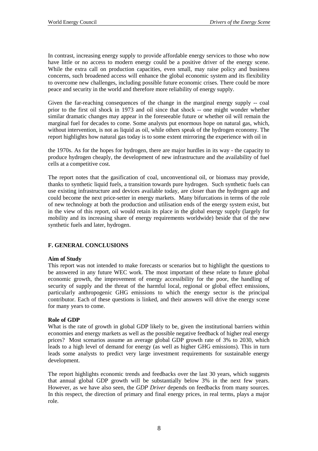In contrast, increasing energy supply to provide affordable energy services to those who now have little or no access to modern energy could be a positive driver of the energy scene. While the extra call on production capacities, even small, may raise policy and business concerns, such broadened access will enhance the global economic system and its flexibility to overcome new challenges, including possible future economic crises. There could be more peace and security in the world and therefore more reliability of energy supply.

Given the far-reaching consequences of the change in the marginal energy supply -- coal prior to the first oil shock in 1973 and oil since that shock -- one might wonder whether similar dramatic changes may appear in the foreseeable future or whether oil will remain the marginal fuel for decades to come. Some analysts put enormous hope on natural gas, which, without intervention, is not as liquid as oil, while others speak of the hydrogen economy. The report highlights how natural gas today is to some extent mirroring the experience with oil in

the 1970s. As for the hopes for hydrogen, there are major hurdles in its way - the capacity to produce hydrogen cheaply, the development of new infrastructure and the availability of fuel cells at a competitive cost.

The report notes that the gasification of coal, unconventional oil, or biomass may provide, thanks to synthetic liquid fuels, a transition towards pure hydrogen. Such synthetic fuels can use existing infrastructure and devices available today, are closer than the hydrogen age and could become the next price-setter in energy markets. Many bifurcations in terms of the role of new technology at both the production and utilisation ends of the energy system exist, but in the view of this report, oil would retain its place in the global energy supply (largely for mobility and its increasing share of energy requirements worldwide) beside that of the new synthetic fuels and later, hydrogen.

## **F. GENERAL CONCLUSIONS**

#### **Aim of Study**

This report was not intended to make forecasts or scenarios but to highlight the questions to be answered in any future WEC work. The most important of these relate to future global economic growth, the improvement of energy accessibility for the poor, the handling of security of supply and the threat of the harmful local, regional or global effect emissions, particularly anthropogenic GHG emissions to which the energy sector is the principal contributor. Each of these questions is linked, and their answers will drive the energy scene for many years to come.

#### **Role of GDP**

What is the rate of growth in global GDP likely to be, given the institutional barriers within economies and energy markets as well as the possible negative feedback of higher real energy prices? Most scenarios assume an average global GDP growth rate of 3% to 2030, which leads to a high level of demand for energy (as well as higher GHG emissions). This in turn leads some analysts to predict very large investment requirements for sustainable energy development.

The report highlights economic trends and feedbacks over the last 30 years, which suggests that annual global GDP growth will be substantially below 3% in the next few years. However, as we have also seen, the *GDP Driver* depends on feedbacks from many sources. In this respect, the direction of primary and final energy prices, in real terms, plays a major role.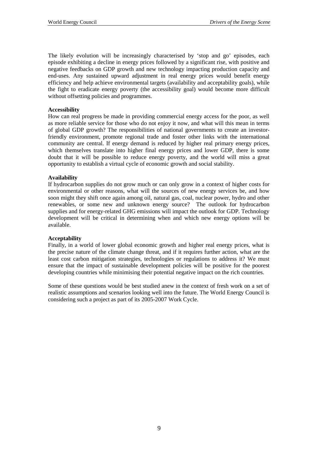The likely evolution will be increasingly characterised by 'stop and go' episodes, each episode exhibiting a decline in energy prices followed by a significant rise, with positive and negative feedbacks on GDP growth and new technology impacting production capacity and end-uses. Any sustained upward adjustment in real energy prices would benefit energy efficiency and help achieve environmental targets (availability and acceptability goals), while the fight to eradicate energy poverty (the accessibility goal) would become more difficult without offsetting policies and programmes.

#### **Accessibility**

How can real progress be made in providing commercial energy access for the poor, as well as more reliable service for those who do not enjoy it now, and what will this mean in terms of global GDP growth? The responsibilities of national governments to create an investorfriendly environment, promote regional trade and foster other links with the international community are central. If energy demand is reduced by higher real primary energy prices, which themselves translate into higher final energy prices and lower GDP, there is some doubt that it will be possible to reduce energy poverty, and the world will miss a great opportunity to establish a virtual cycle of economic growth and social stability.

#### **Availability**

If hydrocarbon supplies do not grow much or can only grow in a context of higher costs for environmental or other reasons, what will the sources of new energy services be, and how soon might they shift once again among oil, natural gas, coal, nuclear power, hydro and other renewables, or some new and unknown energy source? The outlook for hydrocarbon supplies and for energy-related GHG emissions will impact the outlook for GDP. Technology development will be critical in determining when and which new energy options will be available.

#### **Acceptability**

Finally, in a world of lower global economic growth and higher real energy prices, what is the precise nature of the climate change threat, and if it requires further action, what are the least cost carbon mitigation strategies, technologies or regulations to address it? We must ensure that the impact of sustainable development policies will be positive for the poorest developing countries while minimising their potential negative impact on the rich countries.

Some of these questions would be best studied anew in the context of fresh work on a set of realistic assumptions and scenarios looking well into the future. The World Energy Council is considering such a project as part of its 2005-2007 Work Cycle.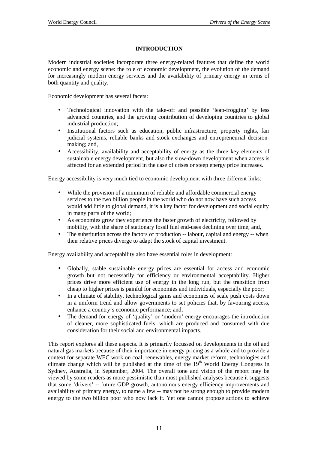## **INTRODUCTION**

Modern industrial societies incorporate three energy-related features that define the world economic and energy scene: the role of economic development, the evolution of the demand for increasingly modern energy services and the availability of primary energy in terms of both quantity and quality.

Economic development has several facets:

- Technological innovation with the take-off and possible 'leap-frogging' by less advanced countries, and the growing contribution of developing countries to global industrial production;
- Institutional factors such as education, public infrastructure, property rights, fair judicial systems, reliable banks and stock exchanges and entrepreneurial decisionmaking; and,
- Accessibility, availability and acceptability of energy as the three key elements of sustainable energy development, but also the slow-down development when access is affected for an extended period in the case of crises or steep energy price increases.

Energy accessibility is very much tied to economic development with three different links:

- While the provision of a minimum of reliable and affordable commercial energy services to the two billion people in the world who do not now have such access would add little to global demand, it is a key factor for development and social equity in many parts of the world;
- As economies grow they experience the faster growth of electricity, followed by mobility, with the share of stationary fossil fuel end-uses declining over time; and,
- The substitution across the factors of production -- labour, capital and energy -- when their relative prices diverge to adapt the stock of capital investment.

Energy availability and acceptability also have essential roles in development:

- Globally, stable sustainable energy prices are essential for access and economic growth but not necessarily for efficiency or environmental acceptability. Higher prices drive more efficient use of energy in the long run, but the transition from cheap to higher prices is painful for economies and individuals, especially the poor;
- In a climate of stability, technological gains and economies of scale push costs down in a uniform trend and allow governments to set policies that, by favouring access, enhance a country's economic performance; and,
- The demand for energy of 'quality' or 'modern' energy encourages the introduction of cleaner, more sophisticated fuels, which are produced and consumed with due consideration for their social and environmental impacts.

This report explores all these aspects. It is primarily focussed on developments in the oil and natural gas markets because of their importance in energy pricing as a whole and to provide a context for separate WEC work on coal, renewables, energy market reform, technologies and climate change which will be published at the time of the 19<sup>th</sup> World Energy Congress in Sydney, Australia, in September, 2004. The overall tone and vision of the report may be viewed by some readers as more pessimistic than most published analyses because it suggests that some 'drivers' -- future GDP growth, autonomous energy efficiency improvements and availability of primary energy, to name a few -- may not be strong enough to provide modern energy to the two billion poor who now lack it. Yet one cannot propose actions to achieve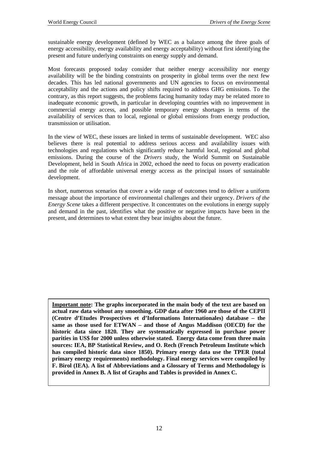sustainable energy development (defined by WEC as a balance among the three goals of energy accessibility, energy availability and energy acceptability) without first identifying the present and future underlying constraints on energy supply and demand.

Most forecasts proposed today consider that neither energy accessibility nor energy availability will be the binding constraints on prosperity in global terms over the next few decades. This has led national governments and UN agencies to focus on environmental acceptability and the actions and policy shifts required to address GHG emissions. To the contrary, as this report suggests, the problems facing humanity today may be related more to inadequate economic growth, in particular in developing countries with no improvement in commercial energy access, and possible temporary energy shortages in terms of the availability of services than to local, regional or global emissions from energy production, transmission or utilisation.

In the view of WEC, these issues are linked in terms of sustainable development. WEC also believes there is real potential to address serious access and availability issues with technologies and regulations which significantly reduce harmful local, regional and global emissions. During the course of the *Drivers* study, the World Summit on Sustainable Development, held in South Africa in 2002, echoed the need to focus on poverty eradication and the role of affordable universal energy access as the principal issues of sustainable development.

In short, numerous scenarios that cover a wide range of outcomes tend to deliver a uniform message about the importance of environmental challenges and their urgency. *Drivers of the Energy Scene* takes a different perspective. It concentrates on the evolutions in energy supply and demand in the past, identifies what the positive or negative impacts have been in the present, and determines to what extent they bear insights about the future.

**Important note: The graphs incorporated in the main body of the text are based on actual raw data without any smoothing. GDP data after 1960 are those of the CEPII (Centre d'Etudes Prospectives et d'Informations Internationales) database – the same as those used for ETWAN – and those of Angus Maddison (OECD) for the historic data since 1820. They are systematically expressed in purchase power parities in US\$ for 2000 unless otherwise stated. Energy data come from three main sources: IEA, BP Statistical Review, and O. Rech (French Petroleum Institute which has compiled historic data since 1850). Primary energy data use the TPER (total primary energy requirements) methodology. Final energy services were compiled by F. Birol (IEA). A list of Abbreviations and a Glossary of Terms and Methodology is provided in Annex B. A list of Graphs and Tables is provided in Annex C.**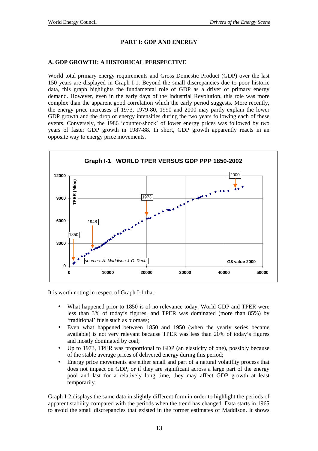# **PART I: GDP AND ENERGY**

## **A. GDP GROWTH: A HISTORICAL PERSPECTIVE**

World total primary energy requirements and Gross Domestic Product (GDP) over the last 150 years are displayed in Graph I-1. Beyond the small discrepancies due to poor historic data, this graph highlights the fundamental role of GDP as a driver of primary energy demand. However, even in the early days of the Industrial Revolution, this role was more complex than the apparent good correlation which the early period suggests. More recently, the energy price increases of 1973, 1979-80, 1990 and 2000 may partly explain the lower GDP growth and the drop of energy intensities during the two years following each of these events. Conversely, the 1986 'counter-shock' of lower energy prices was followed by two years of faster GDP growth in 1987-88. In short, GDP growth apparently reacts in an opposite way to energy price movements.



It is worth noting in respect of Graph I-1 that:

- What happened prior to 1850 is of no relevance today. World GDP and TPER were less than 3% of today's figures, and TPER was dominated (more than 85%) by 'traditional' fuels such as biomass;
- Even what happened between 1850 and 1950 (when the yearly series became available) is not very relevant because TPER was less than 20% of today's figures and mostly dominated by coal;
- Up to 1973, TPER was proportional to GDP (an elasticity of one), possibly because of the stable average prices of delivered energy during this period;
- Energy price movements are either small and part of a natural volatility process that does not impact on GDP, or if they are significant across a large part of the energy pool and last for a relatively long time, they may affect GDP growth at least temporarily.

Graph I-2 displays the same data in slightly different form in order to highlight the periods of apparent stability compared with the periods when the trend has changed. Data starts in 1965 to avoid the small discrepancies that existed in the former estimates of Maddison. It shows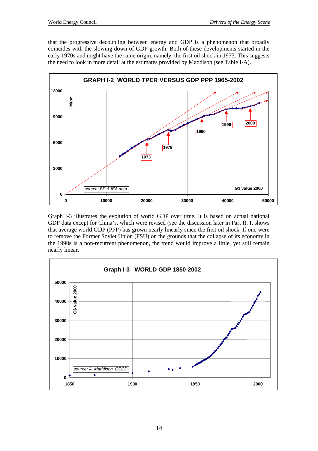that the progressive decoupling between energy and GDP is a phenomenon that broadly coincides with the slowing down of GDP growth. Both of these developments started in the early 1970s and might have the same origin, namely, the first oil shock in 1973. This suggests the need to look in more detail at the estimates provided by Maddison (see Table I-A).



Graph I-3 illustrates the evolution of world GDP over time. It is based on actual national GDP data except for China's, which were revised (see the discussion later in Part I). It shows that average world GDP (PPP) has grown nearly linearly since the first oil shock. If one were to remove the Former Soviet Union (FSU) on the grounds that the collapse of its economy in the 1990s is a non-recurrent phenomenon, the trend would improve a little, yet still remain nearly linear.

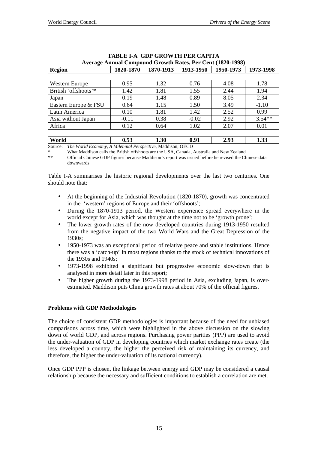| TABLE I-A GDP GROWTH PER CAPITA                                                |                                      |      |         |      |          |  |  |
|--------------------------------------------------------------------------------|--------------------------------------|------|---------|------|----------|--|--|
| <b>Average Annual Compound Growth Rates, Per Cent (1820-1998)</b>              |                                      |      |         |      |          |  |  |
| 1820-1870<br>1870-1913<br>1913-1950<br>1950-1973<br>1973-1998<br><b>Region</b> |                                      |      |         |      |          |  |  |
|                                                                                |                                      |      |         |      |          |  |  |
| <b>Western Europe</b>                                                          | 0.95                                 | 1.32 | 0.76    | 4.08 | 1.78     |  |  |
| British 'offshoots'*                                                           | 1.42                                 | 1.81 | 1.55    | 2.44 | 1.94     |  |  |
| Japan                                                                          | 0.19                                 | 1.48 | 0.89    | 8.05 | 2.34     |  |  |
| Eastern Europe & FSU                                                           | 0.64                                 | 1.15 | 1.50    | 3.49 | $-1.10$  |  |  |
| Latin America                                                                  | 0.10                                 | 1.81 | 1.42    | 2.52 | 0.99     |  |  |
| Asia without Japan                                                             | $-0.11$                              | 0.38 | $-0.02$ | 2.92 | $3.54**$ |  |  |
| Africa                                                                         | 0.12                                 | 0.64 | 1.02    | 2.07 | 0.01     |  |  |
|                                                                                |                                      |      |         |      |          |  |  |
| World                                                                          | 0.53<br>1.30<br>0.91<br>2.93<br>1.33 |      |         |      |          |  |  |
| Source: The World Economy, A Milennial Perspective, Maddison, OECD             |                                      |      |         |      |          |  |  |

\* What Maddison calls the British offshoots are the USA, Canada, Australia and New Zealand Official Chinese GDP figures because Maddison's report was issued before he revised the Chinese data downwards

Table I-A summarises the historic regional developments over the last two centuries. One should note that:

- At the beginning of the Industrial Revolution (1820-1870), growth was concentrated in the 'western' regions of Europe and their 'offshoots';
- During the 1870-1913 period, the Western experience spread everywhere in the world except for Asia, which was thought at the time not to be 'growth prone';
- The lower growth rates of the now developed countries during 1913-1950 resulted from the negative impact of the two World Wars and the Great Depression of the 1930s;
- 1950-1973 was an exceptional period of relative peace and stable institutions. Hence there was a 'catch-up' in most regions thanks to the stock of technical innovations of the 1930s and 1940s;
- 1973-1998 exhibited a significant but progressive economic slow-down that is analysed in more detail later in this report;
- The higher growth during the 1973-1998 period in Asia, excluding Japan, is overestimated. Maddison puts China growth rates at about 70% of the official figures.

#### **Problems with GDP Methodologies**

The choice of consistent GDP methodologies is important because of the need for unbiased comparisons across time, which were highlighted in the above discussion on the slowing down of world GDP, and across regions. Purchasing power parities (PPP) are used to avoid the under-valuation of GDP in developing countries which market exchange rates create (the less developed a country, the higher the perceived risk of maintaining its currency, and therefore, the higher the under-valuation of its national currency).

Once GDP PPP is chosen, the linkage between energy and GDP may be considered a causal relationship because the necessary and sufficient conditions to establish a correlation are met.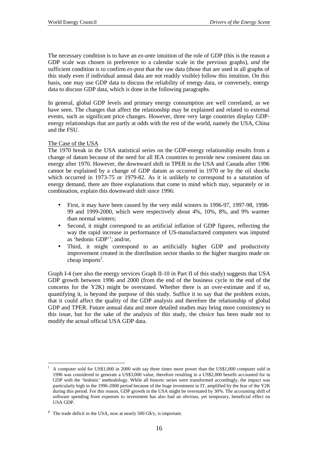The necessary condition is to have an *ex-ante* intuition of the role of GDP (this is the reason a GDP scale was chosen in preference to a calendar scale in the previous graphs), *and* the sufficient condition is to confirm *ex-post* that the raw data (those that are used in all graphs of this study even if individual annual data are not readily visible) follow this intuition. On this basis, one may use GDP data to discuss the reliability of energy data, or conversely, energy data to discuss GDP data, which is done in the following paragraphs.

In general, global GDP levels and primary energy consumption are well correlated, as we have seen. The changes that affect the relationship may be explained and related to external events, such as significant price changes. However, three very large countries display GDPenergy relationships that are partly at odds with the rest of the world, namely the USA, China and the FSU.

## The Case of the USA

The 1970 break in the USA statistical series on the GDP-energy relationship results from a change of datum because of the need for all IEA countries to provide new consistent data on energy after 1970. However, the downward shift in TPER in the USA and Canada after 1996 cannot be explained by a change of GDP datum as occurred in 1970 or by the oil shocks which occurred in 1973-75 or 1979-82. As it is unlikely to correspond to a saturation of energy demand, there are three explanations that come to mind which may, separately or in combination, explain this downward shift since 1996:

- First, it may have been caused by the very mild winters in 1996-97, 1997-98, 1998- 99 and 1999-2000, which were respectively about 4%, 10%, 8%, and 9% warmer than normal winters;
- Second, it might correspond to an artificial inflation of GDP figures, reflecting the way the rapid increase in performance of US-manufactured computers was imputed as 'hedonic GDP'1 ; and/or,
- Third, it might correspond to an artificially higher GDP and productivity improvement created in the distribution sector thanks to the higher margins made on  $cheap$  imports<sup>2</sup>.

Graph I-4 (see also the energy services Graph II-10 in Part II of this study) suggests that USA GDP growth between 1996 and 2000 (from the end of the business cycle to the end of the concerns for the Y2K) might be overstated. Whether there is an over-estimate and if so, quantifying it, is beyond the purpose of this study. Suffice it to say that the problem exists, that it could affect the quality of the GDP analysis and therefore the relationship of global GDP and TPER. Future annual data and more detailed studies may bring more consistency to this issue, but for the sake of the analysis of this study, the choice has been made not to modify the actual official USA GDP data.

 $\overline{a}$ 1 A computer sold for US\$1,000 in 2000 with say three times more power than the US\$1,000 computer sold in 1996 was considered to generate a US\$3,000 value, therefore resulting in a US\$2,000 benefit accounted for in GDP with the 'hedonic' methodology. While all historic series were transformed accordingly, the impact was particularly high in the 1996-2000 period because of the huge investment in IT, amplified by the fear of the Y2K during this period. For this reason, GDP growth in the USA might be overstated by 30%. The accounting shift of software spending from expenses to investment has also had an obvious, yet temporary, beneficial effect on USA GDP.

<sup>&</sup>lt;sup>2</sup> The trade deficit in the USA, now at nearly 500 G\$/y, is important.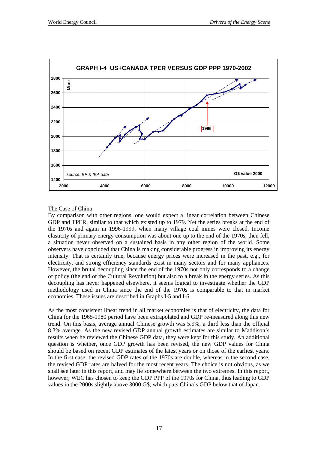

## The Case of China

By comparison with other regions, one would expect a linear correlation between Chinese GDP and TPER, similar to that which existed up to 1979. Yet the series breaks at the end of the 1970s and again in 1996-1999, when many village coal mines were closed. Income elasticity of primary energy consumption was about one up to the end of the 1970s, then fell, a situation never observed on a sustained basis in any other region of the world. Some observers have concluded that China is making considerable progress in improving its energy intensity. That is certainly true, because energy prices were increased in the past, e.g., for electricity, and strong efficiency standards exist in many sectors and for many appliances. However, the brutal decoupling since the end of the 1970s not only corresponds to a change of policy (the end of the Cultural Revolution) but also to a break in the energy series. As this decoupling has never happened elsewhere, it seems logical to investigate whether the GDP methodology used in China since the end of the 1970s is comparable to that in market economies. These issues are described in Graphs I-5 and I-6.

As the most consistent linear trend in all market economies is that of electricity, the data for China for the 1965-1980 period have been extrapolated and GDP re-measured along this new trend. On this basis, average annual Chinese growth was 5.9%, a third less than the official 8.3% average. As the new revised GDP annual growth estimates are similar to Maddison's results when he reviewed the Chinese GDP data, they were kept for this study. An additional question is whether, once GDP growth has been revised, the new GDP values for China should be based on recent GDP estimates of the latest years or on those of the earliest years. In the first case, the revised GDP rates of the 1970s are double, whereas in the second case, the revised GDP rates are halved for the most recent years. The choice is not obvious, as we shall see later in this report, and may lie somewhere between the two extremes. In this report, however, WEC has chosen to keep the GDP PPP of the 1970s for China, thus leading to GDP values in the 2000s slightly above 3000 G\$, which puts China's GDP below that of Japan.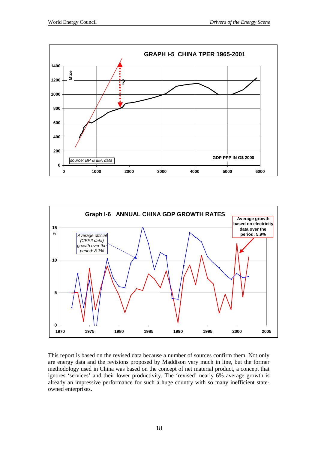



This report is based on the revised data because a number of sources confirm them. Not only are energy data and the revisions proposed by Maddison very much in line, but the former methodology used in China was based on the concept of net material product, a concept that ignores 'services' and their lower productivity. The 'revised' nearly 6% average growth is already an impressive performance for such a huge country with so many inefficient stateowned enterprises.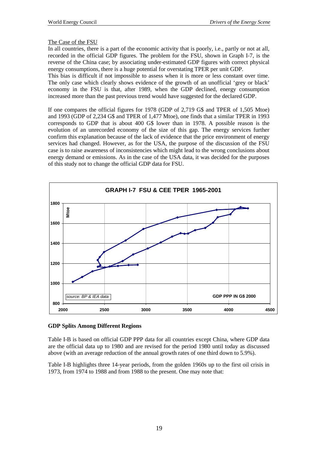## The Case of the FSU

In all countries, there is a part of the economic activity that is poorly, i.e., partly or not at all, recorded in the official GDP figures. The problem for the FSU, shown in Graph I-7, is the reverse of the China case; by associating under-estimated GDP figures with correct physical energy consumptions, there is a huge potential for overstating TPER per unit GDP.

This bias is difficult if not impossible to assess when it is more or less constant over time. The only case which clearly shows evidence of the growth of an unofficial 'grey or black' economy in the FSU is that, after 1989, when the GDP declined, energy consumption increased more than the past previous trend would have suggested for the declared GDP.

If one compares the official figures for 1978 (GDP of 2,719 G\$ and TPER of 1,505 Mtoe) and 1993 (GDP of 2,234 G\$ and TPER of 1,477 Mtoe), one finds that a similar TPER in 1993 corresponds to GDP that is about 400 G\$ lower than in 1978. A possible reason is the evolution of an unrecorded economy of the size of this gap. The energy services further confirm this explanation because of the lack of evidence that the price environment of energy services had changed. However, as for the USA, the purpose of the discussion of the FSU case is to raise awareness of inconsistencies which might lead to the wrong conclusions about energy demand or emissions. As in the case of the USA data, it was decided for the purposes of this study not to change the official GDP data for FSU.



#### **GDP Splits Among Different Regions**

Table I-B is based on official GDP PPP data for all countries except China, where GDP data are the official data up to 1980 and are revised for the period 1980 until today as discussed above (with an average reduction of the annual growth rates of one third down to 5.9%).

Table I-B highlights three 14-year periods, from the golden 1960s up to the first oil crisis in 1973, from 1974 to 1988 and from 1988 to the present. One may note that: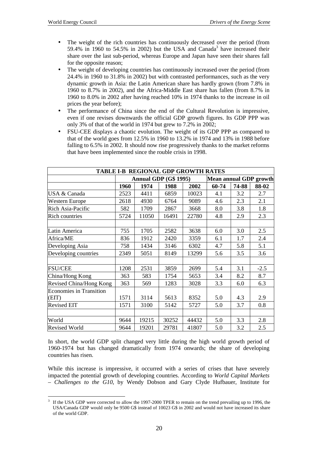- The weight of the rich countries has continuously decreased over the period (from 59.4% in 1960 to 54.5% in 2002) but the USA and Canada<sup>3</sup> have increased their share over the last sub-period, whereas Europe and Japan have seen their shares fall for the opposite reason;
- The weight of developing countries has continuously increased over the period (from 24.4% in 1960 to 31.8% in 2002) but with contrasted performances, such as the very dynamic growth in Asia: the Latin American share has hardly grown (from 7.8% in 1960 to 8.7% in 2002), and the Africa-Middle East share has fallen (from 8.7% in 1960 to 8.0% in 2002 after having reached 10% in 1974 thanks to the increase in oil prices the year before);
- The performance of China since the end of the Cultural Revolution is impressive, even if one revises downwards the official GDP growth figures. Its GDP PPP was only 3% of that of the world in 1974 but grew to 7.2% in 2002;
- FSU-CEE displays a chaotic evolution. The weight of its GDP PPP as compared to that of the world goes from 12.5% in 1960 to 13.2% in 1974 and 13% in 1988 before falling to 6.5% in 2002. It should now rise progressively thanks to the market reforms that have been implemented since the rouble crisis in 1998.

| TABLE I-B REGIONAL GDP GROWTH RATES     |                       |       |       |       |                               |       |        |  |
|-----------------------------------------|-----------------------|-------|-------|-------|-------------------------------|-------|--------|--|
|                                         | Annual GDP (G\$ 1995) |       |       |       | <b>Mean annual GDP growth</b> |       |        |  |
|                                         | 1960                  | 1974  | 1988  | 2002  | 60-74                         | 74-88 | 88-02  |  |
| <b>USA &amp; Canada</b>                 | 2523                  | 4411  | 6859  | 10023 | 4.1                           | 3.2   | 2.7    |  |
| <b>Western Europe</b>                   | 2618                  | 4930  | 6764  | 9089  | 4.6                           | 2.3   | 2.1    |  |
| Rich Asia-Pacific                       | 582                   | 1709  | 2867  | 3668  | 8.0                           | 3.8   | 1.8    |  |
| <b>Rich countries</b>                   | 5724                  | 11050 | 16491 | 22780 | 4.8                           | 2.9   | 2.3    |  |
| Latin America                           | 755                   | 1705  | 2582  | 3638  | 6.0                           | 3.0   | 2.5    |  |
| Africa/ME                               | 836                   | 1912  | 2420  | 3359  | 6.1                           | 1.7   | 2.4    |  |
| Developing Asia                         | 758                   | 1434  | 3146  | 6302  | 4.7                           | 5.8   | 5.1    |  |
| Developing countries                    | 2349                  | 5051  | 8149  | 13299 | 5.6                           | 3.5   | 3.6    |  |
|                                         |                       |       |       |       |                               |       |        |  |
| <b>FSU/CEE</b>                          | 1208                  | 2531  | 3859  | 2699  | 5.4                           | 3.1   | $-2.5$ |  |
| China/Hong Kong                         | 363                   | 583   | 1754  | 5653  | 3.4                           | 8.2   | 8.7    |  |
| Revised China/Hong Kong                 | 363                   | 569   | 1283  | 3028  | 3.3                           | 6.0   | 6.3    |  |
| <b>Economies in Transition</b><br>(EIT) | 1571                  | 3114  | 5613  | 8352  | 5.0                           | 4.3   | 2.9    |  |
| <b>Revised EIT</b>                      | 1571                  | 3100  | 5142  | 5727  | 5.0                           | 3.7   | 0.8    |  |
|                                         |                       |       |       |       |                               |       |        |  |
| World                                   | 9644                  | 19215 | 30252 | 44432 | 5.0                           | 3.3   | 2.8    |  |
| <b>Revised World</b>                    | 9644                  | 19201 | 29781 | 41807 | 5.0                           | 3.2   | 2.5    |  |

In short, the world GDP split changed very little during the high world growth period of 1960-1974 but has changed dramatically from 1974 onwards; the share of developing countries has risen.

While this increase is impressive, it occurred with a series of crises that have severely impacted the potential growth of developing countries. According to *World Capital Markets – Challenges to the G10*, by Wendy Dobson and Gary Clyde Hufbauer, Institute for

 $\overline{a}$ 3 If the USA GDP were corrected to allow the 1997-2000 TPER to remain on the trend prevailing up to 1996, the USA/Canada GDP would only be 9500 G\$ instead of 10023 G\$ in 2002 and would not have increased its share of the world GDP.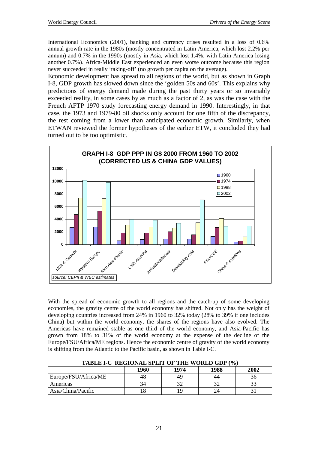International Economics (2001), banking and currency crises resulted in a loss of 0.6% annual growth rate in the 1980s (mostly concentrated in Latin America, which lost 2.2% per annum) and 0.7% in the 1990s (mostly in Asia, which lost 1.4%, with Latin America losing another 0.7%). Africa-Middle East experienced an even worse outcome because this region never succeeded in really 'taking-off' (no growth per capita on the average).

Economic development has spread to all regions of the world, but as shown in Graph I-8, GDP growth has slowed down since the 'golden 50s and 60s'. This explains why predictions of energy demand made during the past thirty years or so invariably exceeded reality, in some cases by as much as a factor of 2, as was the case with the French AFTP 1970 study forecasting energy demand in 1990. Interestingly, in that case, the 1973 and 1979-80 oil shocks only account for one fifth of the discrepancy, the rest coming from a lower than anticipated economic growth. Similarly, when ETWAN reviewed the former hypotheses of the earlier ETW, it concluded they had turned out to be too optimistic.



With the spread of economic growth to all regions and the catch-up of some developing economies, the gravity centre of the world economy has shifted. Not only has the weight of developing countries increased from 24% in 1960 to 32% today (28% to 39% if one includes China) but within the world economy, the shares of the regions have also evolved. The Americas have remained stable as one third of the world economy, and Asia-Pacific has grown from 18% to 31% of the world economy at the expense of the decline of the Europe/FSU/Africa/ME regions. Hence the economic centre of gravity of the world economy is shifting from the Atlantic to the Pacific basin, as shown in Table I-C.

| TABLE I-C REGIONAL SPLIT OF THE WORLD GDP (%) |      |      |      |      |  |  |
|-----------------------------------------------|------|------|------|------|--|--|
|                                               | 1960 | 1974 | 1988 | 2002 |  |  |
| Europe/FSU/Africa/ME                          |      | 49   | 44   |      |  |  |
| Americas                                      | 34   | 20   | 32   |      |  |  |
| Asia/China/Pacific                            |      | ١q   |      |      |  |  |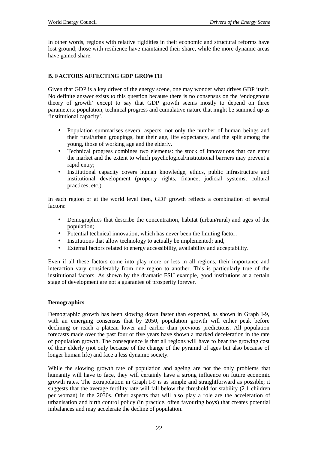In other words, regions with relative rigidities in their economic and structural reforms have lost ground; those with resilience have maintained their share, while the more dynamic areas have gained share.

## **B. FACTORS AFFECTING GDP GROWTH**

Given that GDP is a key driver of the energy scene, one may wonder what drives GDP itself. No definite answer exists to this question because there is no consensus on the 'endogenous theory of growth' except to say that GDP growth seems mostly to depend on three parameters: population, technical progress and cumulative nature that might be summed up as 'institutional capacity'.

- Population summarises several aspects, not only the number of human beings and their rural/urban groupings, but their age, life expectancy, and the split among the young, those of working age and the elderly.
- Technical progress combines two elements: the stock of innovations that can enter the market and the extent to which psychological/institutional barriers may prevent a rapid entry;
- Institutional capacity covers human knowledge, ethics, public infrastructure and institutional development (property rights, finance, judicial systems, cultural practices, etc.).

In each region or at the world level then, GDP growth reflects a combination of several factors:

- Demographics that describe the concentration, habitat (urban/rural) and ages of the population;
- Potential technical innovation, which has never been the limiting factor;
- Institutions that allow technology to actually be implemented; and,
- External factors related to energy accessibility, availability and acceptability.

Even if all these factors come into play more or less in all regions, their importance and interaction vary considerably from one region to another. This is particularly true of the institutional factors. As shown by the dramatic FSU example, good institutions at a certain stage of development are not a guarantee of prosperity forever.

#### **Demographics**

Demographic growth has been slowing down faster than expected, as shown in Graph I-9, with an emerging consensus that by 2050, population growth will either peak before declining or reach a plateau lower and earlier than previous predictions. All population forecasts made over the past four or five years have shown a marked deceleration in the rate of population growth. The consequence is that all regions will have to bear the growing cost of their elderly (not only because of the change of the pyramid of ages but also because of longer human life) and face a less dynamic society.

While the slowing growth rate of population and ageing are not the only problems that humanity will have to face, they will certainly have a strong influence on future economic growth rates. The extrapolation in Graph I-9 is as simple and straightforward as possible; it suggests that the average fertility rate will fall below the threshold for stability (2.1 children per woman) in the 2030s. Other aspects that will also play a role are the acceleration of urbanisation and birth control policy (in practice, often favouring boys) that creates potential imbalances and may accelerate the decline of population.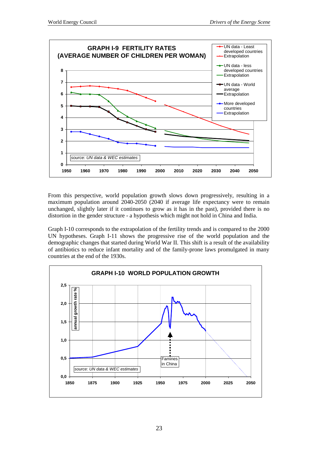

From this perspective, world population growth slows down progressively, resulting in a maximum population around 2040-2050 (2040 if average life expectancy were to remain unchanged, slightly later if it continues to grow as it has in the past), provided there is no distortion in the gender structure - a hypothesis which might not hold in China and India.

Graph I-10 corresponds to the extrapolation of the fertility trends and is compared to the 2000 UN hypotheses. Graph I-11 shows the progressive rise of the world population and the demographic changes that started during World War II. This shift is a result of the availability of antibiotics to reduce infant mortality and of the family-prone laws promulgated in many countries at the end of the 1930s.

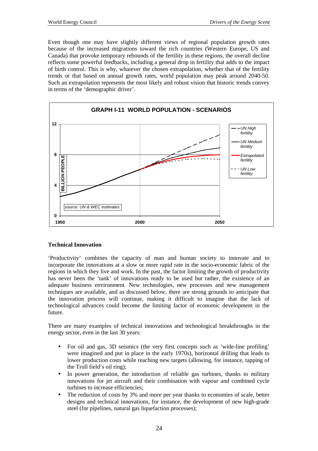Even though one may have slightly different views of regional population growth rates because of the increased migrations toward the rich countries (Western Europe, US and Canada) that provoke temporary rebounds of the fertility in these regions, the overall decline reflects some powerful feedbacks, including a general drop in fertility that adds to the impact of birth control. This is why, whatever the chosen extrapolation, whether that of the fertility trends or that based on annual growth rates, world population may peak around 2040-50. Such an extrapolation represents the most likely and robust vision that historic trends convey in terms of the 'demographic driver'.



## **Technical Innovation**

'Productivity' combines the capacity of man and human society to innovate and to incorporate the innovations at a slow or more rapid rate in the socio-economic fabric of the regions in which they live and work. In the past, the factor limiting the growth of productivity has never been the 'tank' of innovations ready to be used but rather, the existence of an adequate business environment. New technologies, new processes and new management techniques are available, and as discussed below, there are strong grounds to anticipate that the innovation process will continue, making it difficult to imagine that the lack of technological advances could become the limiting factor of economic development in the future.

There are many examples of technical innovations and technological breakthroughs in the energy sector, even in the last 30 years:

- For oil and gas, 3D seismics (the very first concepts such as 'wide-line profiling' were imagined and put in place in the early 1970s), horizontal drilling that leads to lower production costs while reaching new targets (allowing, for instance, tapping of the Troll field's oil ring);
- In power generation, the introduction of reliable gas turbines, thanks to military innovations for jet aircraft and their combination with vapour and combined cycle turbines to increase efficiencies;
- The reduction of costs by 3% and more per year thanks to economies of scale, better designs and technical innovations, for instance, the development of new high-grade steel (for pipelines, natural gas liquefaction processes);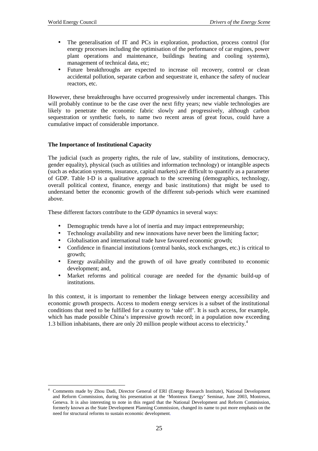$\overline{a}$ 

- The generalisation of IT and PCs in exploration, production, process control (for energy processes including the optimisation of the performance of car engines, power plant operations and maintenance, buildings heating and cooling systems), management of technical data, etc;
- Future breakthroughs are expected to increase oil recovery, control or clean accidental pollution, separate carbon and sequestrate it, enhance the safety of nuclear reactors, etc.

However, these breakthroughs have occurred progressively under incremental changes. This will probably continue to be the case over the next fifty years; new viable technologies are likely to penetrate the economic fabric slowly and progressively, although carbon sequestration or synthetic fuels, to name two recent areas of great focus, could have a cumulative impact of considerable importance.

## **The Importance of Institutional Capacity**

The judicial (such as property rights, the rule of law, stability of institutions, democracy, gender equality), physical (such as utilities and information technology) or intangible aspects (such as education systems, insurance, capital markets) are difficult to quantify as a parameter of GDP. Table I-D is a qualitative approach to the screening (demographics, technology, overall political context, finance, energy and basic institutions) that might be used to understand better the economic growth of the different sub-periods which were examined above.

These different factors contribute to the GDP dynamics in several ways:

- Demographic trends have a lot of inertia and may impact entrepreneurship;
- Technology availability and new innovations have never been the limiting factor;
- Globalisation and international trade have favoured economic growth;
- Confidence in financial institutions (central banks, stock exchanges, etc.) is critical to growth;
- Energy availability and the growth of oil have greatly contributed to economic development; and,
- Market reforms and political courage are needed for the dynamic build-up of institutions.

In this context, it is important to remember the linkage between energy accessibility and economic growth prospects. Access to modern energy services is a subset of the institutional conditions that need to be fulfilled for a country to 'take off'. It is such access, for example, which has made possible China's impressive growth record; in a population now exceeding 1.3 billion inhabitants, there are only 20 million people without access to electricity.<sup>4</sup>

<sup>4</sup> Comments made by Zhou Dadi, Director General of ERI (Energy Research Institute), National Development and Reform Commission, during his presentation at the 'Montreux Energy' Seminar, June 2003, Montreux, Geneva. It is also interesting to note in this regard that the National Development and Reform Commission, formerly known as the State Development Planning Commission, changed its name to put more emphasis on the need for structural reforms to sustain economic development.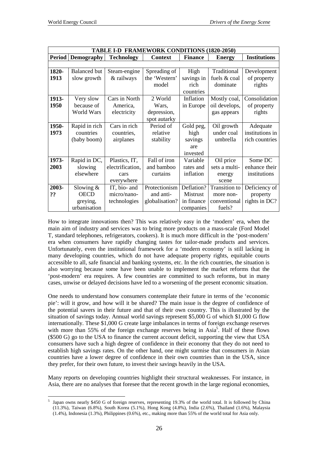$\overline{a}$ 

| TABLE I-D FRAMEWORK CONDITIONS (1820-2050) |                     |                   |                |                 |                      |                     |  |  |  |
|--------------------------------------------|---------------------|-------------------|----------------|-----------------|----------------------|---------------------|--|--|--|
| <b>Period   Demography</b>                 |                     | <b>Technology</b> | <b>Context</b> | <b>Finance</b>  | <b>Energy</b>        | <b>Institutions</b> |  |  |  |
|                                            |                     |                   |                |                 |                      |                     |  |  |  |
| 1820-                                      | <b>Balanced</b> but | Steam-engine      | Spreading of   | High            | Traditional          | Development         |  |  |  |
| 1913                                       | slow growth         | & railways        | the 'Western'  | savings in      | fuels & coal         | of property         |  |  |  |
|                                            |                     |                   | model          | rich            | dominate             | rights              |  |  |  |
|                                            |                     |                   |                | countries       |                      |                     |  |  |  |
| 1913-                                      | Very slow           | Cars in North     | 2 World        | Inflation       | Mostly coal,         | Consolidation       |  |  |  |
| 1950                                       | because of          | America,          | Wars,          | in Europe       | oil develops,        | of property         |  |  |  |
|                                            | World Wars          | electricity       | depression,    |                 | gas appears          | rights              |  |  |  |
|                                            |                     |                   | spot autarky   |                 |                      |                     |  |  |  |
| 1950-                                      | Rapid in rich       | Cars in rich      | Period of      | Gold peg,       | Oil growth           | Adequate            |  |  |  |
| 1973                                       | countries           | countries,        | relative       | high            | under coal           | institutions in     |  |  |  |
|                                            | (baby boom)         | airplanes         | stability      | savings         | umbrella             | rich countries      |  |  |  |
|                                            |                     |                   |                | are             |                      |                     |  |  |  |
|                                            |                     |                   |                | invested        |                      |                     |  |  |  |
| 1973-                                      | Rapid in DC,        | Plastics, IT,     | Fall of iron   | Variable        | Oil price            | Some DC             |  |  |  |
| 2003                                       | slowing             | electrification,  | and bamboo     | rates and       | sets a multi-        | enhance their       |  |  |  |
|                                            | elsewhere           | cars              | curtains       | inflation       | energy               | institutions        |  |  |  |
|                                            |                     | everywhere        |                |                 | scene                |                     |  |  |  |
| 2003-                                      | Slowing $&$         | IT, bio- and      | Protectionism  | Deflation?      | <b>Transition</b> to | Deficiency of       |  |  |  |
| ??                                         | <b>OECD</b>         | micro/nano-       | and anti-      | <b>Mistrust</b> | more non-            | property            |  |  |  |
|                                            | greying,            | technologies      | globalisation? | in finance      | conventional         | rights in DC?       |  |  |  |
|                                            | urbanisation        |                   |                | companies       | fuels?               |                     |  |  |  |

How to integrate innovations then? This was relatively easy in the 'modern' era, when the main aim of industry and services was to bring more products on a mass-scale (Ford Model T, standard telephones, refrigerators, cookers). It is much more difficult in the 'post-modern' era when consumers have rapidly changing tastes for tailor-made products and services. Unfortunately, even the institutional framework for a 'modern economy' is still lacking in many developing countries, which do not have adequate property rights, equitable courts accessible to all, safe financial and banking systems, etc. In the rich countries, the situation is also worrying because some have been unable to implement the market reforms that the 'post-modern' era requires. A few countries are committed to such reforms, but in many cases, unwise or delayed decisions have led to a worsening of the present economic situation.

One needs to understand how consumers contemplate their future in terms of the 'economic pie': will it grow, and how will it be shared? The main issue is the degree of confidence of the potential savers in their future and that of their own country. This is illustrated by the situation of savings today. Annual world savings represent \$5,000 G of which \$1,000 G flow internationally. These \$1,000 G create large imbalances in terms of foreign exchange reserves with more than  $55\%$  of the foreign exchange reserves being in Asia<sup>5</sup>. Half of these flows (\$500 G) go to the USA to finance the current account deficit, supporting the view that USA consumers have such a high degree of confidence in their economy that they do not need to establish high savings rates. On the other hand, one might surmise that consumers in Asian countries have a lower degree of confidence in their own countries than in the USA, since they prefer, for their own future, to invest their savings heavily in the USA.

Many reports on developing countries highlight their structural weaknesses. For instance, in Asia, there are no analyses that foresee that the recent growth in the large regional economies,

<sup>5</sup> Japan owns nearly \$450 G of foreign reserves, representing 19.3% of the world total. It is followed by China (11.3%), Taiwan (6.8%), South Korea (5.1%), Hong Kong (4.8%), India (2.6%), Thailand (1.6%), Malaysia (1.4%), Indonesia (1.3%), Philippines (0.6%), etc., making more than 55% of the world total for Asia only.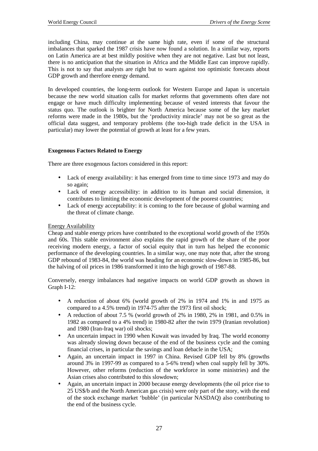including China, may continue at the same high rate, even if some of the structural imbalances that sparked the 1987 crisis have now found a solution. In a similar way, reports on Latin America are at best mildly positive when they are not negative. Last but not least, there is no anticipation that the situation in Africa and the Middle East can improve rapidly. This is not to say that analysts are right but to warn against too optimistic forecasts about GDP growth and therefore energy demand.

In developed countries, the long-term outlook for Western Europe and Japan is uncertain because the new world situation calls for market reforms that governments often dare not engage or have much difficulty implementing because of vested interests that favour the status quo. The outlook is brighter for North America because some of the key market reforms were made in the 1980s, but the 'productivity miracle' may not be so great as the official data suggest, and temporary problems (the too-high trade deficit in the USA in particular) may lower the potential of growth at least for a few years.

## **Exogenous Factors Related to Energy**

There are three exogenous factors considered in this report:

- Lack of energy availability: it has emerged from time to time since 1973 and may do so again;
- Lack of energy accessibility: in addition to its human and social dimension, it contributes to limiting the economic development of the poorest countries;
- Lack of energy acceptability: it is coming to the fore because of global warming and the threat of climate change.

#### Energy Availability

Cheap and stable energy prices have contributed to the exceptional world growth of the 1950s and 60s. This stable environment also explains the rapid growth of the share of the poor receiving modern energy, a factor of social equity that in turn has helped the economic performance of the developing countries. In a similar way, one may note that, after the strong GDP rebound of 1983-84, the world was heading for an economic slow-down in 1985-86, but the halving of oil prices in 1986 transformed it into the high growth of 1987-88.

Conversely, energy imbalances had negative impacts on world GDP growth as shown in Graph I-12:

- A reduction of about 6% (world growth of 2% in 1974 and 1% in and 1975 as compared to a 4.5% trend) in 1974-75 after the 1973 first oil shock;
- A reduction of about 7.5 % (world growth of 2% in 1980, 2% in 1981, and 0.5% in 1982 as compared to a 4% trend) in 1980-82 after the twin 1979 (Iranian revolution) and 1980 (Iran-Iraq war) oil shocks;
- An uncertain impact in 1990 when Kuwait was invaded by Iraq. The world economy was already slowing down because of the end of the business cycle and the coming financial crises, in particular the savings and loan debacle in the USA;
- Again, an uncertain impact in 1997 in China. Revised GDP fell by 8% (growths around 3% in 1997-99 as compared to a 5-6% trend) when coal supply fell by 30%. However, other reforms (reduction of the workforce in some ministries) and the Asian crises also contributed to this slowdown;
- Again, an uncertain impact in 2000 because energy developments (the oil price rise to 25 US\$/b and the North American gas crisis) were only part of the story, with the end of the stock exchange market 'bubble' (in particular NASDAQ) also contributing to the end of the business cycle.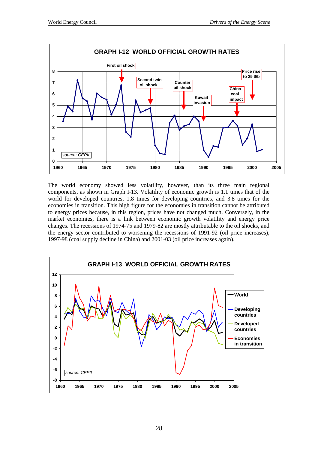

The world economy showed less volatility, however, than its three main regional components, as shown in Graph I-13. Volatility of economic growth is 1.1 times that of the world for developed countries, 1.8 times for developing countries, and 3.8 times for the economies in transition. This high figure for the economies in transition cannot be attributed to energy prices because, in this region, prices have not changed much. Conversely, in the market economies, there is a link between economic growth volatility and energy price changes. The recessions of 1974-75 and 1979-82 are mostly attributable to the oil shocks, and the energy sector contributed to worsening the recessions of 1991-92 (oil price increases), 1997-98 (coal supply decline in China) and 2001-03 (oil price increases again).

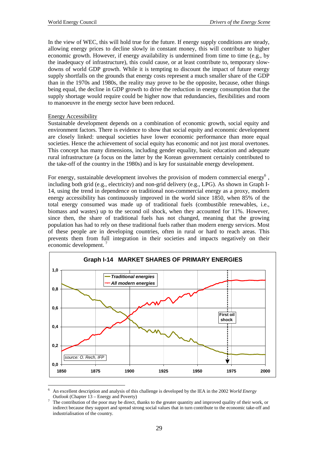In the view of WEC, this will hold true for the future. If energy supply conditions are steady, allowing energy prices to decline slowly in constant money, this will contribute to higher economic growth. However, if energy availability is undermined from time to time (e.g., by the inadequacy of infrastructure), this could cause, or at least contribute to, temporary slowdowns of world GDP growth. While it is tempting to discount the impact of future energy supply shortfalls on the grounds that energy costs represent a much smaller share of the GDP than in the 1970s and 1980s, the reality may prove to be the opposite, because, other things being equal, the decline in GDP growth to drive the reduction in energy consumption that the supply shortage would require could be higher now that redundancies, flexibilities and room to manoeuvre in the energy sector have been reduced.

## Energy Accessibility

Sustainable development depends on a combination of economic growth, social equity and environment factors. There is evidence to show that social equity and economic development are closely linked: unequal societies have lower economic performance than more equal societies. Hence the achievement of social equity has economic and not just moral overtones. This concept has many dimensions, including gender equality, basic education and adequate rural infrastructure (a focus on the latter by the Korean government certainly contributed to the take-off of the country in the 1980s) and is key for sustainable energy development.

For energy, sustainable development involves the provision of modern commercial energy  $6$ , including both grid (e.g., electricity) and non-grid delivery (e.g., LPG). As shown in Graph I-14, using the trend in dependence on traditional non-commercial energy as a proxy, modern energy accessibility has continuously improved in the world since 1850, when 85% of the total energy consumed was made up of traditional fuels (combustible renewables, i.e., biomass and wastes) up to the second oil shock, when they accounted for 11%. However, since then, the share of traditional fuels has not changed, meaning that the growing population has had to rely on these traditional fuels rather than modern energy services. Most of these people are in developing countries, often in rural or hard to reach areas. This prevents them from full integration in their societies and impacts negatively on their economic development.<sup>7</sup>



 $\overline{a}$ 6 An excellent description and analysis of this challenge is developed by the IEA in the 2002 *World Energy Outlook* (Chapter  $13$  – Energy and Poverty)

The contribution of the poor may be direct, thanks to the greater quantity and improved quality of their work, or indirect because they support and spread strong social values that in turn contribute to the economic take-off and industrialisation of the country.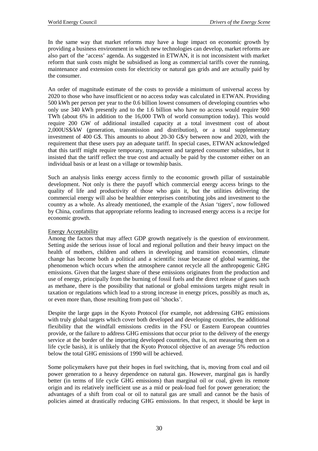In the same way that market reforms may have a huge impact on economic growth by providing a business environment in which new technologies can develop, market reforms are also part of the 'access' agenda. As suggested in ETWAN, it is not inconsistent with market reform that sunk costs might be subsidised as long as commercial tariffs cover the running, maintenance and extension costs for electricity or natural gas grids and are actually paid by the consumer.

An order of magnitude estimate of the costs to provide a minimum of universal access by 2020 to those who have insufficient or no access today was calculated in ETWAN. Providing 500 kWh per person per year to the 0.6 billion lowest consumers of developing countries who only use 340 kWh presently and to the 1.6 billion who have no access would require 900 TWh (about 6% in addition to the 16,000 TWh of world consumption today). This would require 200 GW of additional installed capacity at a total investment cost of about 2,000US\$/kW (generation, transmission and distribution), or a total supplementary investment of 400 G\$. This amounts to about 20-30 G\$/y between now and 2020, with the requirement that these users pay an adequate tariff. In special cases, ETWAN acknowledged that this tariff might require temporary, transparent and targeted consumer subsidies, but it insisted that the tariff reflect the true cost and actually be paid by the customer either on an individual basis or at least on a village or township basis.

Such an analysis links energy access firmly to the economic growth pillar of sustainable development. Not only is there the payoff which commercial energy access brings to the quality of life and productivity of those who gain it, but the utilities delivering the commercial energy will also be healthier enterprises contributing jobs and investment to the country as a whole. As already mentioned, the example of the Asian 'tigers', now followed by China, confirms that appropriate reforms leading to increased energy access is a recipe for economic growth.

## Energy Acceptability

Among the factors that may affect GDP growth negatively is the question of environment. Setting aside the serious issue of local and regional pollution and their heavy impact on the health of mothers, children and others in developing and transition economies, climate change has become both a political and a scientific issue because of global warming, the phenomenon which occurs when the atmosphere cannot recycle all the anthropogenic GHG emissions. Given that the largest share of these emissions originates from the production and use of energy, principally from the burning of fossil fuels and the direct release of gases such as methane, there is the possibility that national or global emissions targets might result in taxation or regulations which lead to a strong increase in energy prices, possibly as much as, or even more than, those resulting from past oil 'shocks'.

Despite the large gaps in the Kyoto Protocol (for example, not addressing GHG emissions with truly global targets which cover both developed and developing countries, the additional flexibility that the windfall emissions credits in the FSU or Eastern European countries provide, or the failure to address GHG emissions that occur prior to the delivery of the energy service at the border of the importing developed countries, that is, not measuring them on a life cycle basis), it is unlikely that the Kyoto Protocol objective of an average 5% reduction below the total GHG emissions of 1990 will be achieved.

Some policymakers have put their hopes in fuel switching, that is, moving from coal and oil power generation to a heavy dependence on natural gas. However, marginal gas is hardly better (in terms of life cycle GHG emissions) than marginal oil or coal, given its remote origin and its relatively inefficient use as a mid or peak-load fuel for power generation; the advantages of a shift from coal or oil to natural gas are small and cannot be the basis of policies aimed at drastically reducing GHG emissions. In that respect, it should be kept in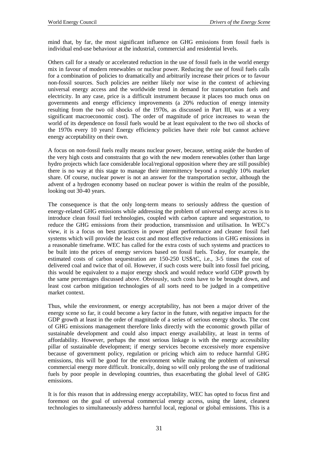mind that, by far, the most significant influence on GHG emissions from fossil fuels is individual end-use behaviour at the industrial, commercial and residential levels.

Others call for a steady or accelerated reduction in the use of fossil fuels in the world energy mix in favour of modern renewables or nuclear power. Reducing the use of fossil fuels calls for a combination of policies to dramatically and arbitrarily increase their prices or to favour non-fossil sources. Such policies are neither likely nor wise in the context of achieving universal energy access and the worldwide trend in demand for transportation fuels and electricity. In any case, price is a difficult instrument because it places too much onus on governments and energy efficiency improvements (a 20% reduction of energy intensity resulting from the two oil shocks of the 1970s, as discussed in Part III, was at a very significant macroeconomic cost). The order of magnitude of price increases to wean the world of its dependence on fossil fuels would be at least equivalent to the two oil shocks of the 1970s every 10 years! Energy efficiency policies have their role but cannot achieve energy acceptability on their own.

A focus on non-fossil fuels really means nuclear power, because, setting aside the burden of the very high costs and constraints that go with the new modern renewables (other than large hydro projects which face considerable local/regional opposition where they are still possible) there is no way at this stage to manage their intermittency beyond a roughly 10% market share. Of course, nuclear power is not an answer for the transportation sector, although the advent of a hydrogen economy based on nuclear power is within the realm of the possible, looking out 30-40 years.

The consequence is that the only long-term means to seriously address the question of energy-related GHG emissions while addressing the problem of universal energy access is to introduce clean fossil fuel technologies, coupled with carbon capture and sequestration, to reduce the GHG emissions from their production, transmission and utilisation. In WEC's view, it is a focus on best practices in power plant performance and cleaner fossil fuel systems which will provide the least cost and most effective reductions in GHG emissions in a reasonable timeframe. WEC has called for the extra costs of such systems and practices to be built into the prices of energy services based on fossil fuels. Today, for example, the estimated costs of carbon sequestration are 150-250 US\$/tC, i.e., 3-5 times the cost of delivered coal and twice that of oil. However, if such costs were built into fossil fuel pricing, this would be equivalent to a major energy shock and would reduce world GDP growth by the same percentages discussed above. Obviously, such costs have to be brought down, and least cost carbon mitigation technologies of all sorts need to be judged in a competitive market context.

Thus, while the environment, or energy acceptability, has not been a major driver of the energy scene so far, it could become a key factor in the future, with negative impacts for the GDP growth at least in the order of magnitude of a series of serious energy shocks. The cost of GHG emissions management therefore links directly with the economic growth pillar of sustainable development and could also impact energy availability, at least in terms of affordability. However, perhaps the most serious linkage is with the energy accessibility pillar of sustainable development; if energy services become excessively more expensive because of government policy, regulation or pricing which aim to reduce harmful GHG emissions, this will be good for the environment while making the problem of universal commercial energy more difficult. Ironically, doing so will only prolong the use of traditional fuels by poor people in developing countries, thus exacerbating the global level of GHG emissions.

It is for this reason that in addressing energy acceptability, WEC has opted to focus first and foremost on the goal of universal commercial energy access, using the latest, cleanest technologies to simultaneously address harmful local, regional or global emissions. This is a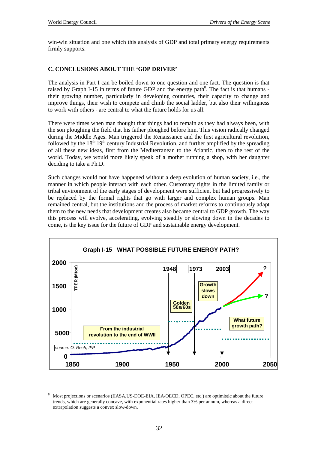win-win situation and one which this analysis of GDP and total primary energy requirements firmly supports.

# **C. CONCLUSIONS ABOUT THE 'GDP DRIVER'**

The analysis in Part I can be boiled down to one question and one fact. The question is that raised by Graph I-15 in terms of future GDP and the energy path<sup>8</sup>. The fact is that humans their growing number, particularly in developing countries, their capacity to change and improve things, their wish to compete and climb the social ladder, but also their willingness to work with others - are central to what the future holds for us all.

There were times when man thought that things had to remain as they had always been, with the son ploughing the field that his father ploughed before him. This vision radically changed during the Middle Ages. Man triggered the Renaissance and the first agricultural revolution, followed by the  $18<sup>th-19<sup>th</sup></sup>$  century Industrial Revolution, and further amplified by the spreading of all these new ideas, first from the Mediterranean to the Atlantic, then to the rest of the world. Today, we would more likely speak of a mother running a shop, with her daughter deciding to take a Ph.D.

Such changes would not have happened without a deep evolution of human society, i.e., the manner in which people interact with each other. Customary rights in the limited family or tribal environment of the early stages of development were sufficient but had progressively to be replaced by the formal rights that go with larger and complex human groups. Man remained central, but the institutions and the process of market reforms to continuously adapt them to the new needs that development creates also became central to GDP growth. The way this process will evolve, accelerating, evolving steadily or slowing down in the decades to come, is the key issue for the future of GDP and sustainable energy development.



 $\overline{a}$ 8 Most projections or scenarios (IIASA,US-DOE-EIA, IEA/OECD, OPEC, etc.) are optimistic about the future trends, which are generally concave, with exponential rates higher than 3% per annum, whereas a direct extrapolation suggests a convex slow-down.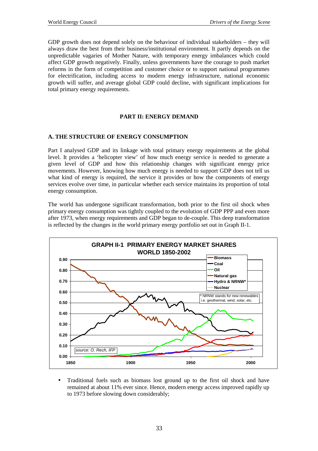GDP growth does not depend solely on the behaviour of individual stakeholders – they will always draw the best from their business/institutional environment. It partly depends on the unpredictable vagaries of Mother Nature, with temporary energy imbalances which could affect GDP growth negatively. Finally, unless governments have the courage to push market reforms in the form of competition and customer choice or to support national programmes for electrification, including access to modern energy infrastructure, national economic growth will suffer, and average global GDP could decline, with significant implications for total primary energy requirements.

### **PART II: ENERGY DEMAND**

### **A. THE STRUCTURE OF ENERGY CONSUMPTION**

Part I analysed GDP and its linkage with total primary energy requirements at the global level. It provides a 'helicopter view' of how much energy service is needed to generate a given level of GDP and how this relationship changes with significant energy price movements. However, knowing how much energy is needed to support GDP does not tell us what kind of energy is required, the service it provides or how the components of energy services evolve over time, in particular whether each service maintains its proportion of total energy consumption.

The world has undergone significant transformation, both prior to the first oil shock when primary energy consumption was tightly coupled to the evolution of GDP PPP and even more after 1973, when energy requirements and GDP began to de-couple. This deep transformation is reflected by the changes in the world primary energy portfolio set out in Graph II-1.



• Traditional fuels such as biomass lost ground up to the first oil shock and have remained at about 11% ever since. Hence, modern energy access improved rapidly up to 1973 before slowing down considerably;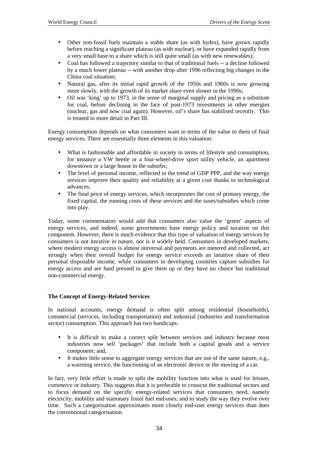- Other non-fossil fuels maintain a stable share (as with hydro), have grown rapidly before reaching a significant plateau (as with nuclear), or have expanded rapidly from a very small base to a share which is still quite small (as with new renewables);
- Coal has followed a trajectory similar to that of traditional fuels -- a decline followed by a much lower plateau -- with another drop after 1996 reflecting big changes in the China coal situation;
- Natural gas, after its initial rapid growth of the 1950s and 1960s is now growing more slowly, with the growth of its market share even slower in the 1990s;
- Oil was 'king' up to 1973, in the sense of marginal supply and pricing as a substitute for coal, before declining in the face of post-1973 investments in other energies (nuclear, gas and now coal again). However, oil's share has stabilised recently. This is treated in more detail in Part III.

Energy consumption depends on what consumers want in terms of the value to them of final energy services. There are essentially three elements in this valuation:

- What is fashionable and affordable in society in terms of lifestyle and consumption, for instance a VW beetle or a four-wheel-drive sport utility vehicle, an apartment downtown or a large house in the suburbs;
- The level of personal income, reflected in the trend of GDP PPP, and the way energy services improve their quality and reliability at a given cost thanks to technological advances;
- The final price of energy services, which incorporates the cost of primary energy, the fixed capital, the running costs of these services and the taxes/subsidies which come into play.

Today, some commentators would add that consumers also value the 'green' aspects of energy services, and indeed, some governments base energy policy and taxation on this component. However, there is much evidence that this type of valuation of energy services by consumers is not iterative in nature, nor is it widely held. Consumers in developed markets, where modern energy access is almost universal and payments are metered and collected, act strongly when their overall budget for energy service exceeds an intuitive share of their personal disposable income, while consumers in developing countries capture subsidies for energy access and are hard pressed to give them up or they have no choice but traditional non-commercial energy.

#### **The Concept of Energy-Related Services**

In national accounts, energy demand is often split among residential (households), commercial (services, including transportation) and industrial (industries and transformation sector) consumption. This approach has two handicaps:

- It is difficult to make a correct split between services and industry because most industries now sell 'packages' that include both a capital goods and a service component; and,
- It makes little sense to aggregate energy services that are not of the same nature, e.g., a warming service, the functioning of an electronic device or the moving of a car.

In fact, very little effort is made to split the mobility function into what is used for leisure, commerce or industry. This suggests that it is preferable to crosscut the traditional sectors and to focus demand on the specific energy-related services that consumers need, namely electricity, mobility and stationary fossil fuel end-uses, and to study the way they evolve over time. Such a categorisation approximates more closely end-user energy services than does the conventional categorisation.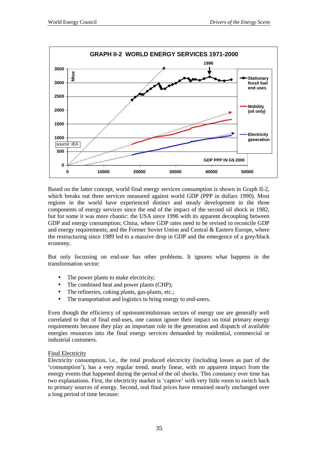

Based on the latter concept, world final energy services consumption is shown in Graph II-2, which breaks out three services measured against world GDP (PPP in dollars 1990). Most regions in the world have experienced distinct and steady development in the three components of energy services since the end of the impact of the second oil shock in 1982, but for some it was more chaotic: the USA since 1996 with its apparent decoupling between GDP and energy consumption; China, where GDP rates need to be revised to reconcile GDP and energy requirements; and the Former Soviet Union and Central & Eastern Europe, where the restructuring since 1989 led to a massive drop in GDP and the emergence of a grey/black economy.

But only focussing on end-use has other problems. It ignores what happens in the transformation sector:

- The power plants to make electricity;
- The combined heat and power plants (CHP);
- The refineries, coking plants, gas-plants, etc.;
- The transportation and logistics to bring energy to end-users.

Even though the efficiency of upstream/midstream sectors of energy use are generally well correlated to that of final end-uses, one cannot ignore their impact on total primary energy requirements because they play an important role in the generation and dispatch of available energies resources into the final energy services demanded by residential, commercial or industrial customers.

#### Final Electricity

Electricity consumption, i.e., the total produced electricity (including losses as part of the 'consumption'), has a very regular trend, nearly linear, with no apparent impact from the energy events that happened during the period of the oil shocks. This constancy over time has two explanations. First, the electricity market is 'captive' with very little room to switch back to primary sources of energy. Second, real final prices have remained nearly unchanged over a long period of time because: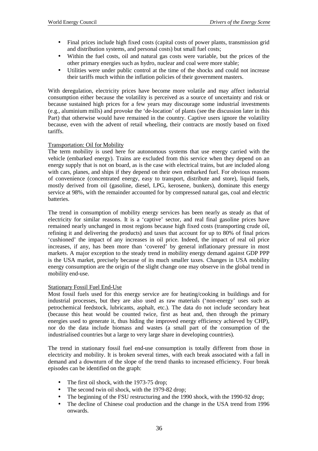- Final prices include high fixed costs (capital costs of power plants, transmission grid and distribution systems, and personal costs) but small fuel costs;
- Within the fuel costs, oil and natural gas costs were variable, but the prices of the other primary energies such as hydro, nuclear and coal were more stable;
- Utilities were under public control at the time of the shocks and could not increase their tariffs much within the inflation policies of their government masters.

With deregulation, electricity prices have become more volatile and may affect industrial consumption either because the volatility is perceived as a source of uncertainty and risk or because sustained high prices for a few years may discourage some industrial investments (e.g., aluminium mills) and provoke the 'de-location' of plants (see the discussion later in this Part) that otherwise would have remained in the country. Captive users ignore the volatility because, even with the advent of retail wheeling, their contracts are mostly based on fixed tariffs.

### Transportation: Oil for Mobility

The term mobility is used here for autonomous systems that use energy carried with the vehicle (embarked energy). Trains are excluded from this service when they depend on an energy supply that is not on board, as is the case with electrical trains, but are included along with cars, planes, and ships if they depend on their own embarked fuel. For obvious reasons of convenience (concentrated energy, easy to transport, distribute and store), liquid fuels, mostly derived from oil (gasoline, diesel, LPG, kerosene, bunkers), dominate this energy service at 98%, with the remainder accounted for by compressed natural gas, coal and electric batteries.

The trend in consumption of mobility energy services has been nearly as steady as that of electricity for similar reasons. It is a 'captive' sector, and real final gasoline prices have remained nearly unchanged in most regions because high fixed costs (transporting crude oil, refining it and delivering the products) and taxes that account for up to 80% of final prices 'cushioned' the impact of any increases in oil price. Indeed, the impact of real oil price increases, if any, has been more than 'covered' by general inflationary pressure in most markets. A major exception to the steady trend in mobility energy demand against GDP PPP is the USA market, precisely because of its much smaller taxes. Changes in USA mobility energy consumption are the origin of the slight change one may observe in the global trend in mobility end-use.

#### Stationary Fossil Fuel End-Use

Most fossil fuels used for this energy service are for heating/cooking in buildings and for industrial processes, but they are also used as raw materials ('non-energy' uses such as petrochemical feedstock, lubricants, asphalt, etc.). The data do not include secondary heat (because this heat would be counted twice, first as heat and, then through the primary energies used to generate it, thus hiding the improved energy efficiency achieved by CHP), nor do the data include biomass and wastes (a small part of the consumption of the industrialised countries but a large to very large share in developing countries).

The trend in stationary fossil fuel end-use consumption is totally different from those in electricity and mobility. It is broken several times, with each break associated with a fall in demand and a downturn of the slope of the trend thanks to increased efficiency. Four break episodes can be identified on the graph:

- The first oil shock, with the 1973-75 drop;
- The second twin oil shock, with the 1979-82 drop;
- The beginning of the FSU restructuring and the 1990 shock, with the 1990-92 drop;
- The decline of Chinese coal production and the change in the USA trend from 1996 onwards.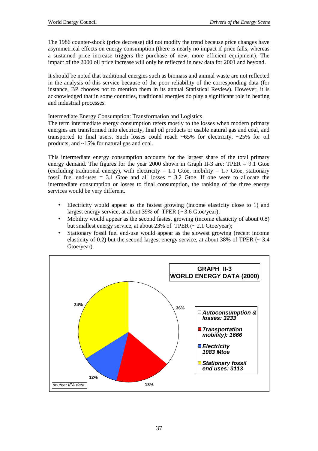The 1986 counter-shock (price decrease) did not modify the trend because price changes have asymmetrical effects on energy consumption (there is nearly no impact if price falls, whereas a sustained price increase triggers the purchase of new, more efficient equipment). The impact of the 2000 oil price increase will only be reflected in new data for 2001 and beyond.

It should be noted that traditional energies such as biomass and animal waste are not reflected in the analysis of this service because of the poor reliability of the corresponding data (for instance, BP chooses not to mention them in its annual Statistical Review). However, it is acknowledged that in some countries, traditional energies do play a significant role in heating and industrial processes.

#### Intermediate Energy Consumption: Transformation and Logistics

The term intermediate energy consumption refers mostly to the losses when modern primary energies are transformed into electricity, final oil products or usable natural gas and coal, and transported to final users. Such losses could reach  $\sim 65\%$  for electricity,  $\sim 25\%$  for oil products, and ~15% for natural gas and coal.

This intermediate energy consumption accounts for the largest share of the total primary energy demand. The figures for the year 2000 shown in Graph II-3 are: TPER  $= 9.1$  Gtoe (excluding traditional energy), with electricity = 1.1 Gtoe, mobility = 1.7 Gtoe, stationary fossil fuel end-uses  $= 3.1$  Gtoe and all losses  $= 3.2$  Gtoe. If one were to allocate the intermediate consumption or losses to final consumption, the ranking of the three energy services would be very different.

- Electricity would appear as the fastest growing (income elasticity close to 1) and largest energy service, at about 39% of TPER  $(~ 3.6 \text{ Gtoe/year})$ ;
- Mobility would appear as the second fastest growing (income elasticity of about 0.8) but smallest energy service, at about 23% of TPER  $(\sim 2.1 \text{ Gtoe/year})$ ;
- Stationary fossil fuel end-use would appear as the slowest growing (recent income elasticity of 0.2) but the second largest energy service, at about 38% of TPER  $\sim$  3.4 Gtoe/year).

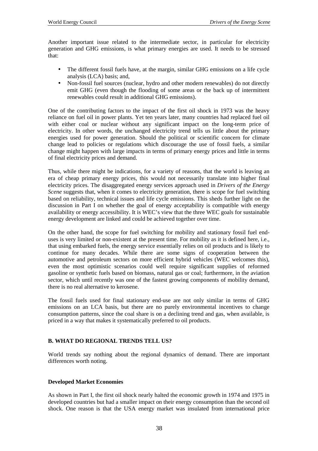Another important issue related to the intermediate sector, in particular for electricity generation and GHG emissions, is what primary energies are used. It needs to be stressed that:

- The different fossil fuels have, at the margin, similar GHG emissions on a life cycle analysis (LCA) basis; and,
- Non-fossil fuel sources (nuclear, hydro and other modern renewables) do not directly emit GHG (even though the flooding of some areas or the back up of intermittent renewables could result in additional GHG emissions).

One of the contributing factors to the impact of the first oil shock in 1973 was the heavy reliance on fuel oil in power plants. Yet ten years later, many countries had replaced fuel oil with either coal or nuclear without any significant impact on the long-term price of electricity. In other words, the unchanged electricity trend tells us little about the primary energies used for power generation. Should the political or scientific concern for climate change lead to policies or regulations which discourage the use of fossil fuels, a similar change might happen with large impacts in terms of primary energy prices and little in terms of final electricity prices and demand.

Thus, while there might be indications, for a variety of reasons, that the world is leaving an era of cheap primary energy prices, this would not necessarily translate into higher final electricity prices. The disaggregated energy services approach used in *Drivers of the Energy Scene* suggests that, when it comes to electricity generation, there is scope for fuel switching based on reliability, technical issues and life cycle emissions. This sheds further light on the discussion in Part I on whether the goal of energy acceptability is compatible with energy availability or energy accessibility. It is WEC's view that the three WEC goals for sustainable energy development are linked and could be achieved together over time.

On the other hand, the scope for fuel switching for mobility and stationary fossil fuel enduses is very limited or non-existent at the present time. For mobility as it is defined here, i.e., that using embarked fuels, the energy service essentially relies on oil products and is likely to continue for many decades. While there are some signs of cooperation between the automotive and petroleum sectors on more efficient hybrid vehicles (WEC welcomes this), even the most optimistic scenarios could well require significant supplies of reformed gasoline or synthetic fuels based on biomass, natural gas or coal; furthermore, in the aviation sector, which until recently was one of the fastest growing components of mobility demand, there is no real alternative to kerosene.

The fossil fuels used for final stationary end-use are not only similar in terms of GHG emissions on an LCA basis, but there are no purely environmental incentives to change consumption patterns, since the coal share is on a declining trend and gas, when available, is priced in a way that makes it systematically preferred to oil products.

#### **B. WHAT DO REGIONAL TRENDS TELL US?**

World trends say nothing about the regional dynamics of demand. There are important differences worth noting.

#### **Developed Market Economies**

As shown in Part I, the first oil shock nearly halted the economic growth in 1974 and 1975 in developed countries but had a smaller impact on their energy consumption than the second oil shock. One reason is that the USA energy market was insulated from international price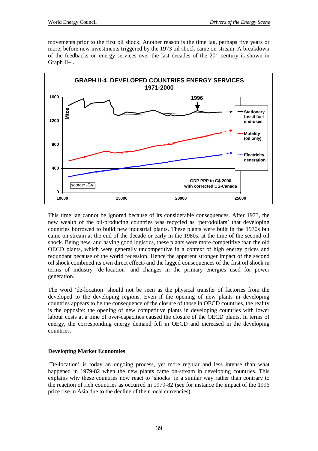movements prior to the first oil shock. Another reason is the time lag, perhaps five years or more, before new investments triggered by the 1973 oil shock came on-stream. A breakdown of the feedbacks on energy services over the last decades of the  $20<sup>th</sup>$  century is shown in Graph II-4.



This time lag cannot be ignored because of its considerable consequences. After 1973, the new wealth of the oil-producing countries was recycled as 'petrodollars' that developing countries borrowed to build new industrial plants. These plants were built in the 1970s but came on-stream at the end of the decade or early in the 1980s, at the time of the second oil shock. Being new, and having good logistics, these plants were more competitive than the old OECD plants, which were generally uncompetitive in a context of high energy prices and redundant because of the world recession. Hence the apparent stronger impact of the second oil shock combined its own direct effects and the lagged consequences of the first oil shock in terms of industry 'de-location' and changes in the primary energies used for power generation.

The word 'de-location' should not be seen as the physical transfer of factories from the developed to the developing regions. Even if the opening of new plants in developing countries appears to be the consequence of the closure of those in OECD countries, the reality is the opposite: the opening of new competitive plants in developing countries with lower labour costs at a time of over-capacities caused the closure of the OECD plants. In terms of energy, the corresponding energy demand fell in OECD and increased in the developing countries.

### **Developing Market Economies**

'De-location' is today an ongoing process, yet more regular and less intense than what happened in 1979-82 when the new plants came on-stream in developing countries. This explains why these countries now react to 'shocks' in a similar way rather than contrary to the reaction of rich countries as occurred in 1979-82 (see for instance the impact of the 1996 price rise in Asia due to the decline of their local currencies).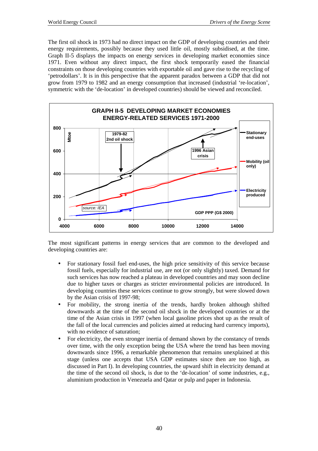The first oil shock in 1973 had no direct impact on the GDP of developing countries and their energy requirements, possibly because they used little oil, mostly subsidised, at the time. Graph II-5 displays the impacts on energy services in developing market economies since 1971. Even without any direct impact, the first shock temporarily eased the financial constraints on those developing countries with exportable oil and gave rise to the recycling of 'petrodollars'. It is in this perspective that the apparent paradox between a GDP that did not grow from 1979 to 1982 and an energy consumption that increased (industrial 're-location', symmetric with the 'de-location' in developed countries) should be viewed and reconciled.



The most significant patterns in energy services that are common to the developed and developing countries are:

- For stationary fossil fuel end-uses, the high price sensitivity of this service because fossil fuels, especially for industrial use, are not (or only slightly) taxed. Demand for such services has now reached a plateau in developed countries and may soon decline due to higher taxes or charges as stricter environmental policies are introduced. In developing countries these services continue to grow strongly, but were slowed down by the Asian crisis of 1997-98;
- For mobility, the strong inertia of the trends, hardly broken although shifted downwards at the time of the second oil shock in the developed countries or at the time of the Asian crisis in 1997 (when local gasoline prices shot up as the result of the fall of the local currencies and policies aimed at reducing hard currency imports), with no evidence of saturation;
- For electricity, the even stronger inertia of demand shown by the constancy of trends over time, with the only exception being the USA where the trend has been moving downwards since 1996, a remarkable phenomenon that remains unexplained at this stage (unless one accepts that USA GDP estimates since then are too high, as discussed in Part I). In developing countries, the upward shift in electricity demand at the time of the second oil shock, is due to the 'de-location' of some industries, e.g., aluminium production in Venezuela and Qatar or pulp and paper in Indonesia.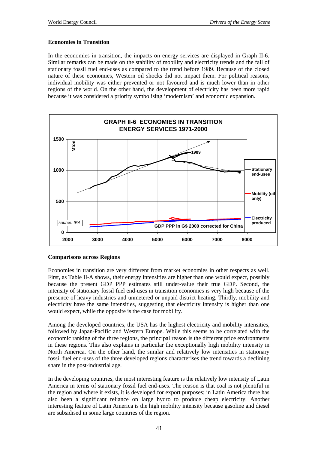#### **Economies in Transition**

In the economies in transition, the impacts on energy services are displayed in Graph II-6. Similar remarks can be made on the stability of mobility and electricity trends and the fall of stationary fossil fuel end-uses as compared to the trend before 1989. Because of the closed nature of these economies, Western oil shocks did not impact them. For political reasons, individual mobility was either prevented or not favoured and is much lower than in other regions of the world. On the other hand, the development of electricity has been more rapid because it was considered a priority symbolising 'modernism' and economic expansion.



#### **Comparisons across Regions**

Economies in transition are very different from market economies in other respects as well. First, as Table II-A shows, their energy intensities are higher than one would expect, possibly because the present GDP PPP estimates still under-value their true GDP. Second, the intensity of stationary fossil fuel end-uses in transition economies is very high because of the presence of heavy industries and unmetered or unpaid district heating. Thirdly, mobility and electricity have the same intensities, suggesting that electricity intensity is higher than one would expect, while the opposite is the case for mobility.

Among the developed countries, the USA has the highest electricity and mobility intensities, followed by Japan-Pacific and Western Europe. While this seems to be correlated with the economic ranking of the three regions, the principal reason is the different price environments in these regions. This also explains in particular the exceptionally high mobility intensity in North America. On the other hand, the similar and relatively low intensities in stationary fossil fuel end-uses of the three developed regions characterises the trend towards a declining share in the post-industrial age.

In the developing countries, the most interesting feature is the relatively low intensity of Latin America in terms of stationary fossil fuel end-uses. The reason is that coal is not plentiful in the region and where it exists, it is developed for export purposes; in Latin America there has also been a significant reliance on large hydro to produce cheap electricity. Another interesting feature of Latin America is the high mobility intensity because gasoline and diesel are subsidised in some large countries of the region.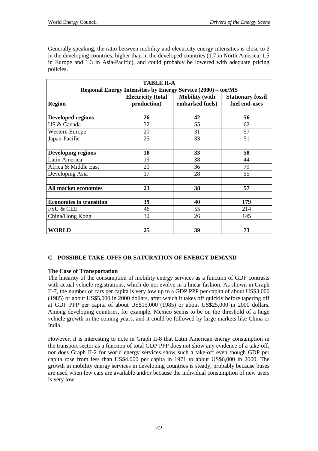Generally speaking, the ratio between mobility and electricity energy intensities is close to 2 in the developing countries, higher than in the developed countries (1.7 in North America, 1.5 in Europe and 1.3 in Asia-Pacific), and could probably be lowered with adequate pricing policies.

| <b>TABLE II-A</b><br>Regional Energy Intensities by Energy Service (2000) - toe/M\$ |                                          |                                          |                                           |  |  |
|-------------------------------------------------------------------------------------|------------------------------------------|------------------------------------------|-------------------------------------------|--|--|
| <b>Region</b>                                                                       | <b>Electricity</b> (total<br>production) | <b>Mobility</b> (with<br>embarked fuels) | <b>Stationary fossil</b><br>fuel end-uses |  |  |
|                                                                                     |                                          |                                          |                                           |  |  |
| <b>Developed regions</b>                                                            | 26                                       | 42                                       | 56                                        |  |  |
| US & Canada                                                                         | 32                                       | 55                                       | 62                                        |  |  |
| <b>Western Europe</b>                                                               | 20                                       | 31                                       | 57                                        |  |  |
| Japan-Pacific                                                                       | 25                                       | 33                                       | 51                                        |  |  |
|                                                                                     |                                          |                                          |                                           |  |  |
| <b>Developing regions</b>                                                           | 18                                       | 33                                       | 58                                        |  |  |
| Latin America                                                                       | 19                                       | 38                                       | 44                                        |  |  |
| Africa & Middle East                                                                | 20                                       | 36                                       | 79                                        |  |  |
| Developing Asia                                                                     | 17                                       | 28                                       | 55                                        |  |  |
|                                                                                     |                                          |                                          |                                           |  |  |
| <b>All market economies</b>                                                         | 23                                       | 38                                       | 57                                        |  |  |
|                                                                                     |                                          |                                          |                                           |  |  |
| <b>Economies in transition</b>                                                      | 39                                       | 40                                       | 179                                       |  |  |
| <b>FSU &amp; CEE</b>                                                                | 46                                       | 55                                       | 214                                       |  |  |
| China/Hong Kong                                                                     | 32                                       | 26                                       | 145                                       |  |  |
|                                                                                     |                                          |                                          |                                           |  |  |
| WORLD                                                                               | 25                                       | 39                                       | 73                                        |  |  |

### **C. POSSIBLE TAKE-OFFS OR SATURATION OF ENERGY DEMAND**

### **The Case of Transportation**

The linearity of the consumption of mobility energy services as a function of GDP contrasts with actual vehicle registrations, which do not evolve in a linear fashion. As shown in Graph II-7, the number of cars per capita is very low up to a GDP PPP per capita of about US\$3,000 (1985) or about US\$5,000 in 2000 dollars, after which it takes off quickly before tapering off at GDP PPP per capita of about US\$15,000 (1985) or about US\$25,000 in 2000 dollars. Among developing countries, for example, Mexico seems to be on the threshold of a huge vehicle growth in the coming years, and it could be followed by large markets like China or India.

However, it is interesting to note in Graph II-8 that Latin American energy consumption in the transport sector as a function of total GDP PPP does not show any evidence of a take-off, nor does Graph II-2 for world energy services show such a take-off even though GDP per capita rose from less than US\$4,000 per capita in 1971 to about US\$6,000 in 2000. The growth in mobility energy services in developing countries is steady, probably because buses are used when few cars are available and/or because the individual consumption of new users is very low.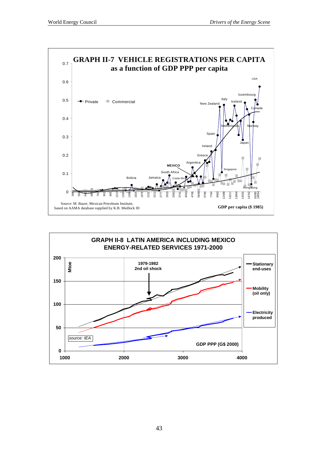

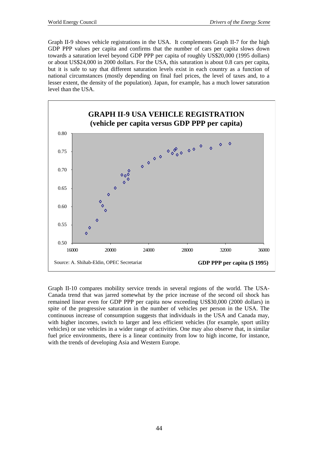Graph II-9 shows vehicle registrations in the USA. It complements Graph II-7 for the high GDP PPP values per capita and confirms that the number of cars per capita slows down towards a saturation level beyond GDP PPP per capita of roughly US\$20,000 (1995 dollars) or about US\$24,000 in 2000 dollars. For the USA, this saturation is about 0.8 cars per capita, but it is safe to say that different saturation levels exist in each country as a function of national circumstances (mostly depending on final fuel prices, the level of taxes and, to a lesser extent, the density of the population). Japan, for example, has a much lower saturation level than the USA.



Graph II-10 compares mobility service trends in several regions of the world. The USA-Canada trend that was jarred somewhat by the price increase of the second oil shock has remained linear even for GDP PPP per capita now exceeding US\$30,000 (2000 dollars) in spite of the progressive saturation in the number of vehicles per person in the USA. The continuous increase of consumption suggests that individuals in the USA and Canada may, with higher incomes, switch to larger and less efficient vehicles (for example, sport utility vehicles) or use vehicles in a wider range of activities. One may also observe that, in similar fuel price environments, there is a linear continuity from low to high income, for instance, with the trends of developing Asia and Western Europe.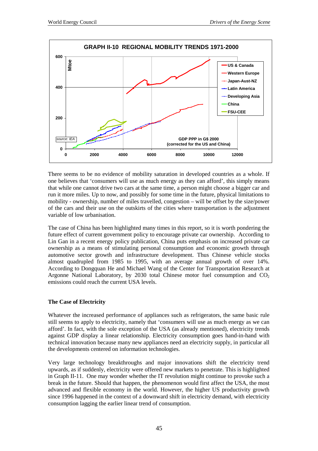

There seems to be no evidence of mobility saturation in developed countries as a whole. If one believes that 'consumers will use as much energy as they can afford', this simply means that while one cannot drive two cars at the same time, a person might choose a bigger car and run it more miles. Up to now, and possibly for some time in the future, physical limitations to mobility - ownership, number of miles travelled, congestion – will be offset by the size/power of the cars and their use on the outskirts of the cities where transportation is the adjustment variable of low urbanisation.

The case of China has been highlighted many times in this report, so it is worth pondering the future effect of current government policy to encourage private car ownership. According to Lin Gan in a recent energy policy publication, China puts emphasis on increased private car ownership as a means of stimulating personal consumption and economic growth through automotive sector growth and infrastructure development. Thus Chinese vehicle stocks almost quadrupled from 1985 to 1995, with an average annual growth of over 14%. According to Dongquan He and Michael Wang of the Center for Transportation Research at Argonne National Laboratory, by 2030 total Chinese motor fuel consumption and  $CO<sub>2</sub>$ emissions could reach the current USA levels.

### **The Case of Electricity**

Whatever the increased performance of appliances such as refrigerators, the same basic rule still seems to apply to electricity, namely that 'consumers will use as much energy as we can afford'. In fact, with the sole exception of the USA (as already mentioned), electricity trends against GDP display a linear relationship. Electricity consumption goes hand-in-hand with technical innovation because many new appliances need an electricity supply, in particular all the developments centered on information technologies.

Very large technology breakthroughs and major innovations shift the electricity trend upwards, as if suddenly, electricity were offered new markets to penetrate. This is highlighted in Graph II-11. One may wonder whether the IT revolution might continue to provoke such a break in the future. Should that happen, the phenomenon would first affect the USA, the most advanced and flexible economy in the world. However, the higher US productivity growth since 1996 happened in the context of a downward shift in electricity demand, with electricity consumption lagging the earlier linear trend of consumption.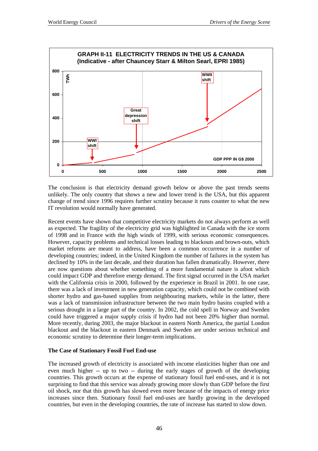

The conclusion is that electricity demand growth below or above the past trends seems unlikely. The only country that shows a new and lower trend is the USA, but this apparent change of trend since 1996 requires further scrutiny because it runs counter to what the new IT revolution would normally have generated.

Recent events have shown that competitive electricity markets do not always perform as well as expected. The fragility of the electricity grid was highlighted in Canada with the ice storm of 1998 and in France with the high winds of 1999, with serious economic consequences. However, capacity problems and technical losses leading to blackouts and brown-outs, which market reforms are meant to address, have been a common occurrence in a number of developing countries; indeed, in the United Kingdom the number of failures in the system has declined by 10% in the last decade, and their duration has fallen dramatically. However, there are now questions about whether something of a more fundamental nature is afoot which could impact GDP and therefore energy demand. The first signal occurred in the USA market with the California crisis in 2000, followed by the experience in Brazil in 2001. In one case, there was a lack of investment in new generation capacity, which could not be combined with shorter hydro and gas-based supplies from neighbouring markets, while in the latter, there was a lack of transmission infrastructure between the two main hydro basins coupled with a serious drought in a large part of the country. In 2002, the cold spell in Norway and Sweden could have triggered a major supply crisis if hydro had not been 20% higher than normal. More recently, during 2003, the major blackout in eastern North America, the partial London blackout and the blackout in eastern Denmark and Sweden are under serious technical and economic scrutiny to determine their longer-term implications.

#### **The Case of Stationary Fossil Fuel End-use**

The increased growth of electricity is associated with income elasticities higher than one and even much higher -- up to two -- during the early stages of growth of the developing countries. This growth occurs at the expense of stationary fossil fuel end-uses, and it is not surprising to find that this service was already growing more slowly than GDP before the first oil shock, nor that this growth has slowed even more because of the impacts of energy price increases since then. Stationary fossil fuel end-uses are hardly growing in the developed countries, but even in the developing countries, the rate of increase has started to slow down.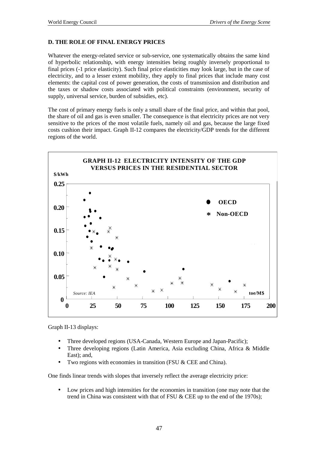### **D. THE ROLE OF FINAL ENERGY PRICES**

Whatever the energy-related service or sub-service, one systematically obtains the same kind of hyperbolic relationship, with energy intensities being roughly inversely proportional to final prices (-1 price elasticity). Such final price elasticities may look large, but in the case of electricity, and to a lesser extent mobility, they apply to final prices that include many cost elements: the capital cost of power generation, the costs of transmission and distribution and the taxes or shadow costs associated with political constraints (environment, security of supply, universal service, burden of subsidies, etc).

The cost of primary energy fuels is only a small share of the final price, and within that pool, the share of oil and gas is even smaller. The consequence is that electricity prices are not very sensitive to the prices of the most volatile fuels, namely oil and gas, because the large fixed costs cushion their impact. Graph II-12 compares the electricity/GDP trends for the different regions of the world.



Graph II-13 displays:

- Three developed regions (USA-Canada, Western Europe and Japan-Pacific);
- Three developing regions (Latin America, Asia excluding China, Africa & Middle East); and,
- Two regions with economies in transition (FSU & CEE and China).

One finds linear trends with slopes that inversely reflect the average electricity price:

• Low prices and high intensities for the economies in transition (one may note that the trend in China was consistent with that of FSU & CEE up to the end of the 1970s);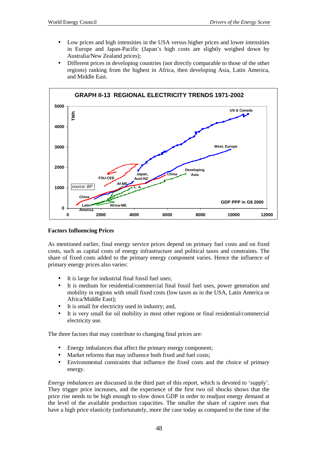- Low prices and high intensities in the USA versus higher prices and lower intensities in Europe and Japan-Pacific (Japan's high costs are slightly weighed down by Australia/New Zealand prices);
- Different prices in developing countries (not directly comparable to those of the other regions) ranking from the highest in Africa, then developing Asia, Latin America, and Middle East.



### **Factors Influencing Prices**

As mentioned earlier, final energy service prices depend on primary fuel costs and on fixed costs, such as capital costs of energy infrastructure and political taxes and constraints. The share of fixed costs added to the primary energy component varies. Hence the influence of primary energy prices also varies:

- It is large for industrial final fossil fuel uses;
- It is medium for residential/commercial final fossil fuel uses, power generation and mobility in regions with small fixed costs (low taxes as in the USA, Latin America or Africa/Middle East);
- It is small for electricity used in industry; and,
- It is very small for oil mobility in most other regions or final residential/commercial electricity use.

The three factors that may contribute to changing final prices are:

- Energy imbalances that affect the primary energy component;
- Market reforms that may influence both fixed and fuel costs;
- Environmental constraints that influence the fixed costs and the choice of primary energy.

*Energy imbalances* are discussed in the third part of this report, which is devoted to 'supply'. They trigger price increases, and the experience of the first two oil shocks shows that the price rise needs to be high enough to slow down GDP in order to readjust energy demand at the level of the available production capacities. The smaller the share of captive uses that have a high price elasticity (unfortunately, more the case today as compared to the time of the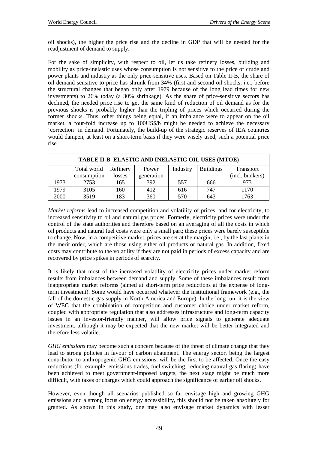oil shocks), the higher the price rise and the decline in GDP that will be needed for the readjustment of demand to supply.

For the sake of simplicity, with respect to oil, let us take refinery losses, building and mobility as price-inelastic uses whose consumption is not sensitive to the price of crude and power plants and industry as the only price-sensitive uses. Based on Table II-B, the share of oil demand sensitive to price has shrunk from 34% (first and second oil shocks, i.e., before the structural changes that began only after 1979 because of the long lead times for new investments) to 26% today (a 30% shrinkage). As the share of price-sensitive sectors has declined, the needed price rise to get the same kind of reduction of oil demand as for the previous shocks is probably higher than the tripling of prices which occurred during the former shocks. Thus, other things being equal, if an imbalance were to appear on the oil market, a four-fold increase up to 100US\$/b might be needed to achieve the necessary 'correction' in demand. Fortunately, the build-up of the strategic reserves of IEA countries would dampen, at least on a short-term basis if they were wisely used, such a potential price rise.

| TABLE II-B ELASTIC AND INELASTIC OIL USES (MTOE) |             |          |            |          |                  |                  |  |
|--------------------------------------------------|-------------|----------|------------|----------|------------------|------------------|--|
|                                                  | Total world | Refinery | Power      | Industry | <b>Buildings</b> | <b>Transport</b> |  |
|                                                  | consumption | losses   | generation |          |                  | (incl. bunkers)  |  |
| 1973                                             | 2753        | 165      | 392        | 557      | 666              | 973              |  |
| 1979                                             | 3105        | 160      | 412        | 616      | 747              | 1170             |  |
| 2000                                             | 3519        | 183      | 360        | 570      | 643              | 1763             |  |

*Market reforms* lead to increased competition and volatility of prices, and for electricity, to increased sensitivity to oil and natural gas prices. Formerly, electricity prices were under the control of the state authorities and therefore based on an averaging of all the costs in which oil products and natural fuel costs were only a small part; these prices were barely susceptible to change. Now, in a competitive market, prices are set at the margin, i.e., by the last plants in the merit order, which are those using either oil products or natural gas. In addition, fixed costs may contribute to the volatility if they are not paid in periods of excess capacity and are recovered by price spikes in periods of scarcity.

It is likely that most of the increased volatility of electricity prices under market reform results from imbalances between demand and supply. Some of these imbalances result from inappropriate market reforms (aimed at short-term price reductions at the expense of longterm investment). Some would have occurred whatever the institutional framework (e.g., the fall of the domestic gas supply in North America and Europe). In the long run, it is the view of WEC that the combination of competition and customer choice under market reform, coupled with appropriate regulation that also addresses infrastructure and long-term capacity issues in an investor-friendly manner, will allow price signals to generate adequate investment, although it may be expected that the new market will be better integrated and therefore less volatile.

*GHG emissions* may become such a concern because of the threat of climate change that they lead to strong policies in favour of carbon abatement. The energy sector, being the largest contributor to anthropogenic GHG emissions, will be the first to be affected. Once the easy reductions (for example, emissions trades, fuel switching, reducing natural gas flaring) have been achieved to meet government-imposed targets, the next stage might be much more difficult, with taxes or charges which could approach the significance of earlier oil shocks.

However, even though all scenarios published so far envisage high and growing GHG emissions and a strong focus on energy accessibility, this should not be taken absolutely for granted. As shown in this study, one may also envisage market dynamics with lesser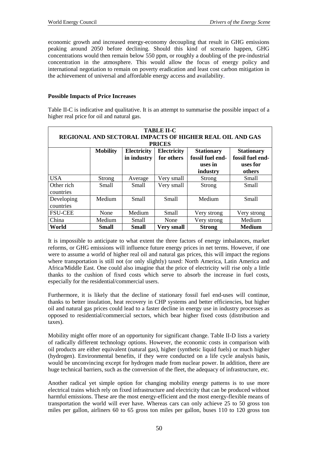economic growth and increased energy-economy decoupling that result in GHG emissions peaking around 2050 before declining. Should this kind of scenario happen, GHG concentrations would then remain below 550 ppm, or roughly a doubling of the pre-industrial concentration in the atmosphere. This would allow the focus of energy policy and international negotiation to remain on poverty eradication and least cost carbon mitigation in the achievement of universal and affordable energy access and availability.

### **Possible Impacts of Price Increases**

Table II-C is indicative and qualitative. It is an attempt to summarise the possible impact of a higher real price for oil and natural gas.

| <b>TABLE II-C</b><br><b>REGIONAL AND SECTORAL IMPACTS OF HIGHER REAL OIL AND GAS</b><br><b>PRICES</b> |                 |                                   |                                  |                                                              |                                                             |  |
|-------------------------------------------------------------------------------------------------------|-----------------|-----------------------------------|----------------------------------|--------------------------------------------------------------|-------------------------------------------------------------|--|
|                                                                                                       | <b>Mobility</b> | <b>Electricity</b><br>in industry | <b>Electricity</b><br>for others | <b>Stationary</b><br>fossil fuel end-<br>uses in<br>industry | <b>Stationary</b><br>fossil fuel end-<br>uses for<br>others |  |
| <b>USA</b>                                                                                            | <b>Strong</b>   | Average                           | Very small                       | <b>Strong</b>                                                | Small                                                       |  |
| Other rich<br>countries                                                                               | <b>Small</b>    | <b>Small</b>                      | Very small                       | Strong                                                       | <b>Small</b>                                                |  |
| Developing<br>countries                                                                               | Medium          | <b>Small</b>                      | <b>Small</b>                     | Medium                                                       | <b>Small</b>                                                |  |
| <b>FSU-CEE</b>                                                                                        | None            | Medium                            | Small                            | Very strong                                                  | Very strong                                                 |  |
| China                                                                                                 | Medium          | <b>Small</b>                      | None                             | Very strong                                                  | Medium                                                      |  |
| World                                                                                                 | Small           | <b>Small</b>                      | <b>Very small</b>                | <b>Strong</b>                                                | <b>Medium</b>                                               |  |

It is impossible to anticipate to what extent the three factors of energy imbalances, market reforms, or GHG emissions will influence future energy prices in net terms. However, if one were to assume a world of higher real oil and natural gas prices, this will impact the regions where transportation is still not (or only slightly) taxed: North America, Latin America and Africa/Middle East. One could also imagine that the price of electricity will rise only a little thanks to the cushion of fixed costs which serve to absorb the increase in fuel costs, especially for the residential/commercial users.

Furthermore, it is likely that the decline of stationary fossil fuel end-uses will continue, thanks to better insulation, heat recovery in CHP systems and better efficiencies, but higher oil and natural gas prices could lead to a faster decline in energy use in industry processes as opposed to residential/commercial sectors, which bear higher fixed costs (distribution and taxes).

Mobility might offer more of an opportunity for significant change. Table II-D lists a variety of radically different technology options. However, the economic costs in comparison with oil products are either equivalent (natural gas), higher (synthetic liquid fuels) or much higher (hydrogen). Environmental benefits, if they were conducted on a life cycle analysis basis, would be unconvincing except for hydrogen made from nuclear power. In addition, there are huge technical barriers, such as the conversion of the fleet, the adequacy of infrastructure, etc.

Another radical yet simple option for changing mobility energy patterns is to use more electrical trains which rely on fixed infrastructure and electricity that can be produced without harmful emissions. These are the most energy-efficient and the most energy-flexible means of transportation the world will ever have. Whereas cars can only achieve 25 to 50 gross ton miles per gallon, airliners 60 to 65 gross ton miles per gallon, buses 110 to 120 gross ton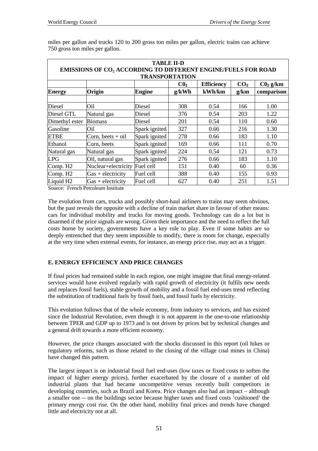|                                                                                                          |                                    | <b>TABLE II-D</b> |       |        |      |                      |  |
|----------------------------------------------------------------------------------------------------------|------------------------------------|-------------------|-------|--------|------|----------------------|--|
| <b>EMISSIONS OF CO<sub>2</sub> ACCORDING TO DIFFERENT ENGINE/FUELS FOR ROAD</b><br><b>TRANSPORTATION</b> |                                    |                   |       |        |      |                      |  |
| CO <sub>2</sub><br>C <sub>0</sub><br><b>Efficiency</b>                                                   |                                    |                   |       |        |      | C0 <sub>2</sub> g/km |  |
| <b>Energy</b>                                                                                            | Origin                             | Engine            | g/kWh | kWh/km | g/km | comparison           |  |
|                                                                                                          |                                    |                   |       |        |      |                      |  |
| Diesel                                                                                                   | Oil                                | Diesel            | 308   | 0.54   | 166  | 1.00                 |  |
| Diesel GTL                                                                                               | Natural gas                        | Diesel            | 376   | 0.54   | 203  | 1.22                 |  |
| Dimethyl ester                                                                                           | <b>Biomass</b>                     | Diesel            | 201   | 0.54   | 110  | 0.60                 |  |
| Gasoline                                                                                                 | Oil                                | Spark ignited     | 327   | 0.66   | 216  | 1.30                 |  |
| <b>ETBE</b>                                                                                              | Corn, beets $+$ oil                | Spark ignited     | 278   | 0.66   | 183  | 1.10                 |  |
| Ethanol                                                                                                  | Corn, beets                        | Spark ignited     | 169   | 0.66   | 111  | 0.70                 |  |
| Natural gas                                                                                              | Natural gas                        | Spark ignited     | 224   | 0.54   | 121  | 0.73                 |  |
| <b>LPG</b>                                                                                               | Oil, natural gas                   | Spark ignited     | 276   | 0.66   | 183  | 1.10                 |  |
| Comp. H <sub>2</sub>                                                                                     | Nuclear+electricity                | Fuel cell         | 151   | 0.40   | 60   | 0.36                 |  |
| Comp. H <sub>2</sub>                                                                                     | $Gas + electricity$                | Fuel cell         | 388   | 0.40   | 155  | 0.93                 |  |
| Liquid H <sub>2</sub>                                                                                    | $Gas + electricity$                | Fuel cell         | 627   | 0.40   | 251  | 1.51                 |  |
|                                                                                                          | Cource: Franch Dotroloum Instituto |                   |       |        |      |                      |  |

miles per gallon and trucks 120 to 200 gross ton miles per gallon, electric trains can achieve 750 gross ton miles per gallon.

Source: French Petroleum Institute

The evolution from cars, trucks and possibly short-haul airliners to trains may seem obvious, but the past reveals the opposite with a decline of train market share in favour of other means: cars for individual mobility and trucks for moving goods. Technology can do a lot but is disarmed if the price signals are wrong. Given their importance and the need to reflect the full costs borne by society, governments have a key role to play. Even if some habits are so deeply entrenched that they seem impossible to modify, there is room for change, especially at the very time when external events, for instance, an energy price rise, may act as a trigger.

### **E. ENERGY EFFICIENCY AND PRICE CHANGES**

If final prices had remained stable in each region, one might imagine that final energy-related services would have evolved regularly with rapid growth of electricity (it fulfils new needs and replaces fossil fuels), stable growth of mobility and a fossil fuel end-uses trend reflecting the substitution of traditional fuels by fossil fuels, and fossil fuels by electricity.

This evolution follows that of the whole economy, from industry to services, and has existed since the Industrial Revolution, even though it is not apparent in the one-to-one relationship between TPER and GDP up to 1973 and is not driven by prices but by technical changes and a general drift towards a more efficient economy.

However, the price changes associated with the shocks discussed in this report (oil hikes or regulatory reforms, such as those related to the closing of the village coal mines in China) have changed this pattern.

The largest impact is on industrial fossil fuel end-uses (low taxes or fixed costs to soften the impact of higher energy prices), further exacerbated by the closure of a number of old industrial plants that had became uncompetitive versus recently built competitors in developing countries, such as Brazil and Korea. Price changes also had an impact – although a smaller one -- on the buildings sector because higher taxes and fixed costs 'cushioned' the primary energy cost rise. On the other hand, mobility final prices and trends have changed little and electricity not at all.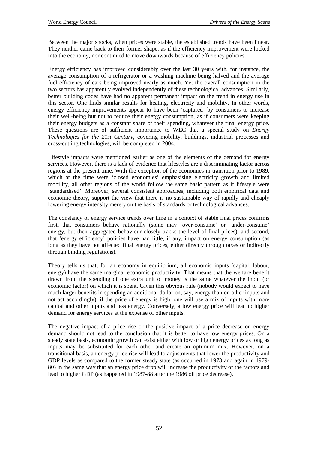Between the major shocks, when prices were stable, the established trends have been linear. They neither came back to their former shape, as if the efficiency improvement were locked into the economy, nor continued to move downwards because of efficiency policies.

Energy efficiency has improved considerably over the last 30 years with, for instance, the average consumption of a refrigerator or a washing machine being halved and the average fuel efficiency of cars being improved nearly as much. Yet the overall consumption in the two sectors has apparently evolved independently of these technological advances. Similarly, better building codes have had no apparent permanent impact on the trend in energy use in this sector. One finds similar results for heating, electricity and mobility. In other words, energy efficiency improvements appear to have been 'captured' by consumers to increase their well-being but not to reduce their energy consumption, as if consumers were keeping their energy budgets as a constant share of their spending, whatever the final energy price. These questions are of sufficient importance to WEC that a special study on *Energy Technologies for the 21st Century*, covering mobility, buildings, industrial processes and cross-cutting technologies, will be completed in 2004.

Lifestyle impacts were mentioned earlier as one of the elements of the demand for energy services. However, there is a lack of evidence that lifestyles are a discriminating factor across regions at the present time. With the exception of the economies in transition prior to 1989, which at the time were 'closed economies' emphasising electricity growth and limited mobility, all other regions of the world follow the same basic pattern as if lifestyle were 'standardised'. Moreover, several consistent approaches, including both empirical data and economic theory, support the view that there is no sustainable way of rapidly and cheaply lowering energy intensity merely on the basis of standards or technological advances.

The constancy of energy service trends over time in a context of stable final prices confirms first, that consumers behave rationally (some may 'over-consume' or 'under-consume' energy, but their aggregated behaviour closely tracks the level of final prices), and second, that 'energy efficiency' policies have had little, if any, impact on energy consumption (as long as they have not affected final energy prices, either directly through taxes or indirectly through binding regulations).

Theory tells us that, for an economy in equilibrium, all economic inputs (capital, labour, energy) have the same marginal economic productivity. That means that the welfare benefit drawn from the spending of one extra unit of money is the same whatever the input (or economic factor) on which it is spent. Given this obvious rule (nobody would expect to have much larger benefits in spending an additional dollar on, say, energy than on other inputs and not act accordingly), if the price of energy is high, one will use a mix of inputs with more capital and other inputs and less energy. Conversely, a low energy price will lead to higher demand for energy services at the expense of other inputs.

The negative impact of a price rise or the positive impact of a price decrease on energy demand should not lead to the conclusion that it is better to have low energy prices. On a steady state basis, economic growth can exist either with low or high energy prices as long as inputs may be substituted for each other and create an optimum mix. However, on a transitional basis, an energy price rise will lead to adjustments that lower the productivity and GDP levels as compared to the former steady state (as occurred in 1973 and again in 1979- 80) in the same way that an energy price drop will increase the productivity of the factors and lead to higher GDP (as happened in 1987-88 after the 1986 oil price decrease).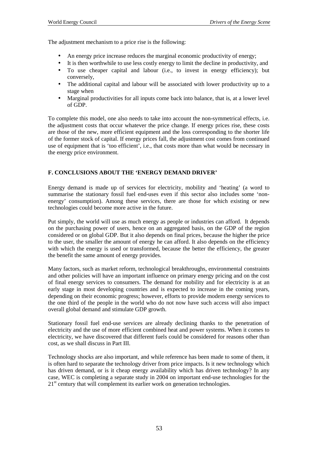The adjustment mechanism to a price rise is the following:

- An energy price increase reduces the marginal economic productivity of energy;
- It is then worthwhile to use less costly energy to limit the decline in productivity, and • To use cheaper capital and labour (i.e., to invest in energy efficiency); but
- conversely, • The additional capital and labour will be associated with lower productivity up to a stage when
- Marginal productivities for all inputs come back into balance, that is, at a lower level of GDP.

To complete this model, one also needs to take into account the non-symmetrical effects, i.e. the adjustment costs that occur whatever the price change. If energy prices rise, these costs are those of the new, more efficient equipment and the loss corresponding to the shorter life of the former stock of capital. If energy prices fall, the adjustment cost comes from continued use of equipment that is 'too efficient', i.e., that costs more than what would be necessary in the energy price environment.

### **F. CONCLUSIONS ABOUT THE 'ENERGY DEMAND DRIVER'**

Energy demand is made up of services for electricity, mobility and 'heating' (a word to summarise the stationary fossil fuel end-uses even if this sector also includes some 'nonenergy' consumption). Among these services, there are those for which existing or new technologies could become more active in the future.

Put simply, the world will use as much energy as people or industries can afford. It depends on the purchasing power of users, hence on an aggregated basis, on the GDP of the region considered or on global GDP. But it also depends on final prices, because the higher the price to the user, the smaller the amount of energy he can afford. It also depends on the efficiency with which the energy is used or transformed, because the better the efficiency, the greater the benefit the same amount of energy provides.

Many factors, such as market reform, technological breakthroughs, environmental constraints and other policies will have an important influence on primary energy pricing and on the cost of final energy services to consumers. The demand for mobility and for electricity is at an early stage in most developing countries and is expected to increase in the coming years, depending on their economic progress; however, efforts to provide modern energy services to the one third of the people in the world who do not now have such access will also impact overall global demand and stimulate GDP growth.

Stationary fossil fuel end-use services are already declining thanks to the penetration of electricity and the use of more efficient combined heat and power systems. When it comes to electricity, we have discovered that different fuels could be considered for reasons other than cost, as we shall discuss in Part III.

Technology shocks are also important, and while reference has been made to some of them, it is often hard to separate the technology driver from price impacts. Is it new technology which has driven demand, or is it cheap energy availability which has driven technology? In any case, WEC is completing a separate study in 2004 on important end-use technologies for the 21<sup>st</sup> century that will complement its earlier work on generation technologies.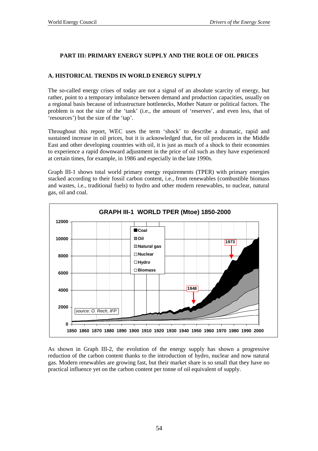# **PART III: PRIMARY ENERGY SUPPLY AND THE ROLE OF OIL PRICES**

# **A. HISTORICAL TRENDS IN WORLD ENERGY SUPPLY**

The so-called energy crises of today are not a signal of an absolute scarcity of energy, but rather, point to a temporary imbalance between demand and production capacities, usually on a regional basis because of infrastructure bottlenecks, Mother Nature or political factors. The problem is not the size of the 'tank' (i.e., the amount of 'reserves', and even less, that of 'resources') but the size of the 'tap'.

Throughout this report, WEC uses the term 'shock' to describe a dramatic, rapid and sustained increase in oil prices, but it is acknowledged that, for oil producers in the Middle East and other developing countries with oil, it is just as much of a shock to their economies to experience a rapid downward adjustment in the price of oil such as they have experienced at certain times, for example, in 1986 and especially in the late 1990s.

Graph III-1 shows total world primary energy requirements (TPER) with primary energies stacked according to their fossil carbon content, i.e., from renewables (combustible biomass and wastes, i.e., traditional fuels) to hydro and other modern renewables, to nuclear, natural gas, oil and coal.



As shown in Graph III-2, the evolution of the energy supply has shown a progressive reduction of the carbon content thanks to the introduction of hydro, nuclear and now natural gas. Modern renewables are growing fast, but their market share is so small that they have no practical influence yet on the carbon content per tonne of oil equivalent of supply.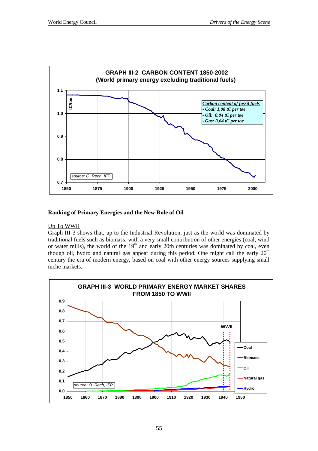

# **Ranking of Primary Energies and the New Role of Oil**

### Up To WWII

Graph III-3 shows that, up to the Industrial Revolution, just as the world was dominated by traditional fuels such as biomass, with a very small contribution of other energies (coal, wind or water mills), the world of the  $19<sup>th</sup>$  and early 20th centuries was dominated by coal, even though oil, hydro and natural gas appear during this period. One might call the early  $20<sup>th</sup>$ century the era of modern energy, based on coal with other energy sources supplying small niche markets.

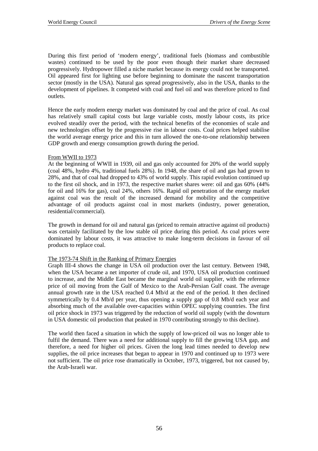During this first period of 'modern energy', traditional fuels (biomass and combustible wastes) continued to be used by the poor even though their market share decreased progressively. Hydropower filled a niche market because its energy could not be transported. Oil appeared first for lighting use before beginning to dominate the nascent transportation sector (mostly in the USA). Natural gas spread progressively, also in the USA, thanks to the development of pipelines. It competed with coal and fuel oil and was therefore priced to find outlets.

Hence the early modern energy market was dominated by coal and the price of coal. As coal has relatively small capital costs but large variable costs, mostly labour costs, its price evolved steadily over the period, with the technical benefits of the economies of scale and new technologies offset by the progressive rise in labour costs. Coal prices helped stabilise the world average energy price and this in turn allowed the one-to-one relationship between GDP growth and energy consumption growth during the period.

#### From WWII to 1973

At the beginning of WWII in 1939, oil and gas only accounted for 20% of the world supply (coal 48%, hydro 4%, traditional fuels 28%). In 1948, the share of oil and gas had grown to 28%, and that of coal had dropped to 43% of world supply. This rapid evolution continued up to the first oil shock, and in 1973, the respective market shares were: oil and gas 60% (44% for oil and 16% for gas), coal 24%, others 16%. Rapid oil penetration of the energy market against coal was the result of the increased demand for mobility and the competitive advantage of oil products against coal in most markets (industry, power generation, residential/commercial).

The growth in demand for oil and natural gas (priced to remain attractive against oil products) was certainly facilitated by the low stable oil price during this period. As coal prices were dominated by labour costs, it was attractive to make long-term decisions in favour of oil products to replace coal.

#### The 1973-74 Shift in the Ranking of Primary Energies

Graph III-4 shows the change in USA oil production over the last century. Between 1948, when the USA became a net importer of crude oil, and 1970, USA oil production continued to increase, and the Middle East became the marginal world oil supplier, with the reference price of oil moving from the Gulf of Mexico to the Arab-Persian Gulf coast. The average annual growth rate in the USA reached 0.4 Mb/d at the end of the period. It then declined symmetrically by 0.4 Mb/d per year, thus opening a supply gap of 0.8 Mb/d each year and absorbing much of the available over-capacities within OPEC supplying countries. The first oil price shock in 1973 was triggered by the reduction of world oil supply (with the downturn in USA domestic oil production that peaked in 1970 contributing strongly to this decline).

The world then faced a situation in which the supply of low-priced oil was no longer able to fulfil the demand. There was a need for additional supply to fill the growing USA gap, and therefore, a need for higher oil prices. Given the long lead times needed to develop new supplies, the oil price increases that began to appear in 1970 and continued up to 1973 were not sufficient. The oil price rose dramatically in October, 1973, triggered, but not caused by, the Arab-Israeli war.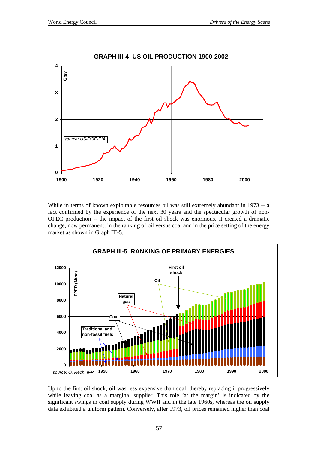

While in terms of known exploitable resources oil was still extremely abundant in 1973 -- a fact confirmed by the experience of the next 30 years and the spectacular growth of non-OPEC production -- the impact of the first oil shock was enormous. It created a dramatic change, now permanent, in the ranking of oil versus coal and in the price setting of the energy market as shown in Graph III-5.



Up to the first oil shock, oil was less expensive than coal, thereby replacing it progressively while leaving coal as a marginal supplier. This role 'at the margin' is indicated by the significant swings in coal supply during WWII and in the late 1960s, whereas the oil supply data exhibited a uniform pattern. Conversely, after 1973, oil prices remained higher than coal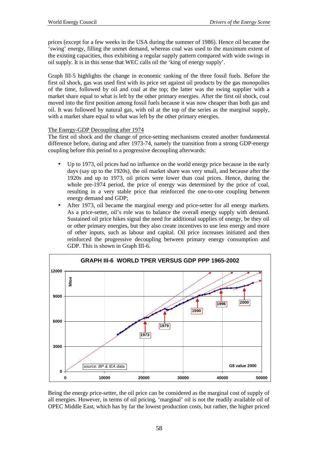prices (except for a few weeks in the USA during the summer of 1986). Hence oil became the 'swing' energy, filling the unmet demand, whereas coal was used to the maximum extent of the existing capacities, thus exhibiting a regular supply pattern compared with wide swings in oil supply. It is in this sense that WEC calls oil the 'king of energy supply'.

Graph III-5 highlights the change in economic ranking of the three fossil fuels. Before the first oil shock, gas was used first with its price set against oil products by the gas monopolies of the time, followed by oil and coal at the top; the latter was the swing supplier with a market share equal to what is left by the other primary energies. After the first oil shock, coal moved into the first position among fossil fuels because it was now cheaper than both gas and oil. It was followed by natural gas, with oil at the top of the series as the marginal supply, with a market share equal to what was left by the other primary energies.

### The Energy-GDP Decoupling after 1974

The first oil shock and the change of price-setting mechanisms created another fundamental difference before, during and after 1973-74, namely the transition from a strong GDP-energy coupling before this period to a progressive decoupling afterwards:

- Up to 1973, oil prices had no influence on the world energy price because in the early days (say up to the 1920s), the oil market share was very small, and because after the 1920s and up to 1973, oil prices were lower than coal prices. Hence, during the whole pre-1974 period, the price of energy was determined by the price of coal, resulting in a very stable price that reinforced the one-to-one coupling between energy demand and GDP;
- After 1973, oil became the marginal energy and price-setter for all energy markets. As a price-setter, oil's role was to balance the overall energy supply with demand. Sustained oil price hikes signal the need for additional supplies of energy, be they oil or other primary energies, but they also create incentives to use less energy and more of other inputs, such as labour and capital. Oil price increases initiated and then reinforced the progressive decoupling between primary energy consumption and GDP. This is shown in Graph III-6.



Being the energy price-setter, the oil price can be considered as the marginal cost of supply of all energies. However, in terms of oil pricing, 'marginal' oil is not the readily available oil of OPEC Middle East, which has by far the lowest production costs, but rather, the higher priced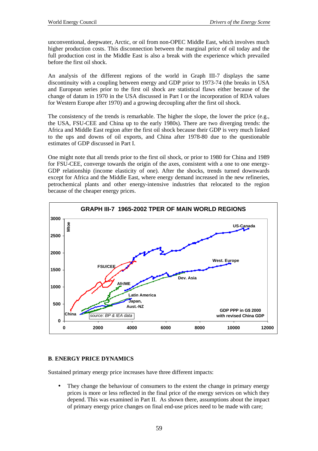unconventional, deepwater, Arctic, or oil from non-OPEC Middle East, which involves much higher production costs. This disconnection between the marginal price of oil today and the full production cost in the Middle East is also a break with the experience which prevailed before the first oil shock.

An analysis of the different regions of the world in Graph III-7 displays the same discontinuity with a coupling between energy and GDP prior to 1973-74 (the breaks in USA and European series prior to the first oil shock are statistical flaws either because of the change of datum in 1970 in the USA discussed in Part I or the incorporation of RDA values for Western Europe after 1970) and a growing decoupling after the first oil shock.

The consistency of the trends is remarkable. The higher the slope, the lower the price (e.g., the USA, FSU-CEE and China up to the early 1980s). There are two diverging trends: the Africa and Middle East region after the first oil shock because their GDP is very much linked to the ups and downs of oil exports, and China after 1978-80 due to the questionable estimates of GDP discussed in Part I.

One might note that all trends prior to the first oil shock, or prior to 1980 for China and 1989 for FSU-CEE, converge towards the origin of the axes, consistent with a one to one energy-GDP relationship (income elasticity of one). After the shocks, trends turned downwards except for Africa and the Middle East, where energy demand increased in the new refineries, petrochemical plants and other energy-intensive industries that relocated to the region because of the cheaper energy prices.



### **B**. **ENERGY PRICE DYNAMICS**

Sustained primary energy price increases have three different impacts:

They change the behaviour of consumers to the extent the change in primary energy prices is more or less reflected in the final price of the energy services on which they depend. This was examined in Part II. As shown there, assumptions about the impact of primary energy price changes on final end-use prices need to be made with care;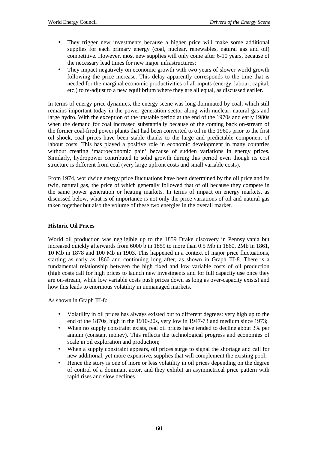- They trigger new investments because a higher price will make some additional supplies for each primary energy (coal, nuclear, renewables, natural gas and oil) competitive. However, most new supplies will only come after 6-10 years, because of the necessary lead times for new major infrastructures;
- They impact negatively on economic growth with two years of slower world growth following the price increase. This delay apparently corresponds to the time that is needed for the marginal economic productivities of all inputs (energy, labour, capital, etc.) to re-adjust to a new equilibrium where they are all equal, as discussed earlier.

In terms of energy price dynamics, the energy scene was long dominated by coal, which still remains important today in the power generation sector along with nuclear, natural gas and large hydro. With the exception of the unstable period at the end of the 1970s and early 1980s when the demand for coal increased substantially because of the coming back on-stream of the former coal-fired power plants that had been converted to oil in the 1960s prior to the first oil shock, coal prices have been stable thanks to the large and predictable component of labour costs. This has played a positive role in economic development in many countries without creating 'macroeconomic pain' because of sudden variations in energy prices. Similarly, hydropower contributed to solid growth during this period even though its cost structure is different from coal (very large upfront costs and small variable costs).

From 1974, worldwide energy price fluctuations have been determined by the oil price and its twin, natural gas, the price of which generally followed that of oil because they compete in the same power generation or heating markets. In terms of impact on energy markets, as discussed below, what is of importance is not only the price variations of oil and natural gas taken together but also the volume of these two energies in the overall market.

#### **Historic Oil Prices**

World oil production was negligible up to the 1859 Drake discovery in Pennsylvania but increased quickly afterwards from 6000 b in 1859 to more than 0.5 Mb in 1860, 2Mb in 1861, 10 Mb in 1878 and 100 Mb in 1903. This happened in a context of major price fluctuations, starting as early as 1860 and continuing long after, as shown in Graph III-8. There is a fundamental relationship between the high fixed and low variable costs of oil production (high costs call for high prices to launch new investments and for full capacity use once they are on-stream, while low variable costs push prices down as long as over-capacity exists) and how this leads to enormous volatility in unmanaged markets.

As shown in Graph III-8:

- Volatility in oil prices has always existed but to different degrees: very high up to the end of the 1870s, high in the 1910-20s, very low in 1947-73 and medium since 1973;
- When no supply constraint exists, real oil prices have tended to decline about 3% per annum (constant money). This reflects the technological progress and economies of scale in oil exploration and production;
- When a supply constraint appears, oil prices surge to signal the shortage and call for new additional, yet more expensive, supplies that will complement the existing pool;
- Hence the story is one of more or less volatility in oil prices depending on the degree of control of a dominant actor, and they exhibit an asymmetrical price pattern with rapid rises and slow declines.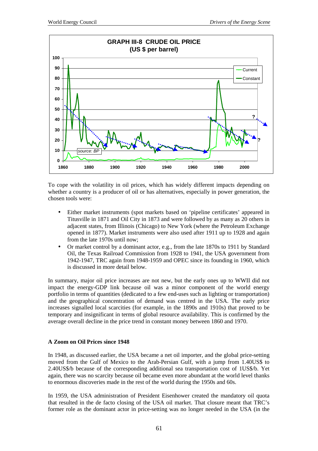

To cope with the volatility in oil prices, which has widely different impacts depending on whether a country is a producer of oil or has alternatives, especially in power generation, the chosen tools were:

- Either market instruments (spot markets based on 'pipeline certificates' appeared in Titusville in 1871 and Oil City in 1873 and were followed by as many as 20 others in adjacent states, from Illinois (Chicago) to New York (where the Petroleum Exchange opened in 1877). Market instruments were also used after 1911 up to 1928 and again from the late 1970s until now;
- Or market control by a dominant actor, e.g., from the late 1870s to 1911 by Standard Oil, the Texas Railroad Commission from 1928 to 1941, the USA government from 1942-1947, TRC again from 1948-1959 and OPEC since its founding in 1960, which is discussed in more detail below.

In summary, major oil price increases are not new, but the early ones up to WWII did not impact the energy-GDP link because oil was a minor component of the world energy portfolio in terms of quantities (dedicated to a few end-uses such as lighting or transportation) and the geographical concentration of demand was centred in the USA. The early price increases signalled local scarcities (for example, in the 1890s and 1910s) that proved to be temporary and insignificant in terms of global resource availability. This is confirmed by the average overall decline in the price trend in constant money between 1860 and 1970.

#### **A Zoom on Oil Prices since 1948**

In 1948, as discussed earlier, the USA became a net oil importer, and the global price-setting moved from the Gulf of Mexico to the Arab-Persian Gulf, with a jump from 1.40US\$ to 2.40US\$/b because of the corresponding additional sea transportation cost of 1US\$/b. Yet again, there was no scarcity because oil became even more abundant at the world level thanks to enormous discoveries made in the rest of the world during the 1950s and 60s.

In 1959, the USA administration of President Eisenhower created the mandatory oil quota that resulted in the de facto closing of the USA oil market. That closure meant that TRC's former role as the dominant actor in price-setting was no longer needed in the USA (in the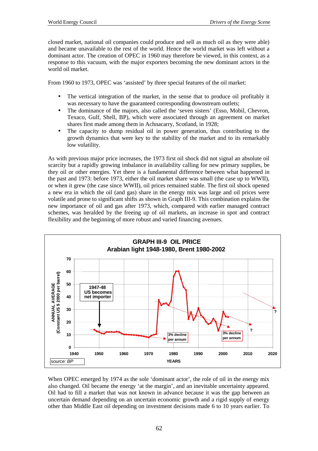closed market, national oil companies could produce and sell as much oil as they were able) and became unavailable to the rest of the world. Hence the world market was left without a dominant actor. The creation of OPEC in 1960 may therefore be viewed, in this context, as a response to this vacuum, with the major exporters becoming the new dominant actors in the world oil market.

From 1960 to 1973, OPEC was 'assisted' by three special features of the oil market:

- The vertical integration of the market, in the sense that to produce oil profitably it was necessary to have the guaranteed corresponding downstream outlets;
- The dominance of the majors, also called the 'seven sisters' (Esso, Mobil, Chevron, Texaco, Gulf, Shell, BP), which were associated through an agreement on market shares first made among them in Achnacarry, Scotland, in 1928;
- The capacity to dump residual oil in power generation, thus contributing to the growth dynamics that were key to the stability of the market and to its remarkably low volatility.

As with previous major price increases, the 1973 first oil shock did not signal an absolute oil scarcity but a rapidly growing imbalance in availability calling for new primary supplies, be they oil or other energies. Yet there is a fundamental difference between what happened in the past and 1973: before 1973, either the oil market share was small (the case up to WWII), or when it grew (the case since WWII), oil prices remained stable. The first oil shock opened a new era in which the oil (and gas) share in the energy mix was large and oil prices were volatile and prone to significant shifts as shown in Graph III-9. This combination explains the new importance of oil and gas after 1973, which, compared with earlier managed contract schemes, was heralded by the freeing up of oil markets, an increase in spot and contract flexibility and the beginning of more robust and varied financing avenues.



When OPEC emerged by 1974 as the sole 'dominant actor', the role of oil in the energy mix also changed. Oil became the energy 'at the margin', and an inevitable uncertainty appeared. Oil had to fill a market that was not known in advance because it was the gap between an uncertain demand depending on an uncertain economic growth and a rigid supply of energy other than Middle East oil depending on investment decisions made 6 to 10 years earlier. To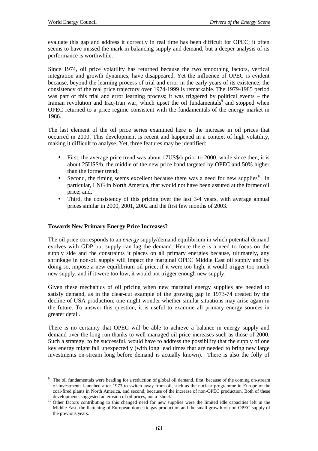evaluate this gap and address it correctly in real time has been difficult for OPEC; it often seems to have missed the mark in balancing supply and demand, but a deeper analysis of its performance is worthwhile.

Since 1974, oil price volatility has returned because the two smoothing factors, vertical integration and growth dynamics, have disappeared. Yet the influence of OPEC is evident because, beyond the learning process of trial and error in the early years of its existence, the consistency of the real price trajectory over 1974-1999 is remarkable. The 1979-1985 period was part of this trial and error learning process; it was triggered by political events – the Iranian revolution and Iraq-Iran war, which upset the oil fundamentals<sup>9</sup> and stopped when OPEC returned to a price regime consistent with the fundamentals of the energy market in 1986.

The last element of the oil price series examined here is the increase in oil prices that occurred in 2000. This development is recent and happened in a context of high volatility, making it difficult to analyse. Yet, three features may be identified:

- First, the average price trend was about 17US\$/b prior to 2000, while since then, it is about 25US\$/b, the middle of the new price band targeted by OPEC and 50% higher than the former trend;
- Second, the timing seems excellent because there was a need for new supplies<sup>10</sup>, in particular, LNG in North America, that would not have been assured at the former oil price; and,
- Third, the consistency of this pricing over the last 3-4 years, with average annual prices similar in 2000, 2001, 2002 and the first few months of 2003.

#### **Towards New Primary Energy Price Increases?**

 $\overline{a}$ 

The oil price corresponds to an *energy* supply/demand equilibrium in which potential demand evolves with GDP but supply can lag the demand. Hence there is a need to focus on the supply side and the constraints it places on all primary energies because, ultimately, any shrinkage in non-oil supply will impact the marginal OPEC Middle East oil supply and by doing so, impose a new equilibrium oil price; if it were too high, it would trigger too much new supply, and if it were too low, it would not trigger enough new supply.

Given these mechanics of oil pricing when new marginal energy supplies are needed to satisfy demand, as in the clear-cut example of the growing gap in 1973-74 created by the decline of USA production, one might wonder whether similar situations may arise again in the future. To answer this question, it is useful to examine all primary energy sources in greater detail.

There is no certainty that OPEC will be able to achieve a balance in energy supply and demand over the long run thanks to well-managed oil price increases such as those of 2000. Such a strategy, to be successful, would have to address the possibility that the supply of one key energy might fall unexpectedly (with long lead times that are needed to bring new large investments on-stream long before demand is actually known). There is also the folly of

<sup>9</sup> The oil fundamentals were heading for a reduction of global oil demand, first, because of the coming on-stream of investments launched after 1973 to switch away from oil, such as the nuclear programme in Europe or the coal-fired plants in North America, and second, because of the increase of non-OPEC production. Both of these

developments suggested an erosion of oil prices, not a 'shock'.<br><sup>10</sup> Other factors contributing to this changed need for new supplies were the limited idle capacities left in the Middle East, the flattening of European domestic gas production and the small growth of non-OPEC supply of the previous years.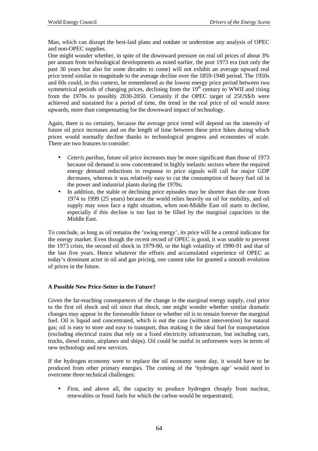Man, which can disrupt the best-laid plans and outdate or undermine any analysis of OPEC and non-OPEC supplies.

One might wonder whether, in spite of the downward pressure on real oil prices of about 3% per annum from technological developments as noted earlier, the post 1973 era (not only the past 30 years but also for some decades to come) will not exhibit an average upward real price trend similar in magnitude to the average decline over the 1859-1948 period. The 1950s and 60s could, in this context, be remembered as the lowest energy price period between two symmetrical periods of changing prices, declining from the  $19<sup>th</sup>$  century to WWII and rising from the 1970s to possibly 2030-2050. Certainly if the OPEC target of 25US\$/b were achieved and sustained for a period of time, the trend in the real price of oil would move upwards, more than compensating for the downward impact of technology.

Again, there is no certainty, because the average price trend will depend on the intensity of future oil price increases and on the length of time between these price hikes during which prices would normally decline thanks to technological progress and economies of scale. There are two features to consider:

- *Ceteris paribus*, future oil price increases may be more significant than those of 1973 because oil demand is now concentrated in highly inelastic sectors where the required energy demand reductions in response to price signals will call for major GDP decreases, whereas it was relatively easy to cut the consumption of heavy fuel oil in the power and industrial plants during the 1970s;
- In addition, the stable or declining price episodes may be shorter than the one from 1974 to 1999 (25 years) because the world relies heavily on oil for mobility, and oil supply may soon face a tight situation, when non-Middle East oil starts to decline, especially if this decline is too fast to be filled by the marginal capacities in the Middle East.

To conclude, as long as oil remains the 'swing energy', its price will be a central indicator for the energy market. Even though the recent record of OPEC is good, it was unable to prevent the 1973 crisis, the second oil shock in 1979-80, or the high volatility of 1990-91 and that of the last five years. Hence whatever the efforts and accumulated experience of OPEC as today's dominant actor in oil and gas pricing, one cannot take for granted a smooth evolution of prices in the future.

#### **A Possible New Price-Setter in the Future?**

Given the far-reaching consequences of the change in the marginal energy supply, coal prior to the first oil shock and oil since that shock, one might wonder whether similar dramatic changes may appear in the foreseeable future or whether oil is to remain forever the marginal fuel. Oil is liquid and concentrated, which is not the case (without intervention) for natural gas; oil is easy to store and easy to transport, thus making it the ideal fuel for transportation (excluding electrical trains that rely on a fixed electricity infrastructure, but including cars, trucks, diesel trains, airplanes and ships). Oil could be useful in unforeseen ways in terms of new technology and new services.

If the hydrogen economy were to replace the oil economy some day, it would have to be produced from other primary energies. The coming of the 'hydrogen age' would need to overcome three technical challenges:

First, and above all, the capacity to produce hydrogen cheaply from nuclear, renewables or fossil fuels for which the carbon would be sequestrated;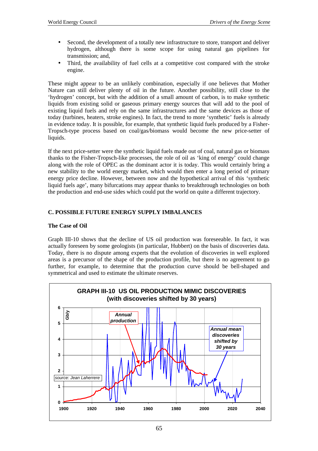- Second, the development of a totally new infrastructure to store, transport and deliver hydrogen, although there is some scope for using natural gas pipelines for transmission; and,
- Third, the availability of fuel cells at a competitive cost compared with the stroke engine.

These might appear to be an unlikely combination, especially if one believes that Mother Nature can still deliver plenty of oil in the future. Another possibility, still close to the 'hydrogen' concept, but with the addition of a small amount of carbon, is to make synthetic liquids from existing solid or gaseous primary energy sources that will add to the pool of existing liquid fuels and rely on the same infrastructures and the same devices as those of today (turbines, heaters, stroke engines). In fact, the trend to more 'synthetic' fuels is already in evidence today. It is possible, for example, that synthetic liquid fuels produced by a Fisher-Tropsch-type process based on coal/gas/biomass would become the new price-setter of liquids.

If the next price-setter were the synthetic liquid fuels made out of coal, natural gas or biomass thanks to the Fisher-Tropsch-like processes, the role of oil as 'king of energy' could change along with the role of OPEC as the dominant actor it is today. This would certainly bring a new stability to the world energy market, which would then enter a long period of primary energy price decline. However, between now and the hypothetical arrival of this 'synthetic liquid fuels age', many bifurcations may appear thanks to breakthrough technologies on both the production and end-use sides which could put the world on quite a different trajectory.

# **C. POSSIBLE FUTURE ENERGY SUPPLY IMBALANCES**

### **The Case of Oil**

Graph III-10 shows that the decline of US oil production was foreseeable. In fact, it was actually foreseen by some geologists (in particular, Hubbert) on the basis of discoveries data. Today, there is no dispute among experts that the evolution of discoveries in well explored areas is a precursor of the shape of the production profile, but there is no agreement to go further, for example, to determine that the production curve should be bell-shaped and symmetrical and used to estimate the ultimate reserves.

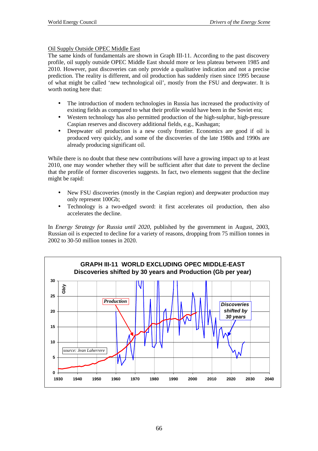# Oil Supply Outside OPEC Middle East

The same kinds of fundamentals are shown in Graph III-11. According to the past discovery profile, oil supply outside OPEC Middle East should more or less plateau between 1985 and 2010. However, past discoveries can only provide a qualitative indication and not a precise prediction. The reality is different, and oil production has suddenly risen since 1995 because of what might be called 'new technological oil', mostly from the FSU and deepwater. It is worth noting here that:

- The introduction of modern technologies in Russia has increased the productivity of existing fields as compared to what their profile would have been in the Soviet era;
- Western technology has also permitted production of the high-sulphur, high-pressure Caspian reserves and discovery additional fields, e.g., Kashagan;
- Deepwater oil production is a new costly frontier. Economics are good if oil is produced very quickly, and some of the discoveries of the late 1980s and 1990s are already producing significant oil.

While there is no doubt that these new contributions will have a growing impact up to at least 2010, one may wonder whether they will be sufficient after that date to prevent the decline that the profile of former discoveries suggests. In fact, two elements suggest that the decline might be rapid:

- New FSU discoveries (mostly in the Caspian region) and deepwater production may only represent 100Gb;
- Technology is a two-edged sword: it first accelerates oil production, then also accelerates the decline.

In *Energy Strategy for Russia until 2020*, published by the government in August, 2003, Russian oil is expected to decline for a variety of reasons, dropping from 75 million tonnes in 2002 to 30-50 million tonnes in 2020.

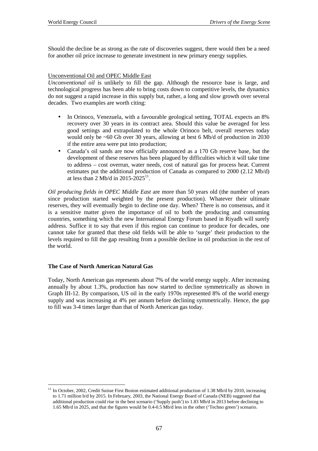Should the decline be as strong as the rate of discoveries suggest, there would then be a need for another oil price increase to generate investment in new primary energy supplies.

#### Unconventional Oil and OPEC Middle East

*Unconventional oil* is unlikely to fill the gap. Although the resource base is large, and technological progress has been able to bring costs down to competitive levels, the dynamics do not suggest a rapid increase in this supply but, rather, a long and slow growth over several decades. Two examples are worth citing:

- In Orinoco, Venezuela, with a favourable geological setting, TOTAL expects an 8% recovery over 30 years in its contract area. Should this value be averaged for less good settings and extrapolated to the whole Orinoco belt, overall reserves today would only be ~60 Gb over 30 years, allowing at best 6 Mb/d of production in 2030 if the entire area were put into production;
- Canada's oil sands are now officially announced as a 170 Gb reserve base, but the development of these reserves has been plagued by difficulties which it will take time to address – cost overrun, water needs, cost of natural gas for process heat. Current estimates put the additional production of Canada as compared to 2000 (2.12 Mb/d) at less than 2 Mb/d in  $2015-2025^{11}$ .

*Oil producing fields in OPEC Middle East* are more than 50 years old (the number of years since production started weighted by the present production). Whatever their ultimate reserves, they will eventually begin to decline one day. When? There is no consensus, and it is a sensitive matter given the importance of oil to both the producing and consuming countries, something which the new International Energy Forum based in Riyadh will surely address. Suffice it to say that even if this region can continue to produce for decades, one cannot take for granted that these old fields will be able to 'surge' their production to the levels required to fill the gap resulting from a possible decline in oil production in the rest of the world.

#### **The Case of North American Natural Gas**

 $\overline{a}$ 

Today, North American gas represents about 7% of the world energy supply. After increasing annually by about 1.3%, production has now started to decline symmetrically as shown in Graph III-12. By comparison, US oil in the early 1970s represented 8% of the world energy supply and was increasing at 4% per annum before declining symmetrically. Hence, the gap to fill was 3-4 times larger than that of North American gas today.

<sup>11</sup> In October, 2002, Credit Suisse First Boston estimated additional production of 1.38 Mb/d by 2010, increasing to 1.71 million b/d by 2015. In February, 2003, the National Energy Board of Canada (NEB) suggested that additional production could rise in the best scenario ('Supply push') to 1.83 Mb/d in 2013 before declining to 1.65 Mb/d in 2025, and that the figures would be 0.4-0.5 Mb/d less in the other ('Techno green') scenario.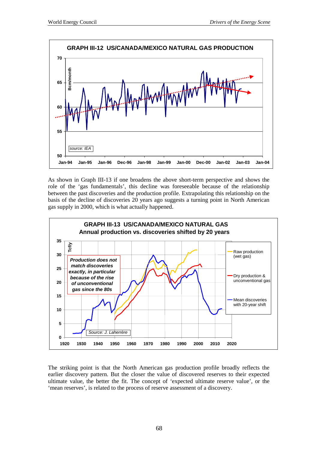

As shown in Graph III-13 if one broadens the above short-term perspective and shows the role of the 'gas fundamentals', this decline was foreseeable because of the relationship between the past discoveries and the production profile. Extrapolating this relationship on the basis of the decline of discoveries 20 years ago suggests a turning point in North American gas supply in 2000, which is what actually happened.



The striking point is that the North American gas production profile broadly reflects the earlier discovery pattern. But the closer the value of discovered reserves to their expected ultimate value, the better the fit. The concept of 'expected ultimate reserve value', or the 'mean reserves', is related to the process of reserve assessment of a discovery.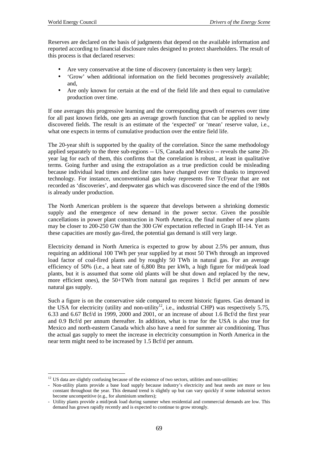$\overline{a}$ 

Reserves are declared on the basis of judgments that depend on the available information and reported according to financial disclosure rules designed to protect shareholders. The result of this process is that declared reserves:

- Are very conservative at the time of discovery (uncertainty is then very large);
- 'Grow' when additional information on the field becomes progressively available; and,
- Are only known for certain at the end of the field life and then equal to cumulative production over time.

If one averages this progressive learning and the corresponding growth of reserves over time for all past known fields, one gets an average growth function that can be applied to newly discovered fields. The result is an estimate of the 'expected' or 'mean' reserve value, i.e., what one expects in terms of cumulative production over the entire field life.

The 20-year shift is supported by the quality of the correlation. Since the same methodology applied separately to the three sub-regions -- US, Canada and Mexico -- reveals the same 20 year lag for each of them, this confirms that the correlation is robust, at least in qualitative terms. Going further and using the extrapolation as a true prediction could be misleading because individual lead times and decline rates have changed over time thanks to improved technology. For instance, unconventional gas today represents five Tcf/year that are not recorded as 'discoveries', and deepwater gas which was discovered since the end of the 1980s is already under production.

The North American problem is the squeeze that develops between a shrinking domestic supply and the emergence of new demand in the power sector. Given the possible cancellations in power plant construction in North America, the final number of new plants may be closer to 200-250 GW than the 300 GW expectation reflected in Graph III-14. Yet as these capacities are mostly gas-fired, the potential gas demand is still very large.

Electricity demand in North America is expected to grow by about 2.5% per annum, thus requiring an additional 100 TWh per year supplied by at most 50 TWh through an improved load factor of coal-fired plants and by roughly 50 TWh in natural gas. For an average efficiency of 50% (i.e., a heat rate of 6,800 Btu per kWh, a high figure for mid/peak load plants, but it is assumed that some old plants will be shut down and replaced by the new, more efficient ones), the 50+TWh from natural gas requires 1 Bcf/d per annum of new natural gas supply.

Such a figure is on the conservative side compared to recent historic figures. Gas demand in the USA for electricity (utility and non-utility<sup>12</sup>, i.e., industrial CHP) was respectively 5.75, 6.33 and 6.67 Bcf/d in 1999, 2000 and 2001, or an increase of about 1.6 Bcf/d the first year and 0.9 Bcf/d per annum thereafter. In addition, what is true for the USA is also true for Mexico and north-eastern Canada which also have a need for summer air conditioning. Thus the actual gas supply to meet the increase in electricity consumption in North America in the near term might need to be increased by 1.5 Bcf/d per annum.

<sup>&</sup>lt;sup>12</sup> US data are slightly confusing because of the existence of two sectors, utilities and non-utilities:

<sup>-</sup> Non-utility plants provide a base load supply because industry's electricity and heat needs are more or less constant throughout the year. This demand trend is slightly up but can vary quickly if some industrial sectors become uncompetitive (e.g., for aluminium smelters);

<sup>-</sup> Utility plants provide a mid/peak load during summer when residential and commercial demands are low. This demand has grown rapidly recently and is expected to continue to grow strongly.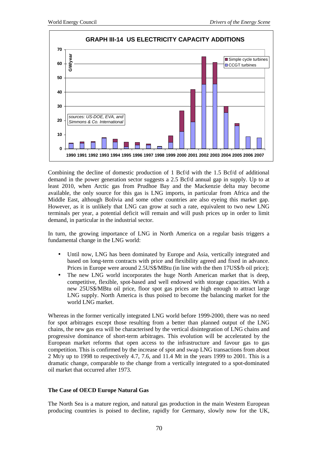

Combining the decline of domestic production of 1 Bcf/d with the 1.5 Bcf/d of additional demand in the power generation sector suggests a 2.5 Bcf/d annual gap in supply. Up to at least 2010, when Arctic gas from Prudhoe Bay and the Mackenzie delta may become available, the only source for this gas is LNG imports, in particular from Africa and the Middle East, although Bolivia and some other countries are also eyeing this market gap. However, as it is unlikely that LNG can grow at such a rate, equivalent to two new LNG terminals per year, a potential deficit will remain and will push prices up in order to limit demand, in particular in the industrial sector.

In turn, the growing importance of LNG in North America on a regular basis triggers a fundamental change in the LNG world:

- Until now, LNG has been dominated by Europe and Asia, vertically integrated and based on long-term contracts with price and flexibility agreed and fixed in advance. Prices in Europe were around 2.5US\$/MBtu (in line with the then 17US\$/b oil price);
- The new LNG world incorporates the huge North American market that is deep, competitive, flexible, spot-based and well endowed with storage capacities. With a new 25US\$/MBtu oil price, floor spot gas prices are high enough to attract large LNG supply. North America is thus poised to become the balancing market for the world LNG market.

Whereas in the former vertically integrated LNG world before 1999-2000, there was no need for spot arbitrages except those resulting from a better than planned output of the LNG chains, the new gas era will be characterised by the vertical disintegration of LNG chains and progressive dominance of short-term arbitrages. This evolution will be accelerated by the European market reforms that open access to the infrastructure and favour gas to gas competition. This is confirmed by the increase of spot and swap LNG transactions from about 2 Mt/y up to 1998 to respectively 4.7, 7.6, and 11.4 Mt in the years 1999 to 2001. This is a dramatic change, comparable to the change from a vertically integrated to a spot-dominated oil market that occurred after 1973.

#### **The Case of OECD Europe Natural Gas**

The North Sea is a mature region, and natural gas production in the main Western European producing countries is poised to decline, rapidly for Germany, slowly now for the UK,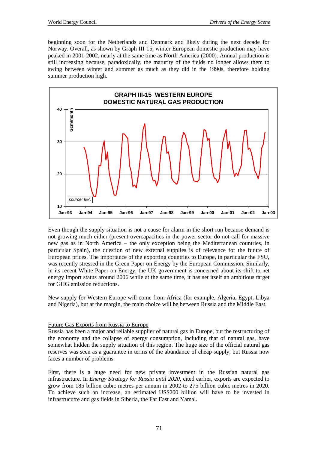beginning soon for the Netherlands and Denmark and likely during the next decade for Norway. Overall, as shown by Graph III-15, winter European domestic production may have peaked in 2001-2002, nearly at the same time as North America (2000). Annual production is still increasing because, paradoxically, the maturity of the fields no longer allows them to swing between winter and summer as much as they did in the 1990s, therefore holding summer production high.



Even though the supply situation is not a cause for alarm in the short run because demand is not growing much either (present overcapacities in the power sector do not call for massive new gas as in North America – the only exception being the Mediterranean countries, in particular Spain), the question of new external supplies is of relevance for the future of European prices. The importance of the exporting countries to Europe, in particular the FSU, was recently stressed in the Green Paper on Energy by the European Commission. Similarly, in its recent White Paper on Energy, the UK government is concerned about its shift to net energy import status around 2006 while at the same time, it has set itself an ambitious target for GHG emission reductions.

New supply for Western Europe will come from Africa (for example, Algeria, Egypt, Libya and Nigeria), but at the margin, the main choice will be between Russia and the Middle East.

### Future Gas Exports from Russia to Europe

Russia has been a major and reliable supplier of natural gas in Europe, but the restructuring of the economy and the collapse of energy consumption, including that of natural gas, have somewhat hidden the supply situation of this region. The huge size of the official natural gas reserves was seen as a guarantee in terms of the abundance of cheap supply, but Russia now faces a number of problems.

First, there is a huge need for new private investment in the Russian natural gas infrastructure. In *Energy Strategy for Russia until 2020*, cited earlier, exports are expected to grow from 185 billion cubic metres per annum in 2002 to 275 billion cubic metres in 2020. To achieve such an increase, an estimated US\$200 billion will have to be invested in infrastrucutre and gas fields in Siberia, the Far East and Yamal.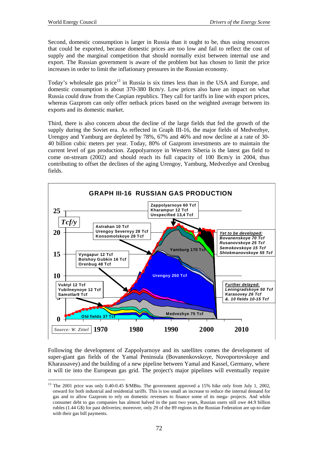Second, domestic consumption is larger in Russia than it ought to be, thus using resources that could be exported, because domestic prices are too low and fail to reflect the cost of supply and the marginal competition that should normally exist between internal use and export. The Russian government is aware of the problem but has chosen to limit the price increases in order to limit the inflationary pressures in the Russian economy.

Today's wholesale gas price<sup>13</sup> in Russia is six times less than in the USA and Europe, and domestic consumption is about 370-380 Bcm/y. Low prices also have an impact on what Russia could draw from the Caspian republics. They call for tariffs in line with export prices, whereas Gazprom can only offer netback prices based on the weighted average between its exports and its domestic market.

Third, there is also concern about the decline of the large fields that fed the growth of the supply during the Soviet era. As reflected in Graph III-16, the major fields of Medvezhye, Urengoy and Yamburg are depleted by 78%, 67% and 46% and now decline at a rate of 30- 40 billion cubic meters per year. Today, 80% of Gazprom investments are to maintain the current level of gas production. Zappolyarnoye in Western Siberia is the latest gas field to come on-stream (2002) and should reach its full capacity of 100 Bcm/y in 2004, thus contributing to offset the declines of the aging Urengoy, Yamburg, Medvezhye and Orenbug fields.



Following the development of Zappolyarnoye and its satellites comes the development of super-giant gas fields of the Yamal Peninsula (Bovanenkovskoye, Novoportovskoye and Kharassavey) and the building of a new pipeline between Yamal and Kassel, Germany, where it will tie into the European gas grid. The project's major pipelines will eventually require

 $\overline{a}$ <sup>13</sup> The 2001 price was only 0.40-0.45 \$/MBtu. The government approved a 15% hike only from July 1, 2002, onward for both industrial and residential tariffs. This is too small an increase to reduce the internal demand for gas and to allow Gazprom to rely on domestic revenues to finance some of its mega- projects. And while consumer debt to gas companies has almost halved in the past two years, Russian users still owe 44.9 billion rubles (1.44 G\$) for past deliveries; moreover, only 29 of the 89 regions in the Russian Federation are up-to-date with their gas bill payments.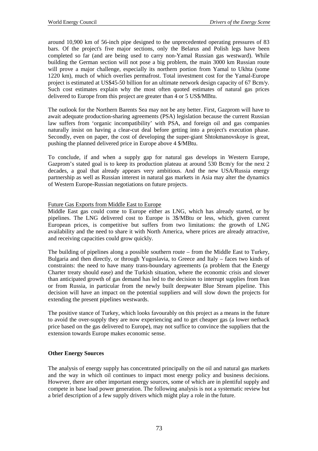around 10,900 km of 56-inch pipe designed to the unprecedented operating pressures of 83 bars. Of the project's five major sections, only the Belarus and Polish legs have been completed so far (and are being used to carry non-Yamal Russian gas westward). While building the German section will not pose a big problem, the main 3000 km Russian route will prove a major challenge, especially its northern portion from Yamal to Ukhta (some 1220 km), much of which overlies permafrost. Total investment cost for the Yamal-Europe project is estimated at US\$45-50 billion for an ultimate network design capacity of 67 Bcm/y. Such cost estimates explain why the most often quoted estimates of natural gas prices delivered to Europe from this project are greater than 4 or 5 US\$/MBtu.

The outlook for the Northern Barents Sea may not be any better. First, Gazprom will have to await adequate production-sharing agreements (PSA) legislation because the current Russian law suffers from 'organic incompatibility' with PSA, and foreign oil and gas companies naturally insist on having a clear-cut deal before getting into a project's execution phase. Secondly, even on paper, the cost of developing the super-giant Shtokmanovskoye is great, pushing the planned delivered price in Europe above 4 \$/MBtu.

To conclude, if and when a supply gap for natural gas develops in Western Europe, Gazprom's stated goal is to keep its production plateau at around 530 Bcm/y for the next 2 decades, a goal that already appears very ambitious. And the new USA/Russia energy partnership as well as Russian interest in natural gas markets in Asia may alter the dynamics of Western Europe-Russian negotiations on future projects.

#### Future Gas Exports from Middle East to Europe

Middle East gas could come to Europe either as LNG, which has already started, or by pipelines. The LNG delivered cost to Europe is 3\$/MBtu or less, which, given current European prices, is competitive but suffers from two limitations: the growth of LNG availability and the need to share it with North America, where prices are already attractive, and receiving capacities could grow quickly.

The building of pipelines along a possible southern route – from the Middle East to Turkey, Bulgaria and then directly, or through Yugoslavia, to Greece and Italy – faces two kinds of constraints: the need to have many trans-boundary agreements (a problem that the Energy Charter treaty should ease) and the Turkish situation, where the economic crisis and slower than anticipated growth of gas demand has led to the decision to interrupt supplies from Iran or from Russia, in particular from the newly built deepwater Blue Stream pipeline. This decision will have an impact on the potential suppliers and will slow down the projects for extending the present pipelines westwards.

The positive stance of Turkey, which looks favourably on this project as a means in the future to avoid the over-supply they are now experiencing and to get cheaper gas (a lower netback price based on the gas delivered to Europe), may not suffice to convince the suppliers that the extension towards Europe makes economic sense.

#### **Other Energy Sources**

The analysis of energy supply has concentrated principally on the oil and natural gas markets and the way in which oil continues to impact most energy policy and business decisions. However, there are other important energy sources, some of which are in plentiful supply and compete in base load power generation. The following analysis is not a systematic review but a brief description of a few supply drivers which might play a role in the future.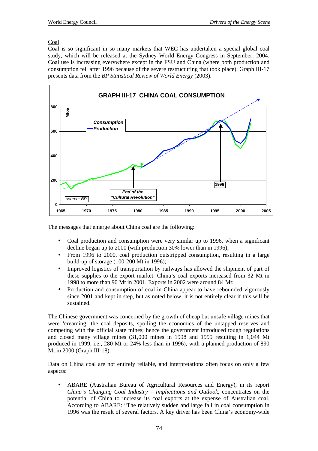## Coal

Coal is so significant in so many markets that WEC has undertaken a special global coal study, which will be released at the Sydney World Energy Congress in September, 2004. Coal use is increasing everywhere except in the FSU and China (where both production and consumption fell after 1996 because of the severe restructuring that took place). Graph III-17 presents data from the *BP Statistical Review of World Energy* (2003).



The messages that emerge about China coal are the following:

- Coal production and consumption were very similar up to 1996, when a significant decline began up to 2000 (with production 30% lower than in 1996);
- From 1996 to 2000, coal production outstripped consumption, resulting in a large build-up of storage (100-200 Mt in 1996);
- Improved logistics of transportation by railways has allowed the shipment of part of these supplies to the export market. China's coal exports increased from 32 Mt in 1998 to more than 90 Mt in 2001. Exports in 2002 were around 84 Mt;
- Production and consumption of coal in China appear to have rebounded vigorously since 2001 and kept in step, but as noted below, it is not entirely clear if this will be sustained.

The Chinese government was concerned by the growth of cheap but unsafe village mines that were 'creaming' the coal deposits, spoiling the economics of the untapped reserves and competing with the official state mines; hence the government introduced tough regulations and closed many village mines (31,000 mines in 1998 and 1999 resulting in 1,044 Mt produced in 1999, i.e., 280 Mt or 24% less than in 1996), with a planned production of 890 Mt in 2000 (Graph III-18).

Data on China coal are not entirely reliable, and interpretations often focus on only a few aspects:

• ABARE (Australian Bureau of Agricultural Resources and Energy), in its report *China's Changing Coal Industry – Implications and Outlook*, concentrates on the potential of China to increase its coal exports at the expense of Australian coal. According to ABARE: "The relatively sudden and large fall in coal consumption in 1996 was the result of several factors. A key driver has been China's economy-wide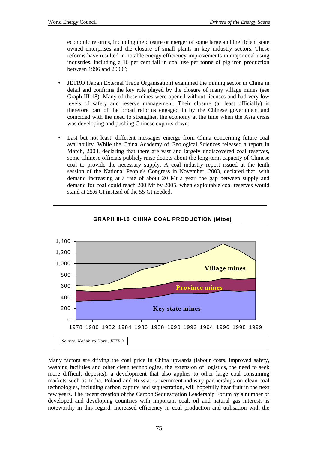economic reforms, including the closure or merger of some large and inefficient state owned enterprises and the closure of small plants in key industry sectors. These reforms have resulted in notable energy efficiency improvements in major coal using industries, including a 16 per cent fall in coal use per tonne of pig iron production between 1996 and 2000";

- JETRO (Japan External Trade Organisation) examined the mining sector in China in detail and confirms the key role played by the closure of many village mines (see Graph III-18). Many of these mines were opened without licenses and had very low levels of safety and reserve management. Their closure (at least officially) is therefore part of the broad reforms engaged in by the Chinese government and coincided with the need to strengthen the economy at the time when the Asia crisis was developing and pushing Chinese exports down;
- Last but not least, different messages emerge from China concerning future coal availability. While the China Academy of Geological Sciences released a report in March, 2003, declaring that there are vast and largely undiscovered coal reserves. some Chinese officials publicly raise doubts about the long-term capacity of Chinese coal to provide the necessary supply. A coal industry report issued at the tenth session of the National People's Congress in November, 2003, declared that, with demand increasing at a rate of about 20 Mt a year, the gap between supply and demand for coal could reach 200 Mt by 2005, when exploitable coal reserves would stand at 25.6 Gt instead of the 55 Gt needed.



Many factors are driving the coal price in China upwards (labour costs, improved safety, washing facilities and other clean technologies, the extension of logistics, the need to seek more difficult deposits), a development that also applies to other large coal consuming markets such as India, Poland and Russia. Government-industry partnerships on clean coal technologies, including carbon capture and sequestration, will hopefully bear fruit in the next few years. The recent creation of the Carbon Sequestration Leadership Forum by a number of developed and developing countries with important coal, oil and natural gas interests is noteworthy in this regard. Increased efficiency in coal production and utilisation with the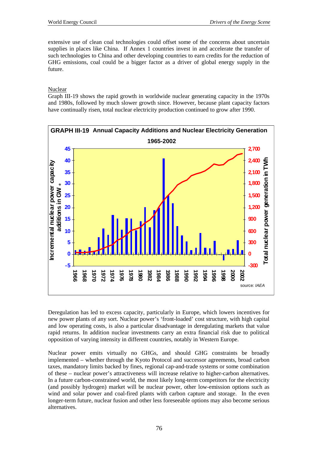extensive use of clean coal technologies could offset some of the concerns about uncertain supplies in places like China. If Annex 1 countries invest in and accelerate the transfer of such technologies to China and other developing countries to earn credits for the reduction of GHG emissions, coal could be a bigger factor as a driver of global energy supply in the future.

#### Nuclear

Graph III-19 shows the rapid growth in worldwide nuclear generating capacity in the 1970s and 1980s, followed by much slower growth since. However, because plant capacity factors have continually risen, total nuclear electricity production continued to grow after 1990.



Deregulation has led to excess capacity, particularly in Europe, which lowers incentives for new power plants of any sort. Nuclear power's 'front-loaded' cost structure, with high capital and low operating costs, is also a particular disadvantage in deregulating markets that value rapid returns. In addition nuclear investments carry an extra financial risk due to political opposition of varying intensity in different countries, notably in Western Europe.

Nuclear power emits virtually no GHGs, and should GHG constraints be broadly implemented – whether through the Kyoto Protocol and successor agreements, broad carbon taxes, mandatory limits backed by fines, regional cap-and-trade systems or some combination of these – nuclear power's attractiveness will increase relative to higher-carbon alternatives. In a future carbon-constrained world, the most likely long-term competitors for the electricity (and possibly hydrogen) market will be nuclear power, other low-emission options such as wind and solar power and coal-fired plants with carbon capture and storage. In the even longer-term future, nuclear fusion and other less foreseeable options may also become serious alternatives.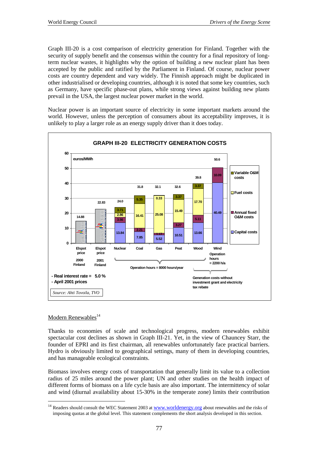Graph III-20 is a cost comparison of electricity generation for Finland. Together with the security of supply benefit and the consensus within the country for a final repository of longterm nuclear wastes, it highlights why the option of building a new nuclear plant has been accepted by the public and ratified by the Parliament in Finland. Of course, nuclear power costs are country dependent and vary widely. The Finnish approach might be duplicated in other industrialised or developing countries, although it is noted that some key countries, such as Germany, have specific phase-out plans, while strong views against building new plants prevail in the USA, the largest nuclear power market in the world.

Nuclear power is an important source of electricity in some important markets around the world. However, unless the perception of consumers about its acceptability improves, it is unlikely to play a larger role as an energy supply driver than it does today.



### Modern Renewables<sup>14</sup>

 $\overline{a}$ 

Thanks to economies of scale and technological progress, modern renewables exhibit spectacular cost declines as shown in Graph III-21. Yet, in the view of Chauncey Starr, the founder of EPRI and its first chairman, all renewables unfortunately face practical barriers. Hydro is obviously limited to geographical settings, many of them in developing countries, and has manageable ecological constraints.

Biomass involves energy costs of transportation that generally limit its value to a collection radius of 25 miles around the power plant; UN and other studies on the health impact of different forms of biomass on a life cycle basis are also important. The intermittency of solar and wind (diurnal availability about 15-30% in the temperate zone) limits their contribution

<sup>&</sup>lt;sup>14</sup> Readers should consult the WEC Statement 2003 at www.worldenergy.org about renewables and the risks of imposing quotas at the global level. This statement complements the short analysis developed in this section.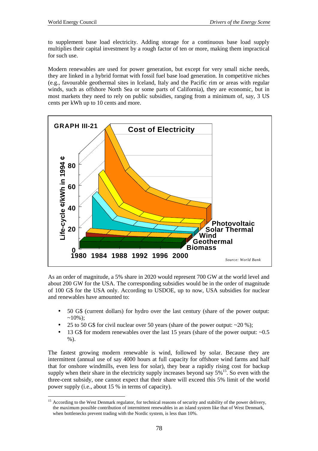to supplement base load electricity. Adding storage for a continuous base load supply multiplies their capital investment by a rough factor of ten or more, making them impractical for such use.

Modern renewables are used for power generation, but except for very small niche needs, they are linked in a hybrid format with fossil fuel base load generation. In competitive niches (e.g., favourable geothermal sites in Iceland, Italy and the Pacific rim or areas with regular winds, such as offshore North Sea or some parts of California), they are economic, but in most markets they need to rely on public subsidies, ranging from a minimum of, say, 3 US cents per kWh up to 10 cents and more.



As an order of magnitude, a 5% share in 2020 would represent 700 GW at the world level and about 200 GW for the USA. The corresponding subsidies would be in the order of magnitude of 100 G\$ for the USA only. According to USDOE, up to now, USA subsidies for nuclear and renewables have amounted to:

- 50 G\$ (current dollars) for hydro over the last century (share of the power output:  $\sim10\%$ );
- 25 to 50 G\$ for civil nuclear over 50 years (share of the power output:  $\sim$ 20 %);
- 13 G\$ for modern renewables over the last 15 years (share of the power output: ~0.5 %).

The fastest growing modern renewable is wind, followed by solar. Because they are intermittent (annual use of say 4000 hours at full capacity for offshore wind farms and half that for onshore windmills, even less for solar), they bear a rapidly rising cost for backup supply when their share in the electricity supply increases beyond say  $5\%$ <sup>15</sup>. So even with the three-cent subsidy, one cannot expect that their share will exceed this 5% limit of the world power supply (i.e., about 15 % in terms of capacity).

 $15$ 15 According to the West Denmark regulator, for technical reasons of security and stability of the power delivery, the maximum possible contribution of intermittent renewables in an island system like that of West Denmark, when bottlenecks prevent trading with the Nordic system, is less than 10%.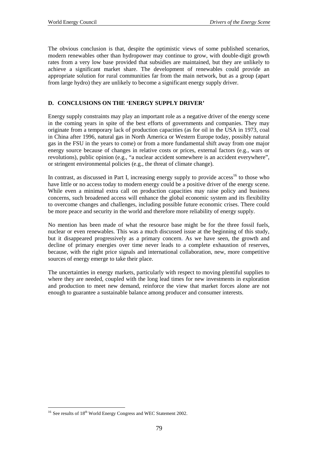The obvious conclusion is that, despite the optimistic views of some published scenarios, modern renewables other than hydropower may continue to grow, with double-digit growth rates from a very low base provided that subsidies are maintained, but they are unlikely to achieve a significant market share. The development of renewables could provide an appropriate solution for rural communities far from the main network, but as a group (apart from large hydro) they are unlikely to become a significant energy supply driver.

## **D. CONCLUSIONS ON THE 'ENERGY SUPPLY DRIVER'**

Energy supply constraints may play an important role as a negative driver of the energy scene in the coming years in spite of the best efforts of governments and companies. They may originate from a temporary lack of production capacities (as for oil in the USA in 1973, coal in China after 1996, natural gas in North America or Western Europe today, possibly natural gas in the FSU in the years to come) or from a more fundamental shift away from one major energy source because of changes in relative costs or prices, external factors (e.g., wars or revolutions), public opinion (e.g., "a nuclear accident somewhere is an accident everywhere", or stringent environmental policies (e.g., the threat of climate change).

In contrast, as discussed in Part I, increasing energy supply to provide  $access<sup>16</sup>$  to those who have little or no access today to modern energy could be a positive driver of the energy scene. While even a minimal extra call on production capacities may raise policy and business concerns, such broadened access will enhance the global economic system and its flexibility to overcome changes and challenges, including possible future economic crises. There could be more peace and security in the world and therefore more reliability of energy supply.

No mention has been made of what the resource base might be for the three fossil fuels, nuclear or even renewables. This was a much discussed issue at the beginning of this study, but it disappeared progressively as a primary concern. As we have seen, the growth and decline of primary energies over time never leads to a complete exhaustion of reserves, because, with the right price signals and international collaboration, new, more competitive sources of energy emerge to take their place.

The uncertainties in energy markets, particularly with respect to moving plentiful supplies to where they are needed, coupled with the long lead times for new investments in exploration and production to meet new demand, reinforce the view that market forces alone are not enough to guarantee a sustainable balance among producer and consumer interests.

 $\overline{a}$  $16$  See results of  $18<sup>th</sup>$  World Energy Congress and WEC Statement 2002.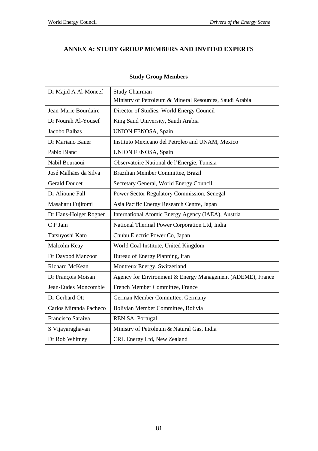# **ANNEX A: STUDY GROUP MEMBERS AND INVITED EXPERTS**

| Dr Majid A Al-Moneef   | <b>Study Chairman</b>                                      |
|------------------------|------------------------------------------------------------|
|                        | Ministry of Petroleum & Mineral Resources, Saudi Arabia    |
| Jean-Marie Bourdaire   | Director of Studies, World Energy Council                  |
| Dr Nourah Al-Yousef    | King Saud University, Saudi Arabia                         |
| Jacobo Balbas          | <b>UNION FENOSA</b> , Spain                                |
| Dr Mariano Bauer       | Instituto Mexicano del Petroleo and UNAM, Mexico           |
| Pablo Blanc            | <b>UNION FENOSA</b> , Spain                                |
| Nabil Bouraoui         | Observatoire National de l'Energie, Tunisia                |
| José Malhães da Silva  | Brazilian Member Committee, Brazil                         |
| <b>Gerald Doucet</b>   | Secretary General, World Energy Council                    |
| Dr Alioune Fall        | Power Sector Regulatory Commission, Senegal                |
| Masaharu Fujitomi      | Asia Pacific Energy Research Centre, Japan                 |
| Dr Hans-Holger Rogner  | International Atomic Energy Agency (IAEA), Austria         |
| C P Jain               | National Thermal Power Corporation Ltd, India              |
| Tatsuyoshi Kato        | Chubu Electric Power Co, Japan                             |
| Malcolm Keay           | World Coal Institute, United Kingdom                       |
| Dr Davood Manzoor      | Bureau of Energy Planning, Iran                            |
| Richard McKean         | Montreux Energy, Switzerland                               |
| Dr François Moisan     | Agency for Environment & Energy Management (ADEME), France |
| Jean-Eudes Moncomble   | French Member Committee, France                            |
| Dr Gerhard Ott         | German Member Committee, Germany                           |
| Carlos Miranda Pacheco | Bolivian Member Committee, Bolivia                         |
| Francisco Saraiva      | REN SA, Portugal                                           |
| S Vijayaraghavan       | Ministry of Petroleum & Natural Gas, India                 |
| Dr Rob Whitney         | CRL Energy Ltd, New Zealand                                |

# **Study Group Members**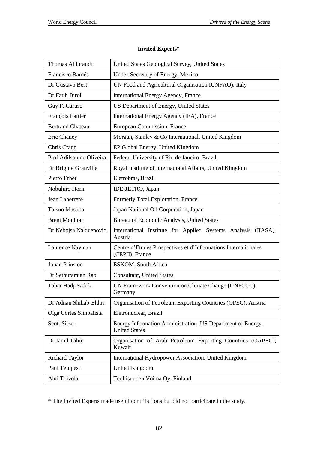# Thomas Ahlbrandt | United States Geological Survey, United States Francisco Barnés | Under-Secretary of Energy, Mexico Dr Gustavo Best UN Food and Agricultural Organisation IUNFAO), Italy Dr Fatih Birol International Energy Agency, France Guy F. Caruso US Department of Energy, United States François Cattier | International Energy Agency (IEA), France Bertrand Chateau European Commission, France Eric Chaney Morgan, Stanley & Co International, United Kingdom Chris Cragg EP Global Energy, United Kingdom Prof Adilson de Oliveira Federal University of Rio de Janeiro, Brazil Dr Brigitte Granville Royal Institute of International Affairs, United Kingdom Pietro Erber | Eletrobrás, Brazil Nobuhiro Horii IDE-JETRO, Japan Jean Laherrere Formerly Total Exploration, France Tatsuo Masuda Japan National Oil Corporation, Japan Brent Moulton Bureau of Economic Analysis, United States Dr Nebojsa Nakicenovic | International Institute for Applied Systems Analysis (IIASA), Austria Laurence Nayman Centre d'Etudes Prospectives et d'Informations Internationales (CEPII), France Johan Prinsloo ESKOM, South Africa Dr Sethuramiah Rao Consultant, United States Tahar Hadj-Sadok UN Framework Convention on Climate Change (UNFCCC), Germany Dr Adnan Shihab-Eldin | Organisation of Petroleum Exporting Countries (OPEC), Austria Olga Côrtes Simbalista Eletronuclear, Brazil Scott Sitzer Energy Information Administration, US Department of Energy, United States Dr Jamil Tahir | Organisation of Arab Petroleum Exporting Countries (OAPEC), Kuwait Richard Taylor International Hydropower Association, United Kingdom Paul Tempest United Kingdom Ahti Toivola Teollisuuden Voima Oy, Finland

## **Invited Experts\***

\* The Invited Experts made useful contributions but did not participate in the study.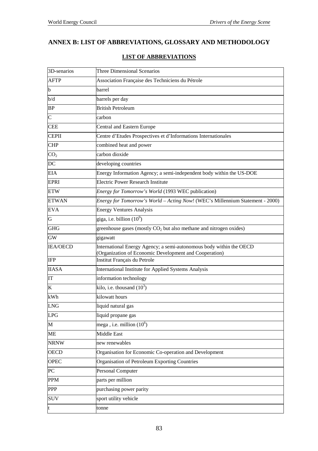# **ANNEX B: LIST OF ABBREVIATIONS, GLOSSARY AND METHODOLOGY**

| 3D-senarios     | Three Dimensional Scenarios                                                                                                   |
|-----------------|-------------------------------------------------------------------------------------------------------------------------------|
| <b>AFTP</b>     | Association Française des Techniciens du Pétrole                                                                              |
| b               | barrel                                                                                                                        |
| b/d             | barrels per day                                                                                                               |
| <b>BP</b>       | <b>British Petroleum</b>                                                                                                      |
| $\overline{C}$  | carbon                                                                                                                        |
| <b>CEE</b>      | Central and Eastern Europe                                                                                                    |
| <b>CEPII</b>    | Centre d'Etudes Prospectives et d'Informations Internationales                                                                |
| <b>CHP</b>      | combined heat and power                                                                                                       |
| CO <sub>2</sub> | carbon dioxide                                                                                                                |
| DC              | developing countries                                                                                                          |
| <b>EIA</b>      | Energy Information Agency; a semi-independent body within the US-DOE                                                          |
| <b>EPRI</b>     | <b>Electric Power Research Institute</b>                                                                                      |
| <b>ETW</b>      | Energy for Tomorrow's World (1993 WEC publication)                                                                            |
| <b>ETWAN</b>    | Energy for Tomorrow's World - Acting Now! (WEC's Millennium Statement - 2000)                                                 |
| <b>EVA</b>      | <b>Energy Ventures Analysis</b>                                                                                               |
| G               | giga, i.e. billion $(10^9)$                                                                                                   |
| <b>GHG</b>      | greenhouse gases (mostly $CO2$ but also methane and nitrogen oxides)                                                          |
| <b>GW</b>       | gigawatt                                                                                                                      |
| <b>IEA/OECD</b> | International Energy Agency; a semi-autonomous body within the OECD<br>(Organization of Economic Development and Cooperation) |
| IFP             | Institut Français du Petrole                                                                                                  |
| <b>IIASA</b>    | International Institute for Applied Systems Analysis                                                                          |
| IT              | information technology                                                                                                        |
| K               | kilo, i.e. thousand $(10^3)$                                                                                                  |
| kWh             | kilowatt hours                                                                                                                |
| <b>LNG</b>      | liquid natural gas                                                                                                            |
| <b>LPG</b>      | liquid propane gas                                                                                                            |
| M               | mega, i.e. million $(10^6)$                                                                                                   |
| ME              | Middle East                                                                                                                   |
| <b>NRNW</b>     | new renewables                                                                                                                |
| <b>OECD</b>     | Organisation for Economic Co-operation and Development                                                                        |
| <b>OPEC</b>     | Organisation of Petroleum Exporting Countries                                                                                 |
| PC              | Personal Computer                                                                                                             |
| <b>PPM</b>      | parts per million                                                                                                             |
| <b>PPP</b>      | purchasing power parity                                                                                                       |
| <b>SUV</b>      | sport utility vehicle                                                                                                         |
| t               | tonne                                                                                                                         |

# **LIST OF ABBREVIATIONS**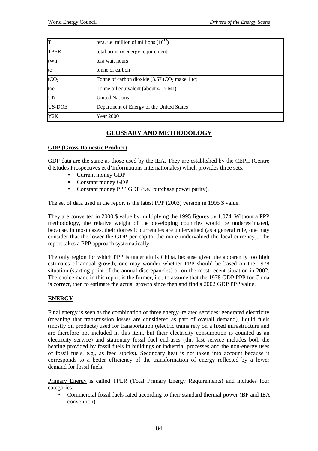| T                | tera, i.e. million of millions $(10^{12})$                                |
|------------------|---------------------------------------------------------------------------|
| <b>TPER</b>      | total primary energy requirement                                          |
| tWh              | tera watt hours                                                           |
| tc               | tonne of carbon                                                           |
| tCO <sub>2</sub> | Tonne of carbon dioxide $(3.67 \text{ tCO}_2 \text{ make } 1 \text{ tc})$ |
| toe              | Tonne oil equivalent (about 41.5 MJ)                                      |
| <b>UN</b>        | <b>United Nations</b>                                                     |
| <b>US-DOE</b>    | Department of Energy of the United States                                 |
| Y2K              | Year 2000                                                                 |

# **GLOSSARY AND METHODOLOGY**

#### **GDP (Gross Domestic Product)**

GDP data are the same as those used by the IEA. They are established by the CEPII (Centre d'Etudes Prospectives et d'Informations Internationales) which provides three sets:

- Current money GDP
- Constant money GDP
- Constant money PPP GDP (i.e., purchase power parity).

The set of data used in the report is the latest PPP (2003) version in 1995 \$ value.

They are converted in 2000 \$ value by multiplying the 1995 figures by 1.074. Without a PPP methodology, the relative weight of the developing countries would be underestimated, because, in most cases, their domestic currencies are undervalued (as a general rule, one may consider that the lower the GDP per capita, the more undervalued the local currency). The report takes a PPP approach systematically.

The only region for which PPP is uncertain is China, because given the apparently too high estimates of annual growth, one may wonder whether PPP should be based on the 1978 situation (starting point of the annual discrepancies) or on the most recent situation in 2002. The choice made in this report is the former, i.e., to assume that the 1978 GDP PPP for China is correct, then to estimate the actual growth since then and find a 2002 GDP PPP value.

### **ENERGY**

Final energy is seen as the combination of three energy–related services: generated electricity (meaning that transmission losses are considered as part of overall demand), liquid fuels (mostly oil products) used for transportation (electric trains rely on a fixed infrastructure and are therefore not included in this item, but their electricity consumption is counted as an electricity service) and stationary fossil fuel end-uses (this last service includes both the heating provided by fossil fuels in buildings or industrial processes and the non-energy uses of fossil fuels, e.g., as feed stocks). Secondary heat is not taken into account because it corresponds to a better efficiency of the transformation of energy reflected by a lower demand for fossil fuels.

Primary Energy is called TPER (Total Primary Energy Requirements) and includes four categories:

• Commercial fossil fuels rated according to their standard thermal power (BP and IEA convention)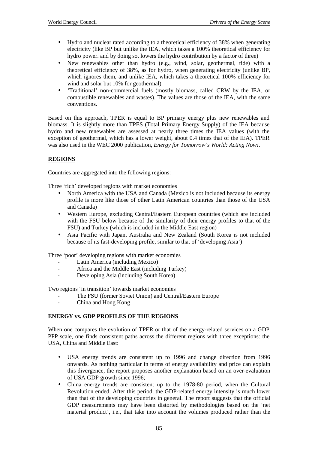- Hydro and nuclear rated according to a theoretical efficiency of 38% when generating electricity (like BP but unlike the IEA, which takes a 100% theoretical efficiency for hydro power. and by doing so, lowers the hydro contribution by a factor of three)
- New renewables other than hydro (e.g., wind, solar, geothermal, tide) with a theoretical efficiency of 38%, as for hydro, when generating electricity (unlike BP, which ignores them, and unlike IEA, which takes a theoretical 100% efficiency for wind and solar but 10% for geothermal)
- 'Traditional' non-commercial fuels (mostly biomass, called CRW by the IEA, or combustible renewables and wastes). The values are those of the IEA, with the same conventions.

Based on this approach, TPER is equal to BP primary energy plus new renewables and biomass. It is slightly more than TPES (Total Primary Energy Supply) of the IEA because hydro and new renewables are assessed at nearly three times the IEA values (with the exception of geothermal, which has a lower weight, about 0.4 times that of the IEA). TPER was also used in the WEC 2000 publication, *Energy for Tomorrow's World: Acting Now!*.

### **REGIONS**

Countries are aggregated into the following regions:

Three 'rich' developed regions with market economies

- North America with the USA and Canada (Mexico is not included because its energy profile is more like those of other Latin American countries than those of the USA and Canada)
- Western Europe, excluding Central/Eastern European countries (which are included with the FSU below because of the similarity of their energy profiles to that of the FSU) and Turkey (which is included in the Middle East region)
- Asia Pacific with Japan, Australia and New Zealand (South Korea is not included because of its fast-developing profile, similar to that of 'developing Asia')

Three 'poor' developing regions with market economies

- Latin America (including Mexico)
- Africa and the Middle East (including Turkey)
- Developing Asia (including South Korea)

Two regions 'in transition' towards market economies

- The FSU (former Soviet Union) and Central/Eastern Europe
- China and Hong Kong

#### **ENERGY vs. GDP PROFILES OF THE REGIONS**

When one compares the evolution of TPER or that of the energy-related services on a GDP PPP scale, one finds consistent paths across the different regions with three exceptions: the USA, China and Middle East:

- USA energy trends are consistent up to 1996 and change direction from 1996 onwards. As nothing particular in terms of energy availability and price can explain this divergence, the report proposes another explanation based on an over-evaluation of USA GDP growth since 1996;
- China energy trends are consistent up to the 1978-80 period, when the Cultural Revolution ended. After this period, the GDP-related energy intensity is much lower than that of the developing countries in general. The report suggests that the official GDP measurements may have been distorted by methodologies based on the 'net material product', i.e., that take into account the volumes produced rather than the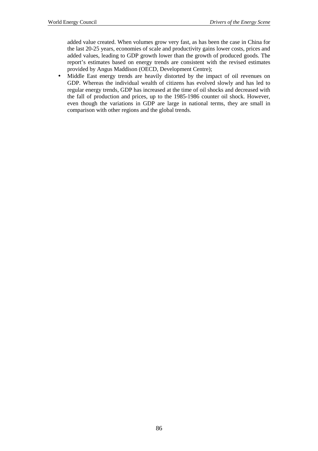added value created. When volumes grow very fast, as has been the case in China for the last 20-25 years, economies of scale and productivity gains lower costs, prices and added values, leading to GDP growth lower than the growth of produced goods. The report's estimates based on energy trends are consistent with the revised estimates provided by Angus Maddison (OECD, Development Centre);

• Middle East energy trends are heavily distorted by the impact of oil revenues on GDP. Whereas the individual wealth of citizens has evolved slowly and has led to regular energy trends, GDP has increased at the time of oil shocks and decreased with the fall of production and prices, up to the 1985-1986 counter oil shock. However, even though the variations in GDP are large in national terms, they are small in comparison with other regions and the global trends.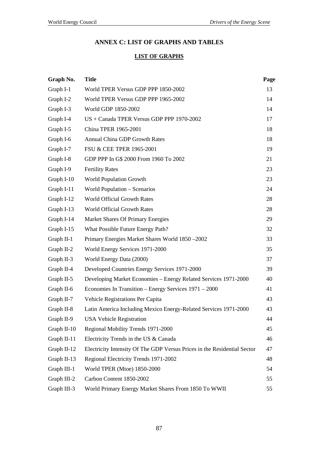# **ANNEX C: LIST OF GRAPHS AND TABLES**

# **LIST OF GRAPHS**

| Graph No.    | <b>Title</b>                                                             | Page |
|--------------|--------------------------------------------------------------------------|------|
| Graph I-1    | World TPER Versus GDP PPP 1850-2002                                      | 13   |
| Graph I-2    | World TPER Versus GDP PPP 1965-2002                                      | 14   |
| Graph I-3    | World GDP 1850-2002                                                      | 14   |
| Graph I-4    | US + Canada TPER Versus GDP PPP 1970-2002                                | 17   |
| Graph I-5    | China TPER 1965-2001                                                     | 18   |
| Graph I-6    | <b>Annual China GDP Growth Rates</b>                                     | 18   |
| Graph I-7    | FSU & CEE TPER 1965-2001                                                 | 19   |
| Graph I-8    | GDP PPP In G\$ 2000 From 1960 To 2002                                    | 21   |
| Graph I-9    | <b>Fertility Rates</b>                                                   | 23   |
| Graph I-10   | <b>World Population Growth</b>                                           | 23   |
| Graph I-11   | World Population - Scenarios                                             | 24   |
| Graph I-12   | <b>World Official Growth Rates</b>                                       | 28   |
| Graph I-13   | World Official Growth Rates                                              | 28   |
| Graph I-14   | Market Shares Of Primary Energies                                        | 29   |
| Graph I-15   | What Possible Future Energy Path?                                        | 32   |
| Graph $II-1$ | Primary Energies Market Shares World 1850 - 2002                         | 33   |
| Graph II-2   | World Energy Services 1971-2000                                          | 35   |
| Graph II-3   | World Energy Data (2000)                                                 | 37   |
| Graph II-4   | Developed Countries Energy Services 1971-2000                            | 39   |
| Graph II-5   | Developing Market Economies - Energy Related Services 1971-2000          | 40   |
| Graph II-6   | Economies In Transition – Energy Services 1971 – 2000                    | 41   |
| Graph II-7   | Vehicle Registrations Per Capita                                         | 43   |
| Graph II-8   | Latin America Including Mexico Energy-Related Services 1971-2000         | 43   |
| Graph II-9   | <b>USA Vehicle Registration</b>                                          | 44   |
| Graph II-10  | Regional Mobility Trends 1971-2000                                       | 45   |
| Graph II-11  | Electricity Trends in the US & Canada                                    | 46   |
| Graph II-12  | Electricity Intensity Of The GDP Versus Prices in the Residential Sector | 47   |
| Graph II-13  | Regional Electricity Trends 1971-2002                                    | 48   |
| Graph III-1  | World TPER (Mtoe) 1850-2000                                              | 54   |
| Graph III-2  | Carbon Content 1850-2002                                                 | 55   |
| Graph III-3  | World Primary Energy Market Shares From 1850 To WWII                     | 55   |